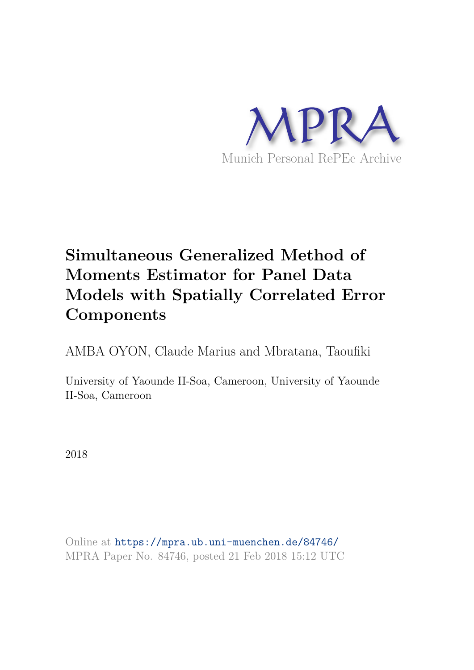

# **Simultaneous Generalized Method of Moments Estimator for Panel Data Models with Spatially Correlated Error Components**

AMBA OYON, Claude Marius and Mbratana, Taoufiki

University of Yaounde II-Soa, Cameroon, University of Yaounde II-Soa, Cameroon

2018

Online at https://mpra.ub.uni-muenchen.de/84746/ MPRA Paper No. 84746, posted 21 Feb 2018 15:12 UTC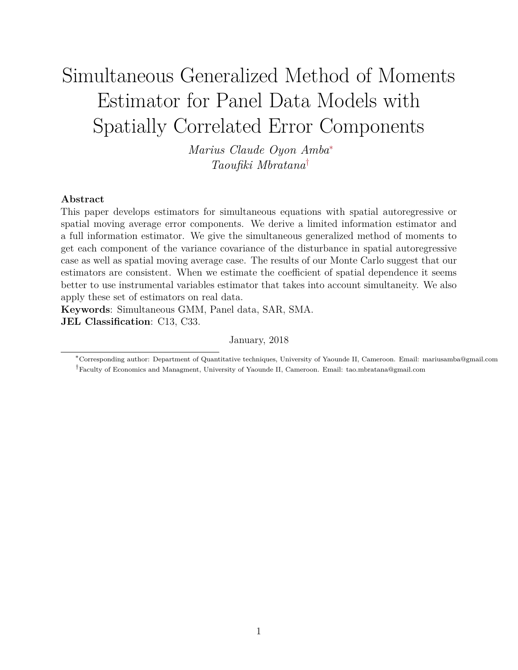# Simultaneous Generalized Method of Moments Estimator for Panel Data Models with Spatially Correlated Error Components

*Marius Claude Oyon Amba*<sup>∗</sup> *Taoufiki Mbratana*†

#### **Abstract**

This paper develops estimators for simultaneous equations with spatial autoregressive or spatial moving average error components. We derive a limited information estimator and a full information estimator. We give the simultaneous generalized method of moments to get each component of the variance covariance of the disturbance in spatial autoregressive case as well as spatial moving average case. The results of our Monte Carlo suggest that our estimators are consistent. When we estimate the coefficient of spatial dependence it seems better to use instrumental variables estimator that takes into account simultaneity. We also apply these set of estimators on real data.

**Keywords**: Simultaneous GMM, Panel data, SAR, SMA. **JEL Classification**: C13, C33.

January, 2018

<sup>∗</sup>Corresponding author: Department of Quantitative techniques, University of Yaounde II, Cameroon. Email: mariusamba@gmail.com †Faculty of Economics and Managment, University of Yaounde II, Cameroon. Email: tao.mbratana@gmail.com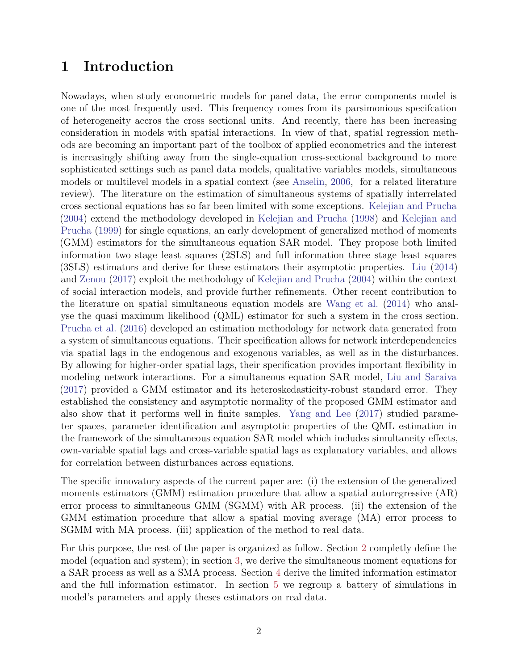# **1 Introduction**

Nowadays, when study econometric models for panel data, the error components model is one of the most frequently used. This frequency comes from its parsimonious specifcation of heterogeneity accros the cross sectional units. And recently, there has been increasing consideration in models with spatial interactions. In view of that, spatial regression methods are becoming an important part of the toolbox of applied econometrics and the interest is increasingly shifting away from the single-equation cross-sectional background to more sophisticated settings such as panel data models, qualitative variables models, simultaneous models or multilevel models in a spatial context (see Anselin, 2006, for a related literature review). The literature on the estimation of simultaneous systems of spatially interrelated cross sectional equations has so far been limited with some exceptions. Kelejian and Prucha (2004) extend the methodology developed in Kelejian and Prucha (1998) and Kelejian and Prucha (1999) for single equations, an early development of generalized method of moments (GMM) estimators for the simultaneous equation SAR model. They propose both limited information two stage least squares (2SLS) and full information three stage least squares (3SLS) estimators and derive for these estimators their asymptotic properties. Liu (2014) and Zenou (2017) exploit the methodology of Kelejian and Prucha (2004) within the context of social interaction models, and provide further refinements. Other recent contribution to the literature on spatial simultaneous equation models are Wang et al. (2014) who analyse the quasi maximum likelihood (QML) estimator for such a system in the cross section. Prucha et al. (2016) developed an estimation methodology for network data generated from a system of simultaneous equations. Their specification allows for network interdependencies via spatial lags in the endogenous and exogenous variables, as well as in the disturbances. By allowing for higher-order spatial lags, their specification provides important flexibility in modeling network interactions. For a simultaneous equation SAR model, Liu and Saraiva (2017) provided a GMM estimator and its heteroskedasticity-robust standard error. They established the consistency and asymptotic normality of the proposed GMM estimator and also show that it performs well in finite samples. Yang and Lee (2017) studied parameter spaces, parameter identification and asymptotic properties of the QML estimation in the framework of the simultaneous equation SAR model which includes simultaneity effects, own-variable spatial lags and cross-variable spatial lags as explanatory variables, and allows for correlation between disturbances across equations.

The specific innovatory aspects of the current paper are: (i) the extension of the generalized moments estimators (GMM) estimation procedure that allow a spatial autoregressive (AR) error process to simultaneous GMM (SGMM) with AR process. (ii) the extension of the GMM estimation procedure that allow a spatial moving average (MA) error process to SGMM with MA process. (iii) application of the method to real data.

For this purpose, the rest of the paper is organized as follow. Section 2 completly define the model (equation and system); in section 3, we derive the simultaneous moment equations for a SAR process as well as a SMA process. Section 4 derive the limited information estimator and the full information estimator. In section 5 we regroup a battery of simulations in model's parameters and apply theses estimators on real data.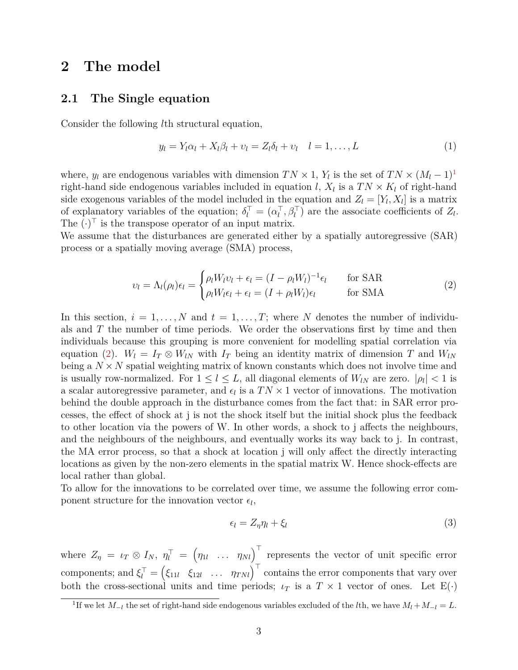## **2 The model**

### **2.1 The Single equation**

Consider the following *l*th structural equation,

$$
y_l = Y_l \alpha_l + X_l \beta_l + v_l = Z_l \delta_l + v_l \quad l = 1, \dots, L \tag{1}
$$

where,  $y_l$  are endogenous variables with dimension  $TN \times 1$ ,  $Y_l$  is the set of  $TN \times (M_l - 1)^1$ right-hand side endogenous variables included in equation *l*,  $X_l$  is a  $TN \times K_l$  of right-hand side exogenous variables of the model included in the equation and  $Z_l = [Y_l, X_l]$  is a matrix of explanatory variables of the equation;  $\delta_l^{\top} = (\alpha_l^{\top})$  $\overline{l}$ ,  $\beta$ <sup>T</sup> are the associate coefficients of *Z*<sub>*l*</sub>. The  $(\cdot)^{\top}$  is the transpose operator of an input matrix.

We assume that the disturbances are generated either by a spatially autoregressive (SAR) process or a spatially moving average (SMA) process,

$$
\upsilon_l = \Lambda_l(\rho_l)\epsilon_l = \begin{cases} \rho_l W_l \upsilon_l + \epsilon_l = (I - \rho_l W_l)^{-1} \epsilon_l & \text{for SAR} \\ \rho_l W_l \epsilon_l + \epsilon_l = (I + \rho_l W_l) \epsilon_l & \text{for SMA} \end{cases}
$$
 (2)

In this section,  $i = 1, \ldots, N$  and  $t = 1, \ldots, T$ ; where N denotes the number of individuals and *T* the number of time periods. We order the observations first by time and then individuals because this grouping is more convenient for modelling spatial correlation via equation (2).  $W_l = I_T \otimes W_{lN}$  with  $I_T$  being an identity matrix of dimension *T* and  $W_{lN}$ being a  $N \times N$  spatial weighting matrix of known constants which does not involve time and is usually row-normalized. For  $1 \leq l \leq L$ , all diagonal elements of  $W_{lN}$  are zero.  $|\rho_l| < 1$  is a scalar autoregressive parameter, and  $\epsilon_l$  is a  $TN \times 1$  vector of innovations. The motivation behind the double approach in the disturbance comes from the fact that: in SAR error processes, the effect of shock at j is not the shock itself but the initial shock plus the feedback to other location via the powers of W. In other words, a shock to j affects the neighbours, and the neighbours of the neighbours, and eventually works its way back to j. In contrast, the MA error process, so that a shock at location j will only affect the directly interacting locations as given by the non-zero elements in the spatial matrix W. Hence shock-effects are local rather than global.

To allow for the innovations to be correlated over time, we assume the following error component structure for the innovation vector  $\epsilon_l$ ,

$$
\epsilon_l = Z_\eta \eta_l + \xi_l \tag{3}
$$

where  $Z_{\eta} = \iota_T \otimes I_N$ ,  $\eta_l^{\top} = (\eta_{1l} \dots \eta_{Nl})^{\top}$  represents the vector of unit specific error components; and  $\xi_l^{\top} = \begin{pmatrix} \xi_{11l} & \xi_{12l} & \dots & \eta_{TNl} \end{pmatrix}^{\top}$  contains the error components that vary over both the cross-sectional units and time periods;  $\iota_T$  is a  $T \times 1$  vector of ones. Let  $E(\cdot)$ 

<sup>&</sup>lt;sup>1</sup>If we let  $M_{-l}$  the set of right-hand side endogenous variables excluded of the *l*th, we have  $M_l + M_{-l} = L$ .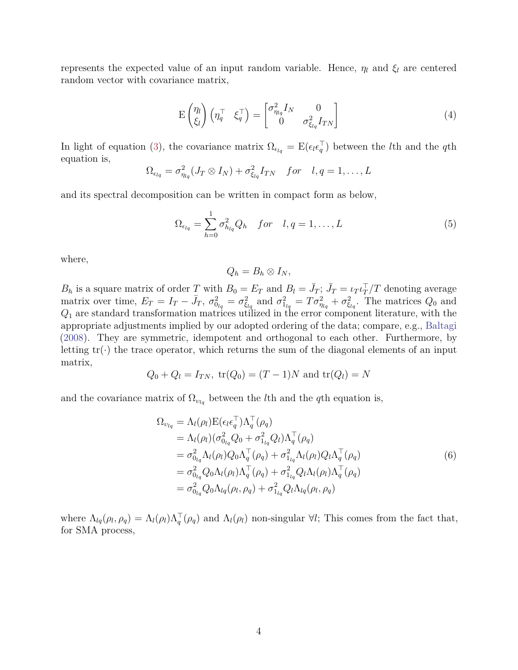represents the expected value of an input random variable. Hence,  $\eta_l$  and  $\xi_l$  are centered random vector with covariance matrix,

$$
E\begin{pmatrix} \eta_l \\ \xi_l \end{pmatrix} \begin{pmatrix} \eta_q^{\top} & \xi_q^{\top} \end{pmatrix} = \begin{bmatrix} \sigma_{\eta_{lq}}^2 I_N & 0 \\ 0 & \sigma_{\xi_{lq}}^2 I_{TN} \end{bmatrix}
$$
(4)

In light of equation (3), the covariance matrix  $\Omega_{\epsilon_{lq}} = \mathbb{E}(\epsilon_l \epsilon_q^{\top})$ *q* ) between the *l*th and the *q*th equation is,

$$
\Omega_{\epsilon_{lq}} = \sigma_{\eta_{lq}}^2 (J_T \otimes I_N) + \sigma_{\xi_{lq}}^2 I_{TN} \quad \text{for} \quad l, q = 1, \dots, L
$$

and its spectral decomposition can be written in compact form as below,

$$
\Omega_{\epsilon_{lq}} = \sum_{h=0}^{1} \sigma_{h_{lq}}^2 Q_h \quad \text{for} \quad l, q = 1, \dots, L
$$
 (5)

where,

$$
Q_h=B_h\otimes I_N,
$$

*B*<sub>*h*</sub> is a square matrix of order *T* with  $B_0 = E_T$  and  $B_l = \bar{J}_T$ ;  $\bar{J}_T = \iota_T \iota_T^{\top}$ *T /T* denoting average matrix over time,  $E_T = I_T - \bar{J}_T$ ,  $\sigma_{0_{lq}}^2 = \sigma_{\xi_{lq}}^2$  and  $\sigma_{1_{lq}}^2 = T\sigma_{\eta_{lq}}^2 + \sigma_{\xi_{lq}}^2$ . The matrices  $Q_0$  and *Q*<sup>1</sup> are standard transformation matrices utilized in the error component literature, with the appropriate adjustments implied by our adopted ordering of the data; compare, e.g., Baltagi (2008). They are symmetric, idempotent and orthogonal to each other. Furthermore, by letting  $tr(\cdot)$  the trace operator, which returns the sum of the diagonal elements of an input matrix,

$$
Q_0 + Q_l = I_{TN}
$$
,  $tr(Q_0) = (T - 1)N$  and  $tr(Q_l) = N$ 

and the covariance matrix of  $\Omega_{v_{lq}}$  between the *l*th and the *q*th equation is,

$$
\Omega_{\nu_{lq}} = \Lambda_{l}(\rho_{l}) \mathbf{E} (\epsilon_{l} \epsilon_{q}^{\top}) \Lambda_{q}^{\top}(\rho_{q}) \n= \Lambda_{l}(\rho_{l}) (\sigma_{0_{lq}}^{2} Q_{0} + \sigma_{1_{lq}}^{2} Q_{l}) \Lambda_{q}^{\top}(\rho_{q}) \n= \sigma_{0_{lq}}^{2} \Lambda_{l}(\rho_{l}) Q_{0} \Lambda_{q}^{\top}(\rho_{q}) + \sigma_{1_{lq}}^{2} \Lambda_{l}(\rho_{l}) Q_{l} \Lambda_{q}^{\top}(\rho_{q}) \n= \sigma_{0_{lq}}^{2} Q_{0} \Lambda_{l}(\rho_{l}) \Lambda_{q}^{\top}(\rho_{q}) + \sigma_{1_{lq}}^{2} Q_{l} \Lambda_{l}(\rho_{l}) \Lambda_{q}^{\top}(\rho_{q}) \n= \sigma_{0_{lq}}^{2} Q_{0} \Lambda_{lq}(\rho_{l}, \rho_{q}) + \sigma_{1_{lq}}^{2} Q_{l} \Lambda_{lq}(\rho_{l}, \rho_{q})
$$
\n(6)

where  $\Lambda_{lq}(\rho_l, \rho_q) = \Lambda_l(\rho_l) \Lambda_q^{\top}(\rho_q)$  and  $\Lambda_l(\rho_l)$  non-singular  $\forall l$ ; This comes from the fact that, for SMA process,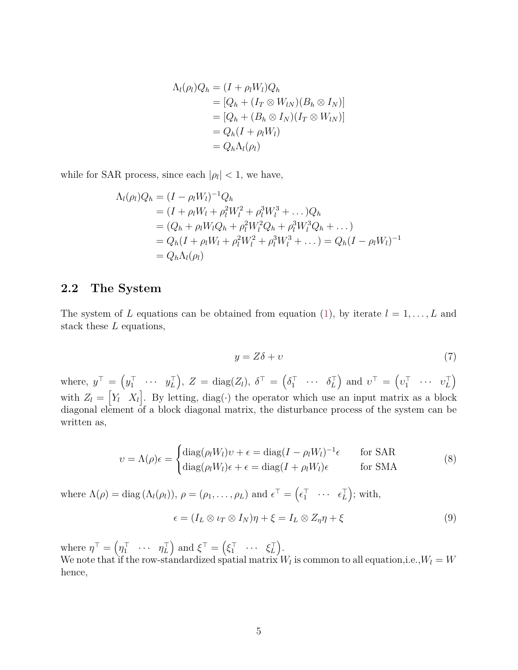$$
\Lambda_l(\rho_l)Q_h = (I + \rho_l W_l)Q_h
$$
  
=  $[Q_h + (I_T \otimes W_{lN})(B_h \otimes I_N)]$   
=  $[Q_h + (B_h \otimes I_N)(I_T \otimes W_{lN})]$   
=  $Q_h(I + \rho_l W_l)$   
=  $Q_h \Lambda_l(\rho_l)$ 

while for SAR process, since each  $|\rho_l| < 1$ , we have,

$$
\Lambda_l(\rho_l)Q_h = (I - \rho_l W_l)^{-1} Q_h
$$
  
=  $(I + \rho_l W_l + \rho_l^2 W_l^2 + \rho_l^3 W_l^3 + ... )Q_h$   
=  $(Q_h + \rho_l W_l Q_h + \rho_l^2 W_l^2 Q_h + \rho_l^3 W_l^3 Q_h + ... )$   
=  $Q_h (I + \rho_l W_l + \rho_l^2 W_l^2 + \rho_l^3 W_l^3 + ... ) = Q_h (I - \rho_l W_l)^{-1}$   
=  $Q_h \Lambda_l(\rho_l)$ 

### **2.2 The System**

The system of L equations can be obtained from equation (1), by iterate  $l = 1, \ldots, L$  and stack these *L* equations,

$$
y = Z\delta + \upsilon \tag{7}
$$

where,  $y^{\top} = \left(y_1^{\top}\right)$  $\begin{array}{cccc} \top & \cdots & y_L^\top \end{array}$  $\begin{bmatrix} \top \ L \end{bmatrix}$ ,  $Z = \text{diag}(Z_l)$ ,  $\delta^{\top} = \left( \delta_1^{\top} \right)$  $\begin{matrix} \top & \cdots & \delta_L^\top \end{matrix}$  $\begin{pmatrix} \top \\ L \end{pmatrix}$  and  $v^{\top} = \left( v_1^{\top} \right)$  $v_L^{\top}$   $\cdots$   $v_L^{\top}$ *L* ) with  $Z_l = \begin{bmatrix} Y_l & X_l \end{bmatrix}$ . By letting, diag( $\cdot$ ) the operator which use an input matrix as a block diagonal element of a block diagonal matrix, the disturbance process of the system can be written as,

$$
v = \Lambda(\rho)\epsilon = \begin{cases} \text{diag}(\rho_l W_l)v + \epsilon = \text{diag}(I - \rho_l W_l)^{-1}\epsilon & \text{for SAR} \\ \text{diag}(\rho_l W_l)\epsilon + \epsilon = \text{diag}(I + \rho_l W_l)\epsilon & \text{for SMA} \end{cases}
$$
(8)

where  $\Lambda(\rho) = \text{diag}(\Lambda_l(\rho_l)), \, \rho = (\rho_1, \ldots, \rho_L)$  and  $\epsilon^{\top} = (\epsilon_1^{\top})$  $\begin{bmatrix} \top & \cdots & \epsilon_L^{\top} \end{bmatrix}$  $\begin{bmatrix} \uparrow \\ L \end{bmatrix}$ ; with,

$$
\epsilon = (I_L \otimes \iota_T \otimes I_N)\eta + \xi = I_L \otimes Z_\eta \eta + \xi \tag{9}
$$

where  $\eta^{\top} = (\eta_1^{\top})$  $\eta_L^{\top}$   $\cdots$   $\eta_L^{\top}$  $\mathcal{L}^{\top}$ ) and  $\mathcal{E}^{\top} = (\mathcal{E}_1^{\top})$  $\begin{matrix} 1 \\ 1 \end{matrix}$   $\cdots$   $\xi_L^{\top}$ *L* ) . We note that if the row-standardized spatial matrix  $W_l$  is common to all equation,i.e.,  $W_l = W_l$ hence,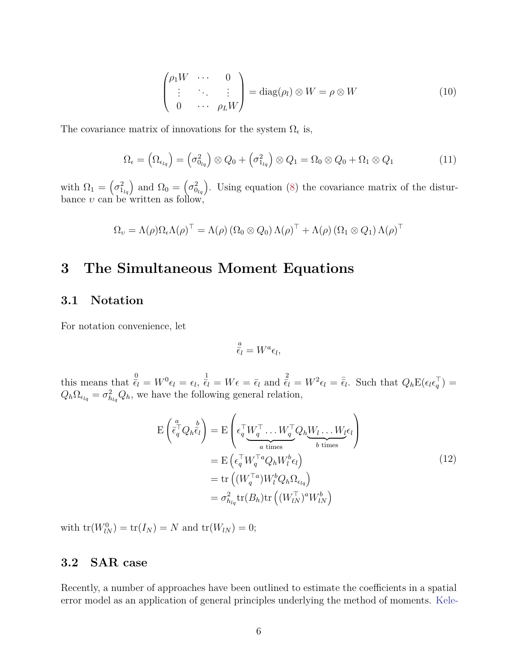$$
\begin{pmatrix} \rho_1 W & \cdots & 0 \\ \vdots & \ddots & \vdots \\ 0 & \cdots & \rho_L W \end{pmatrix} = \text{diag}(\rho_l) \otimes W = \rho \otimes W \qquad (10)
$$

The covariance matrix of innovations for the system  $\Omega_{\epsilon}$  is,

$$
\Omega_{\epsilon} = \left(\Omega_{\epsilon_{lq}}\right) = \left(\sigma_{0_{lq}}^2\right) \otimes Q_0 + \left(\sigma_{1_{lq}}^2\right) \otimes Q_1 = \Omega_0 \otimes Q_0 + \Omega_1 \otimes Q_1 \tag{11}
$$

with  $\Omega_1 = \left(\sigma_{1_{lq}}^2\right)$  and  $\Omega_0 = \left(\sigma_{0_{lq}}^2\right)$ . Using equation (8) the covariance matrix of the disturbance *υ* can be written as follow,

$$
\Omega_{\upsilon} = \Lambda(\rho) \Omega_{\epsilon} \Lambda(\rho)^{\top} = \Lambda(\rho) \left( \Omega_0 \otimes Q_0 \right) \Lambda(\rho)^{\top} + \Lambda(\rho) \left( \Omega_1 \otimes Q_1 \right) \Lambda(\rho)^{\top}
$$

# **3 The Simultaneous Moment Equations**

#### **3.1 Notation**

For notation convenience, let

$$
\frac{a}{\epsilon_l} = W^a \epsilon_l,
$$

this means that  $\frac{0}{\epsilon_l} = W^0 \epsilon_l = \epsilon_l$ ,  $\frac{1}{\epsilon_l} = W \epsilon = \bar{\epsilon}_l$  and  $\frac{2}{\epsilon_l} = W^2 \epsilon_l = \bar{\bar{\epsilon}}_l$ . Such that  $Q_h \mathbb{E}(\epsilon_l \epsilon_l^T)$  $_{q}^{+}$ )  $=$  $Q_h \Omega_{\epsilon_{lq}} = \sigma_{h_{lq}}^2 Q_h$ , we have the following general relation,

$$
E\left(\bar{\epsilon}_{q}^{\top}Q_{h}\bar{\epsilon}_{l}\right) = E\left(\epsilon_{q}^{\top}\underline{W}_{q}^{\top}\dots \underline{W}_{q}^{\top}Q_{h}\underline{W}_{l}\dots \underline{W}_{l}\epsilon_{l}\right)
$$

$$
= E\left(\epsilon_{q}^{\top}\underline{W}_{q}^{\top a}Q_{h}\underline{W}_{l}^{b}\epsilon_{l}\right)
$$

$$
= E\left(\epsilon_{q}^{\top}\underline{W}_{q}^{\top a}Q_{h}\underline{W}_{l}^{b}\epsilon_{l}\right)
$$

$$
= tr\left((\underline{W}_{q}^{\top a})\underline{W}_{l}^{b}Q_{h}\Omega_{\epsilon_{lq}}\right)
$$

$$
= \sigma_{h_{lq}}^{2}tr(B_{h})tr\left((\underline{W}_{lN}^{\top})^{a}\underline{W}_{lN}^{b}\right)
$$
(12)

 $\text{with } \text{tr}(W_{lN}^{0}) = \text{tr}(I_{N}) = N \text{ and } \text{tr}(W_{lN}) = 0;$ 

### **3.2 SAR case**

Recently, a number of approaches have been outlined to estimate the coefficients in a spatial error model as an application of general principles underlying the method of moments. Kele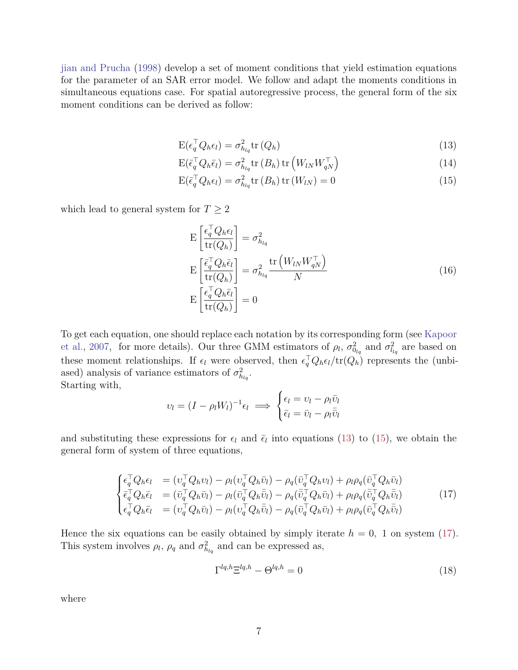jian and Prucha (1998) develop a set of moment conditions that yield estimation equations for the parameter of an SAR error model. We follow and adapt the moments conditions in simultaneous equations case. For spatial autoregressive process, the general form of the six moment conditions can be derived as follow:

$$
E(\epsilon_q^{\top} Q_h \epsilon_l) = \sigma_{h_{lq}}^2 tr(Q_h)
$$
\n(13)

$$
E(\bar{\epsilon}_q^{\top} Q_h \bar{\epsilon}_l) = \sigma_{h_{lq}}^2 \text{tr}\left(B_h\right) \text{tr}\left(W_{lN} W_{qN}^{\top}\right) \tag{14}
$$

$$
E(\bar{\epsilon}_q^{\top} Q_h \epsilon_l) = \sigma_{h_{lq}}^2 \text{tr}(B_h) \text{tr}(W_{lN}) = 0
$$
\n(15)

which lead to general system for  $T\geq 2$ 

$$
E\left[\frac{\epsilon_q^{\top} Q_h \epsilon_l}{tr(Q_h)}\right] = \sigma_{h_{lq}}^2
$$
  
\n
$$
E\left[\frac{\bar{\epsilon}_q^{\top} Q_h \bar{\epsilon}_l}{tr(Q_h)}\right] = \sigma_{h_{lq}}^2 \frac{tr\left(W_{lN} W_{qN}^{\top}\right)}{N}
$$
  
\n
$$
E\left[\frac{\epsilon_q^{\top} Q_h \bar{\epsilon}_l}{tr(Q_h)}\right] = 0
$$
\n(16)

To get each equation, one should replace each notation by its corresponding form (see Kapoor et al., 2007, for more details). Our three GMM estimators of  $\rho_l$ ,  $\sigma_{0l_q}^2$  and  $\sigma_{l_lq}^2$  are based on these moment relationships. If  $\epsilon_l$  were observed, then  $\epsilon_q^{\top} Q_h \epsilon_l / tr(Q_h)$  represents the (unbiased) analysis of variance estimators of  $\sigma_{h_{lq}}^2$ . Starting with,

$$
v_l = (I - \rho_l W_l)^{-1} \epsilon_l \implies \begin{cases} \epsilon_l = v_l - \rho_l \bar{v}_l \\ \bar{\epsilon}_l = \bar{v}_l - \rho_l \bar{\bar{v}}_l \end{cases}
$$

and substituting these expressions for  $\epsilon_l$  and  $\bar{\epsilon}_l$  into equations (13) to (15), we obtain the general form of system of three equations,

$$
\begin{cases}\n\epsilon_{q}^{\top}Q_{h}\epsilon_{l} &= (v_{q}^{\top}Q_{h}v_{l}) - \rho_{l}(v_{q}^{\top}Q_{h}\bar{v}_{l}) - \rho_{q}(\bar{v}_{q}^{\top}Q_{h}v_{l}) + \rho_{l}\rho_{q}(\bar{v}_{q}^{\top}Q_{h}\bar{v}_{l}) \\
\bar{\epsilon}_{q}^{\top}Q_{h}\bar{\epsilon}_{l} &= (\bar{v}_{q}^{\top}Q_{h}\bar{v}_{l}) - \rho_{l}(\bar{v}_{q}^{\top}Q_{h}\bar{\bar{v}}_{l}) - \rho_{q}(\bar{\bar{v}}_{q}^{\top}Q_{h}\bar{v}_{l}) + \rho_{l}\rho_{q}(\bar{\bar{v}}_{q}^{\top}Q_{h}\bar{\bar{v}}_{l}) \\
\epsilon_{q}^{\top}Q_{h}\bar{\epsilon}_{l} &= (v_{q}^{\top}Q_{h}\bar{v}_{l}) - \rho_{l}(v_{q}^{\top}Q_{h}\bar{\bar{v}}_{l}) - \rho_{q}(\bar{v}_{q}^{\top}Q_{h}\bar{v}_{l}) + \rho_{l}\rho_{q}(\bar{v}_{q}^{\top}Q_{h}\bar{\bar{v}}_{l})\n\end{cases}\n\tag{17}
$$

Hence the six equations can be easily obtained by simply iterate  $h = 0$ , 1 on system (17). This system involves  $\rho_l$ ,  $\rho_q$  and  $\sigma_{h_{lq}}^2$  and can be expressed as,

$$
\Gamma^{lq,h} \Xi^{lq,h} - \Theta^{lq,h} = 0 \tag{18}
$$

where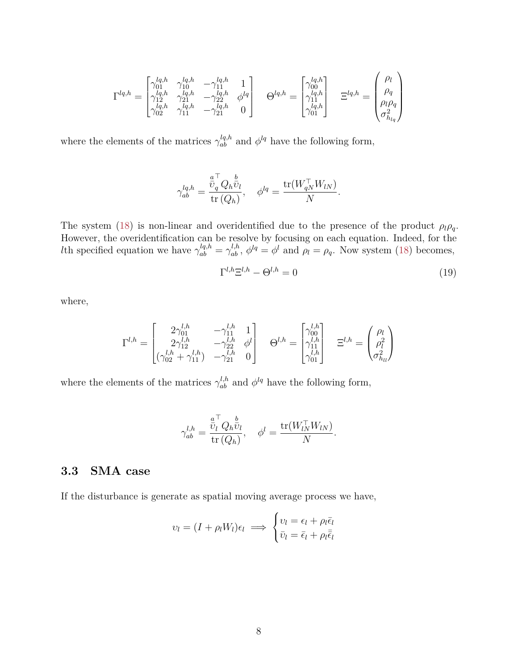$$
\Gamma^{lq,h} = \begin{bmatrix} \gamma_{01}^{lq,h} & \gamma_{10}^{lq,h} & -\gamma_{11}^{lq,h} & 1 \\ \gamma_{12}^{lq,h} & \gamma_{21}^{lq,h} & -\gamma_{22}^{lq,h} & \phi^{lq} \\ \gamma_{02}^{lq,h} & \gamma_{11}^{lq,h} & -\gamma_{21}^{lq,h} & 0 \end{bmatrix} \quad \Theta^{lq,h} = \begin{bmatrix} \gamma_{00}^{lq,h} \\ \gamma_{11}^{lq,h} \\ \gamma_{11}^{lq,h} \\ \gamma_{01}^{lq,h} \end{bmatrix} \quad \Xi^{lq,h} = \begin{pmatrix} \rho_l \\ \rho_q \\ \rho_l \rho_q \\ \sigma_{h_{lq}}^2 \end{pmatrix}
$$

where the elements of the matrices  $\gamma_{ab}^{lq,h}$  and  $\phi^{lq}$  have the following form,

$$
\gamma_{ab}^{lq,h} = \frac{\overset{a}{\bar{v}}_q^\top Q_h \overset{b}{\bar{v}}_l}{\operatorname{tr}\left(Q_h\right)}, \quad \phi^{lq} = \frac{\operatorname{tr}(W_{qN}^\top W_{lN})}{N}.
$$

The system (18) is non-linear and overidentified due to the presence of the product  $\rho_l \rho_q$ . However, the overidentification can be resolve by focusing on each equation. Indeed, for the *l*th specified equation we have  $\gamma_{ab}^{lq,h} = \gamma_{ab}^{l,h}, \ \phi^{lq} = \phi^l$  and  $\rho_l = \rho_q$ . Now system (18) becomes,

$$
\Gamma^{l,h}\Xi^{l,h} - \Theta^{l,h} = 0\tag{19}
$$

where,

$$
\Gamma^{l,h} = \begin{bmatrix} 2\gamma_{01}^{l,h} & -\gamma_{11}^{l,h} & 1 \\ 2\gamma_{12}^{l,h} & -\gamma_{22}^{l,h} & \phi^l \\ (\gamma_{02}^{l,h} + \gamma_{11}^{l,h}) & -\gamma_{21}^{l,h} & 0 \end{bmatrix} \quad \Theta^{l,h} = \begin{bmatrix} \gamma_{00}^{l,h} \\ \gamma_{11}^{l,h} \\ \gamma_{01}^{l,h} \end{bmatrix} \quad \Xi^{l,h} = \begin{pmatrix} \rho_l \\ \rho_l^2 \\ \sigma_{h_{ll}}^2 \end{pmatrix}
$$

where the elements of the matrices  $\gamma_{ab}^{l,h}$  and  $\phi^{lq}$  have the following form,

$$
\gamma_{ab}^{l,h} = \frac{\overset{a}{v}_l^{\top} Q_h \overset{b}{v}_l}{\text{tr}(Q_h)}, \quad \phi^l = \frac{\text{tr}(W_{lN}^{\top} W_{lN})}{N}.
$$

### **3.3 SMA case**

If the disturbance is generate as spatial moving average process we have,

$$
v_l = (I + \rho_l W_l) \epsilon_l \implies \begin{cases} v_l = \epsilon_l + \rho_l \bar{\epsilon}_l \\ \bar{v}_l = \bar{\epsilon}_l + \rho_l \bar{\bar{\epsilon}}_l \end{cases}
$$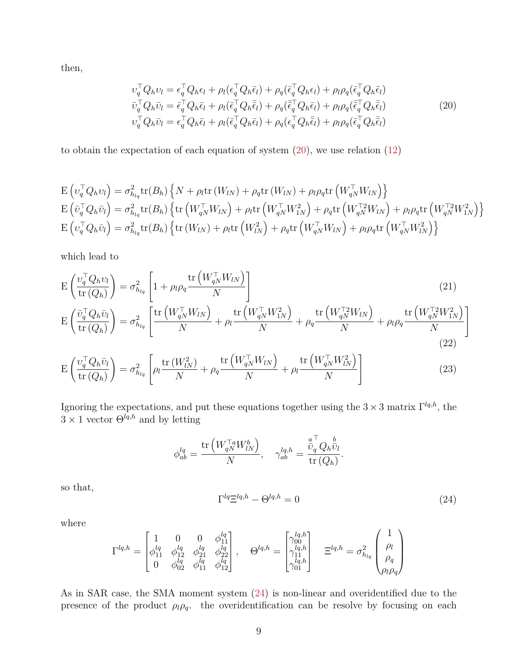then,

$$
v_q^\top Q_h v_l = \epsilon_q^\top Q_h \epsilon_l + \rho_l (\epsilon_q^\top Q_h \bar{\epsilon}_l) + \rho_q (\bar{\epsilon}_q^\top Q_h \epsilon_l) + \rho_l \rho_q (\bar{\epsilon}_q^\top Q_h \bar{\epsilon}_l)
$$
  
\n
$$
\bar{v}_q^\top Q_h \bar{v}_l = \bar{\epsilon}_q^\top Q_h \bar{\epsilon}_l + \rho_l (\bar{\epsilon}_q^\top Q_h \bar{\epsilon}_l) + \rho_q (\bar{\epsilon}_q^\top Q_h \bar{\epsilon}_l) + \rho_l \rho_q (\bar{\epsilon}_q^\top Q_h \bar{\epsilon}_l)
$$
  
\n
$$
v_q^\top Q_h \bar{v}_l = \epsilon_q^\top Q_h \bar{\epsilon}_l + \rho_l (\bar{\epsilon}_q^\top Q_h \bar{\epsilon}_l) + \rho_q (\epsilon_q^\top Q_h \bar{\epsilon}_l) + \rho_l \rho_q (\bar{\epsilon}_q^\top Q_h \bar{\epsilon}_l)
$$
\n(20)

to obtain the expectation of each equation of system  $(20)$ , we use relation  $(12)$ 

$$
E(v_q^{\top}Q_h v_l) = \sigma_{h_{lq}}^2 tr(B_h) \left\{ N + \rho_l tr(W_{lN}) + \rho_q tr(W_{lN}) + \rho_l \rho_q tr(W_{qN}^{\top} W_{lN}) \right\}
$$
  
\n
$$
E(v_q^{\top} Q_h \bar{v}_l) = \sigma_{h_{lq}}^2 tr(B_h) \left\{ tr(W_{qN}^{\top} W_{lN}) + \rho_l tr(W_{qN}^{\top} W_{1N}^2) + \rho_q tr(W_{qN}^{\top 2} W_{lN}) + \rho_l \rho_q tr(W_{qN}^{\top 2} W_{1N}^2) \right\}
$$
  
\n
$$
E(v_q^{\top} Q_h \bar{v}_l) = \sigma_{h_{lq}}^2 tr(B_h) \left\{ tr(W_{lN}) + \rho_l tr(W_{lN}^2) + \rho_q tr(W_{qN}^{\top} W_{lN}) + \rho_l \rho_q tr(W_{qN}^{\top} W_{lN}^2) \right\}
$$

which lead to

$$
E\left(\frac{v_q^{\top}Q_h v_l}{tr(Q_h)}\right) = \sigma_{h_{lq}}^2 \left[1 + \rho_l \rho_q \frac{tr\left(W_{qN}^{\top} W_{lN}\right)}{N}\right]
$$
\n
$$
E\left(\frac{\bar{v}_q^{\top} Q_h \bar{v}_l}{tr(Q_h)}\right) = \sigma_{h_{lq}}^2 \left[\frac{tr\left(W_{qN}^{\top} W_{lN}\right)}{N} + \rho_l \frac{tr\left(W_{qN}^{\top} W_{lN}^2\right)}{N} + \rho_q \frac{tr\left(W_{qN}^{\top 2} W_{lN}\right)}{N} + \rho_l \rho_q \frac{tr\left(W_{qN}^{\top 2} W_{lN}\right)}{N}\right]
$$
\n(21)

$$
E\left(\frac{\upsilon_q^{\top} Q_h \bar{\upsilon}_l}{\text{tr}\left(Q_h\right)}\right) = \sigma_{h_{lq}}^2 \left[\rho_l \frac{\text{tr}\left(W_{lN}^2\right)}{N} + \rho_q \frac{\text{tr}\left(W_{qN}^{\top} W_{lN}\right)}{N} + \rho_l \frac{\text{tr}\left(W_{qN}^{\top} W_{lN}^2\right)}{N}\right] \tag{23}
$$

Ignoring the expectations, and put these equations together using the  $3 \times 3$  matrix  $\Gamma^{lq,h}$ , the  $3 \times 1$  vector  $\Theta^{lq,h}$  and by letting

$$
\phi^{lq}_{ab} = \frac{\mathrm{tr}\left(W^{\top a}_{qN}W^b_{lN}\right)}{N}, \quad \gamma^{lq,h}_{ab} = \frac{\overset{a}{\bar{v}}^\top_q Q_h \overset{b}{\bar{v}}_l}{\mathrm{tr}\left(Q_h\right)}.
$$

so that,

$$
\Gamma^{lq} \Xi^{lq,h} - \Theta^{lq,h} = 0 \tag{24}
$$

(22)

where

$$
\Gamma^{lq,h} = \begin{bmatrix} 1 & 0 & 0 & \phi_{11}^{lq} \\ \phi_{11}^{lq} & \phi_{12}^{lq} & \phi_{21}^{lq} & \phi_{22}^{lq} \\ 0 & \phi_{02}^{lq} & \phi_{11}^{lq} & \phi_{12}^{lq} \end{bmatrix}, \quad \Theta^{lq,h} = \begin{bmatrix} \gamma_{00}^{lq,h} \\ \gamma_{11}^{lq,h} \\ \gamma_{11}^{lq,h} \\ \gamma_{01}^{lq,h} \end{bmatrix} \quad \Xi^{lq,h} = \sigma_{h_{lq}}^{2} \begin{pmatrix} 1 \\ \rho_l \\ \rho_q \\ \rho_l \rho_q \end{pmatrix}
$$

As in SAR case, the SMA moment system (24) is non-linear and overidentified due to the presence of the product  $\rho_l \rho_q$ . the overidentification can be resolve by focusing on each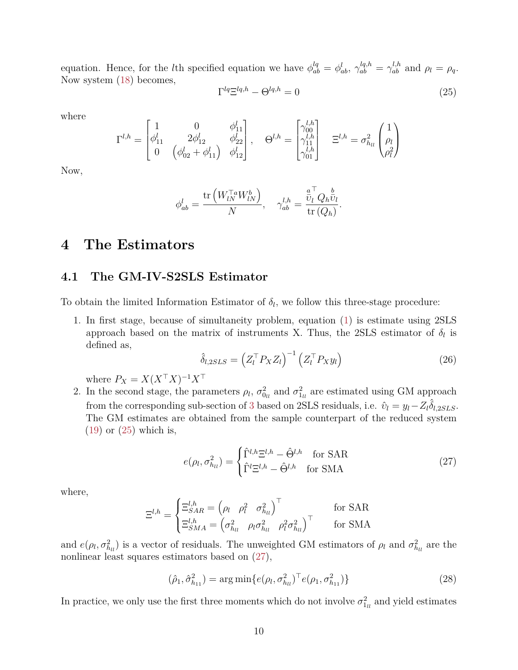equation. Hence, for the *l*th specified equation we have  $\phi_{ab}^{lq} = \phi_{ab}^{l}$ ,  $\gamma_{ab}^{lq,h} = \gamma_{ab}^{l,h}$  and  $\rho_l = \rho_q$ . Now system (18) becomes,  $\Gamma^{lq} \Xi^{lq,h} - \Theta^{lq,h} = 0$ (25)

where

$$
\Gamma^{l,h} = \begin{bmatrix} 1 & 0 & \phi_{11}^l \\ \phi_{11}^l & 2\phi_{12}^l & \phi_{22}^l \\ 0 & \left(\phi_{02}^l + \phi_{11}^l\right) & \phi_{12}^l \end{bmatrix}, \quad \Theta^{l,h} = \begin{bmatrix} \gamma_{00}^{l,h} \\ \gamma_{11}^{l,h} \\ \gamma_{01}^{l,h} \end{bmatrix} \quad \Xi^{l,h} = \sigma_{h_{ll}}^2 \begin{pmatrix} 1 \\ \rho_l \\ \rho_l^2 \end{pmatrix}
$$

Now,

$$
\phi_{ab}^l = \frac{\text{tr}\left(W_{lN}^{\top a}W_{lN}^b\right)}{N}, \quad \gamma_{ab}^{l,h} = \frac{\overset{a}{\overline{v}_l}^\top Q_h \overset{b}{\overline{v}_l}}{\text{tr}\left(Q_h\right)}.
$$

# **4 The Estimators**

### **4.1 The GM-IV-S2SLS Estimator**

To obtain the limited Information Estimator of  $\delta_l$ , we follow this three-stage procedure:

1. In first stage, because of simultaneity problem, equation (1) is estimate using 2SLS approach based on the matrix of instruments X. Thus, the 2SLS estimator of  $\delta_l$  is defined as,

$$
\hat{\delta}_{l,2SLS} = \left(Z_l^\top P_X Z_l\right)^{-1} \left(Z_l^\top P_X y_l\right) \tag{26}
$$

where  $P_X = X(X^{\top}X)^{-1}X^{\top}$ 

2. In the second stage, the parameters  $\rho_l$ ,  $\sigma_{0_l}^2$  and  $\sigma_{1_l}^2$  are estimated using GM approach from the corresponding sub-section of 3 based on 2SLS residuals, i.e.  $\hat{v}_l = y_l - Z_l \hat{\delta}_{l,2SLS}$ . The GM estimates are obtained from the sample counterpart of the reduced system (19) or (25) which is,

$$
e(\rho_l, \sigma_{h_{ll}}^2) = \begin{cases} \hat{\Gamma}^{l,h} \Xi^{l,h} - \hat{\Theta}^{l,h} & \text{for SAR} \\ \hat{\Gamma}^l \Xi^{l,h} - \hat{\Theta}^{l,h} & \text{for SMA} \end{cases}
$$
 (27)

where,

$$
\Xi^{l,h} = \begin{cases} \Xi^{l,h}_{SAR} = \begin{pmatrix} \rho_l & \rho_l^2 & \sigma_{h_{ll}}^2 \end{pmatrix}^\top & \text{for SAR} \\ \Xi^{l,h}_{SMA} = \begin{pmatrix} \sigma_{h_{ll}}^2 & \rho_l \sigma_{h_{ll}}^2 & \rho_l^2 \sigma_{h_{ll}}^2 \end{pmatrix}^\top & \text{for SMA} \end{cases}
$$

and  $e(\rho_l, \sigma_{h_l}^2)$  is a vector of residuals. The unweighted GM estimators of  $\rho_l$  and  $\sigma_{h_l}^2$  are the nonlinear least squares estimators based on  $(27)$ ,

$$
(\hat{\rho}_1, \hat{\sigma}_{h_{11}}^2) = \arg\min \{ e(\rho_l, \sigma_{h_{ll}}^2)^\top e(\rho_1, \sigma_{h_{11}}^2) \}
$$
 (28)

In practice, we only use the first three moments which do not involve  $\sigma_{1_{ll}}^2$  and yield estimates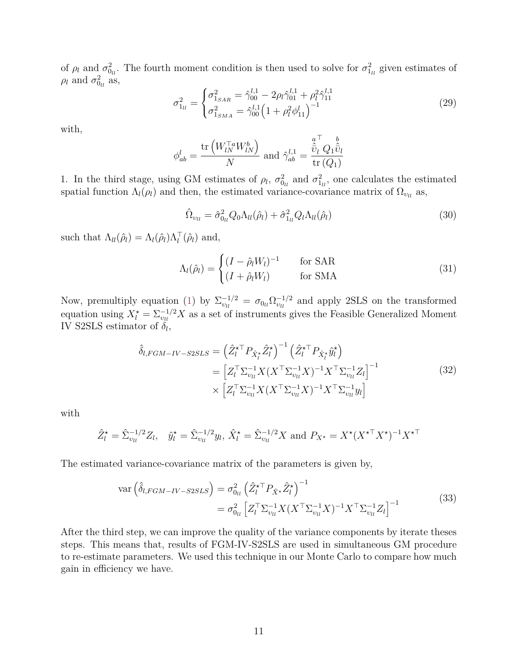of  $\rho_l$  and  $\sigma_{0_l}^2$ . The fourth moment condition is then used to solve for  $\sigma_{1_l}^2$  given estimates of  $\rho_l$  and  $\sigma_{0_{ll}}^2$  as,

$$
\sigma_{1_{ll}}^2 = \begin{cases}\n\sigma_{1_{SAR}}^2 = \hat{\gamma}_{00}^{l,1} - 2\rho_l \hat{\gamma}_{01}^{l,1} + \rho_l^2 \hat{\gamma}_{11}^{l,1} \\
\sigma_{1_{SMA}}^2 = \hat{\gamma}_{00}^{l,1} \left(1 + \rho_l^2 \phi_{11}^l\right)^{-1}\n\end{cases}
$$
\n(29)

with,

$$
\phi_{ab}^l = \frac{\text{tr}\left(W_{lN}^{\top a} W_{lN}^b\right)}{N} \text{ and } \hat{\gamma}_{ab}^{l,1} = \frac{\hat{\hat{v}}_l^{\top} Q_1 \hat{\hat{v}}_l}{\text{tr}\left(Q_1\right)}
$$

1. In the third stage, using GM estimates of  $\rho_l$ ,  $\sigma_{0_l}^2$  and  $\sigma_{1_l}^2$ , one calculates the estimated spatial function  $\Lambda_l(\rho_l)$  and then, the estimated variance-covariance matrix of  $\Omega_{\nu_l}$  as,

$$
\hat{\Omega}_{\nu_{ll}} = \hat{\sigma}_{0_{ll}}^2 Q_0 \Lambda_{ll}(\hat{\rho}_l) + \hat{\sigma}_{1_{ll}}^2 Q_l \Lambda_{ll}(\hat{\rho}_l)
$$
\n(30)

such that  $\Lambda_{ll}(\hat{\rho}_l) = \Lambda_l(\hat{\rho}_l) \Lambda_l^{\top}(\hat{\rho}_l)$  and,

$$
\Lambda_l(\hat{\rho}_l) = \begin{cases}\n(I - \hat{\rho}_l W_l)^{-1} & \text{for SAR} \\
(I + \hat{\rho}_l W_l) & \text{for SMA}\n\end{cases}
$$
\n(31)

Now, premultiply equation (1) by  $\Sigma_{v_l}^{-1/2} = \sigma_{0_l} \Omega_{v_l}^{-1/2}$  and apply 2SLS on the transformed equation using  $X_l^* = \sum_{v_l}^{-1/2} X$  as a set of instruments gives the Feasible Generalized Moment IV S2SLS estimator of  $\delta_l$ ,

$$
\hat{\delta}_{l,FGM-IV-SSLS} = \left(\hat{Z}_{l}^{\star\top} P_{\hat{X}_{l}^{\star}} \hat{Z}_{l}^{\star}\right)^{-1} \left(\hat{Z}_{l}^{\star\top} P_{\hat{X}_{l}^{\star}} \hat{y}_{l}^{\star}\right)
$$
\n
$$
= \left[Z_{l}^{\top} \Sigma_{v_{ll}}^{-1} X (X^{\top} \Sigma_{v_{ll}}^{-1} X)^{-1} X^{\top} \Sigma_{v_{ll}}^{-1} Z_{l}\right]^{-1}
$$
\n
$$
\times \left[Z_{l}^{\top} \Sigma_{v_{ll}}^{-1} X (X^{\top} \Sigma_{v_{ll}}^{-1} X)^{-1} X^{\top} \Sigma_{v_{ll}}^{-1} y_{l}\right]
$$
\n(32)

with

$$
\hat{Z}_l^{\star} = \hat{\Sigma}_{vu}^{-1/2} Z_l, \quad \hat{y}_l^{\star} = \hat{\Sigma}_{vu}^{-1/2} y_l, \ \hat{X}_l^{\star} = \hat{\Sigma}_{vu}^{-1/2} X \text{ and } P_{X^{\star}} = X^{\star} (X^{\star \top} X^{\star})^{-1} X^{\star \top}
$$

The estimated variance-covariance matrix of the parameters is given by,

$$
\text{var}\left(\hat{\delta}_{l,FGM-IV-SSLS}\right) = \sigma_{0_{ll}}^{2} \left(\hat{Z}_{l}^{\star\top} P_{\hat{X}^{\star}} \hat{Z}_{l}^{\star}\right)^{-1} \n= \sigma_{0_{ll}}^{2} \left[Z_{l}^{\top} \Sigma_{vu}^{-1} X (X^{\top} \Sigma_{vu}^{-1} X)^{-1} X^{\top} \Sigma_{vu}^{-1} Z_{l}\right]^{-1}
$$
\n(33)

After the third step, we can improve the quality of the variance components by iterate theses steps. This means that, results of FGM-IV-S2SLS are used in simultaneous GM procedure to re-estimate parameters. We used this technique in our Monte Carlo to compare how much gain in efficiency we have.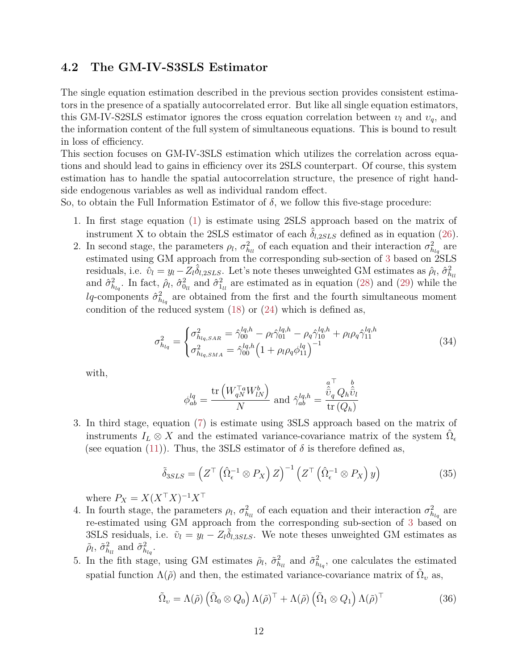### **4.2 The GM-IV-S3SLS Estimator**

The single equation estimation described in the previous section provides consistent estimators in the presence of a spatially autocorrelated error. But like all single equation estimators, this GM-IV-S2SLS estimator ignores the cross equation correlation between  $v_l$  and  $v_q$ , and the information content of the full system of simultaneous equations. This is bound to result in loss of efficiency.

This section focuses on GM-IV-3SLS estimation which utilizes the correlation across equations and should lead to gains in efficiency over its 2SLS counterpart. Of course, this system estimation has to handle the spatial autocorrelation structure, the presence of right handside endogenous variables as well as individual random effect.

So, to obtain the Full Information Estimator of  $\delta$ , we follow this five-stage procedure:

- 1. In first stage equation (1) is estimate using 2SLS approach based on the matrix of instrument X to obtain the 2SLS estimator of each  $\delta_{l,2SLS}$  defined as in equation (26).
- 2. In second stage, the parameters  $\rho_l$ ,  $\sigma_{h_l}^2$  of each equation and their interaction  $\sigma_{h_{lq}}^2$  are estimated using GM approach from the corresponding sub-section of 3 based on 2SLS residuals, i.e.  $\hat{v}_l = y_l - Z_l \hat{\delta}_{l,2SLS}$ . Let's note theses unweighted GM estimates as  $\hat{\rho}_l$ ,  $\hat{\sigma}_{h_{ll}}^2$ and  $\hat{\sigma}_{h_{lq}}^2$ . In fact,  $\hat{\rho}_l$ ,  $\hat{\sigma}_{0_l}^2$  and  $\hat{\sigma}_{1_l}^2$  are estimated as in equation (28) and (29) while the *lq*-components  $\hat{\sigma}^2_{h_{lq}}$  are obtained from the first and the fourth simultaneous moment condition of the reduced system  $(18)$  or  $(24)$  which is defined as,

$$
\sigma_{h_{lq}}^{2} = \begin{cases}\n\sigma_{h_{lq,SAR}}^{2} = \hat{\gamma}_{00}^{lq,h} - \rho_{l}\hat{\gamma}_{01}^{lq,h} - \rho_{q}\hat{\gamma}_{10}^{lq,h} + \rho_{l}\rho_{q}\hat{\gamma}_{11}^{lq,h} \\
\sigma_{h_{lq,SMA}}^{2} = \hat{\gamma}_{00}^{lq,h} \left(1 + \rho_{l}\rho_{q}\phi_{11}^{lq}\right)^{-1}\n\end{cases}
$$
\n(34)

with,

$$
\phi^{lq}_{ab} = \frac{\mathrm{tr}\left(W^{\top a}_{qN}W^b_{lN}\right)}{N} \text{ and } \hat{\gamma}^{lq,h}_{ab} = \frac{\overset{a}{\overset{\leftarrow}{U}}_{q}Q_h\overset{b}{\overset{\leftarrow}{U}}_{l}}{\mathrm{tr}\left(Q_h\right)}
$$

3. In third stage, equation (7) is estimate using 3SLS approach based on the matrix of instruments  $I_L \otimes X$  and the estimated variance-covariance matrix of the system  $\hat{\Omega}_{\epsilon}$ (see equation (11)). Thus, the 3SLS estimator of  $\delta$  is therefore defined as,

$$
\tilde{\delta}_{3SLS} = \left( Z^{\top} \left( \hat{\Omega}_{\epsilon}^{-1} \otimes P_X \right) Z \right)^{-1} \left( Z^{\top} \left( \hat{\Omega}_{\epsilon}^{-1} \otimes P_X \right) y \right) \tag{35}
$$

where  $P_X = X(X^{\top}X)^{-1}X^{\top}$ 

- 4. In fourth stage, the parameters  $\rho_l$ ,  $\sigma_{h_l}^2$  of each equation and their interaction  $\sigma_{h_{lq}}^2$  are re-estimated using GM approach from the corresponding sub-section of 3 based on 3SLS residuals, i.e.  $\tilde{v}_l = y_l - Z_l \tilde{\delta}_{l,3SLS}$ . We note theses unweighted GM estimates as  $\tilde{\rho}_l$ ,  $\tilde{\sigma}_{h_{ll}}^2$  and  $\tilde{\sigma}_{h_{lq}}^2$ .
- 5. In the fith stage, using GM estimates  $\tilde{\rho}_l$ ,  $\tilde{\sigma}_{h_{ll}}^2$  and  $\tilde{\sigma}_{h_{lq}}^2$ , one calculates the estimated spatial function  $\Lambda(\tilde{\rho})$  and then, the estimated variance-covariance matrix of  $\tilde{\Omega}_v$  as,

$$
\tilde{\Omega}_{\upsilon} = \Lambda(\tilde{\rho}) \left( \tilde{\Omega}_0 \otimes Q_0 \right) \Lambda(\tilde{\rho})^{\top} + \Lambda(\tilde{\rho}) \left( \tilde{\Omega}_1 \otimes Q_1 \right) \Lambda(\tilde{\rho})^{\top} \tag{36}
$$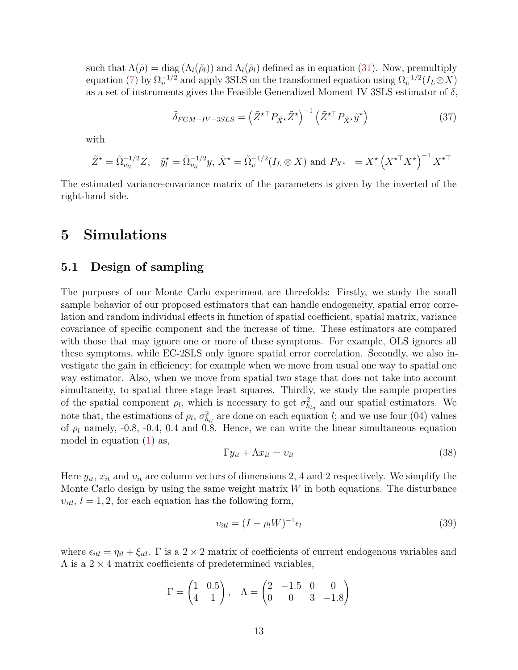such that  $\Lambda(\tilde{\rho}) = \text{diag}(\Lambda_l(\tilde{\rho}_l))$  and  $\Lambda_l(\tilde{\rho}_l)$  defined as in equation (31). Now, premultiply equation (7) by  $\Omega_v^{-1/2}$  and apply 3SLS on the transformed equation using  $\Omega_v^{-1/2}(I_L \otimes X)$ as a set of instruments gives the Feasible Generalized Moment IV 3SLS estimator of *δ*,

$$
\tilde{\delta}_{FGM-IV-3SLS} = \left(\tilde{Z}^{\star \top} P_{\tilde{X}^{\star}} \tilde{Z}^{\star}\right)^{-1} \left(\tilde{Z}^{\star \top} P_{\tilde{X}^{\star}} \tilde{y}^{\star}\right) \tag{37}
$$

with

$$
\tilde{Z}^{\star} = \tilde{\Omega}_{v_{ll}}^{-1/2} Z, \quad \tilde{y}_l^{\star} = \tilde{\Omega}_{v_{ll}}^{-1/2} y, \ \tilde{X}^{\star} = \tilde{\Omega}_{v}^{-1/2} (I_L \otimes X) \text{ and } P_{X^{\star}} = X^{\star} \left( X^{\star \top} X^{\star} \right)^{-1} X^{\star \top}
$$

The estimated variance-covariance matrix of the parameters is given by the inverted of the right-hand side.

## **5 Simulations**

### **5.1 Design of sampling**

The purposes of our Monte Carlo experiment are threefolds: Firstly, we study the small sample behavior of our proposed estimators that can handle endogeneity, spatial error correlation and random individual effects in function of spatial coefficient, spatial matrix, variance covariance of specific component and the increase of time. These estimators are compared with those that may ignore one or more of these symptoms. For example, OLS ignores all these symptoms, while EC-2SLS only ignore spatial error correlation. Secondly, we also investigate the gain in efficiency; for example when we move from usual one way to spatial one way estimator. Also, when we move from spatial two stage that does not take into account simultaneity, to spatial three stage least squares. Thirdly, we study the sample properties of the spatial component  $\rho_l$ , which is necessary to get  $\sigma_{h_{lq}}^2$  and our spatial estimators. We note that, the estimations of  $\rho_l$ ,  $\sigma_{h_l}^2$  are done on each equation *l*; and we use four (04) values of  $\rho_l$  namely, -0.8, -0.4, 0.4 and 0.8. Hence, we can write the linear simultaneous equation model in equation (1) as,

$$
\Gamma y_{it} + \Lambda x_{it} = v_{it} \tag{38}
$$

Here *yit*, *xit* and *υit* are column vectors of dimensions 2, 4 and 2 respectively. We simplify the Monte Carlo design by using the same weight matrix *W* in both equations. The disturbance  $v_{itl}$ ,  $l = 1, 2$ , for each equation has the following form,

$$
v_{itl} = (I - \rho_l W)^{-1} \epsilon_l \tag{39}
$$

where  $\epsilon_{itl} = \eta_{il} + \xi_{itl}$ . Γ is a 2 × 2 matrix of coefficients of current endogenous variables and  $\Lambda$  is a 2  $\times$  4 matrix coefficients of predetermined variables,

$$
\Gamma = \begin{pmatrix} 1 & 0.5 \\ 4 & 1 \end{pmatrix}, \quad \Lambda = \begin{pmatrix} 2 & -1.5 & 0 & 0 \\ 0 & 0 & 3 & -1.8 \end{pmatrix}
$$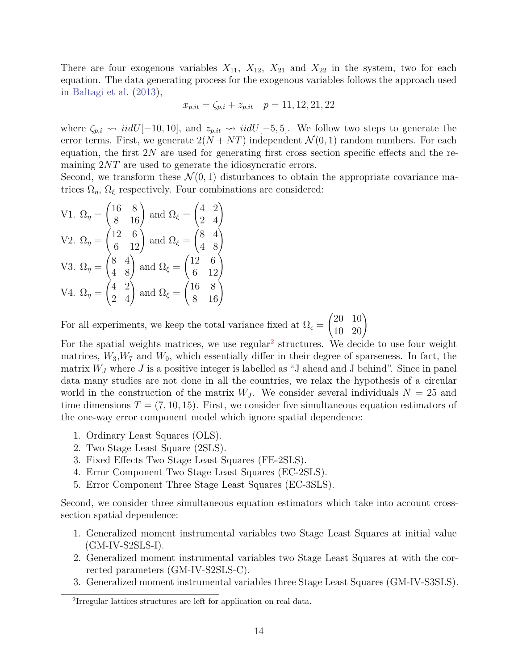There are four exogenous variables  $X_{11}$ ,  $X_{12}$ ,  $X_{21}$  and  $X_{22}$  in the system, two for each equation. The data generating process for the exogenous variables follows the approach used in Baltagi et al. (2013),

$$
x_{p,it} = \zeta_{p,i} + z_{p,it} \quad p = 11, 12, 21, 22
$$

where  $\zeta_{p,i} \rightsquigarrow \textit{iidU}[-10, 10]$ , and  $z_{p,it} \rightsquigarrow \textit{iidU}[-5, 5]$ . We follow two steps to generate the error terms. First, we generate  $2(N + NT)$  independent  $\mathcal{N}(0, 1)$  random numbers. For each equation, the first 2*N* are used for generating first cross section specific effects and the remaining  $2NT$  are used to generate the idiosyncratic errors.

Second, we transform these  $\mathcal{N}(0,1)$  disturbances to obtain the appropriate covariance matrices  $\Omega_n$ ,  $\Omega_\xi$  respectively. Four combinations are considered:

V1. 
$$
\Omega_{\eta} = \begin{pmatrix} 16 & 8 \\ 8 & 16 \end{pmatrix}
$$
 and  $\Omega_{\xi} = \begin{pmatrix} 4 & 2 \\ 2 & 4 \end{pmatrix}$   
\nV2.  $\Omega_{\eta} = \begin{pmatrix} 12 & 6 \\ 6 & 12 \end{pmatrix}$  and  $\Omega_{\xi} = \begin{pmatrix} 8 & 4 \\ 4 & 8 \end{pmatrix}$   
\nV3.  $\Omega_{\eta} = \begin{pmatrix} 8 & 4 \\ 4 & 8 \end{pmatrix}$  and  $\Omega_{\xi} = \begin{pmatrix} 12 & 6 \\ 6 & 12 \end{pmatrix}$   
\nV4.  $\Omega_{\eta} = \begin{pmatrix} 4 & 2 \\ 2 & 4 \end{pmatrix}$  and  $\Omega_{\xi} = \begin{pmatrix} 16 & 8 \\ 8 & 16 \end{pmatrix}$ 

For all experiments, we keep the total variance fixed at  $\Omega_{\epsilon} =$  $\begin{pmatrix} 20 & 10 \\ 10 & 20 \end{pmatrix}$ 

For the spatial weights matrices, we use regular<sup>2</sup> structures. We decide to use four weight matrices,  $W_3, W_7$  and  $W_9$ , which essentially differ in their degree of sparseness. In fact, the matrix  $W_J$  where  $J$  is a positive integer is labelled as "J ahead and J behind". Since in panel data many studies are not done in all the countries, we relax the hypothesis of a circular world in the construction of the matrix  $W_J$ . We consider several individuals  $N = 25$  and time dimensions  $T = (7, 10, 15)$ . First, we consider five simultaneous equation estimators of the one-way error component model which ignore spatial dependence:

- 1. Ordinary Least Squares (OLS).
- 2. Two Stage Least Square (2SLS).
- 3. Fixed Effects Two Stage Least Squares (FE-2SLS).
- 4. Error Component Two Stage Least Squares (EC-2SLS).
- 5. Error Component Three Stage Least Squares (EC-3SLS).

Second, we consider three simultaneous equation estimators which take into account crosssection spatial dependence:

- 1. Generalized moment instrumental variables two Stage Least Squares at initial value  $(GM-IV-S2SLS-I).$
- 2. Generalized moment instrumental variables two Stage Least Squares at with the corrected parameters (GM-IV-S2SLS-C).
- 3. Generalized moment instrumental variables three Stage Least Squares (GM-IV-S3SLS).

<sup>2</sup> Irregular lattices structures are left for application on real data.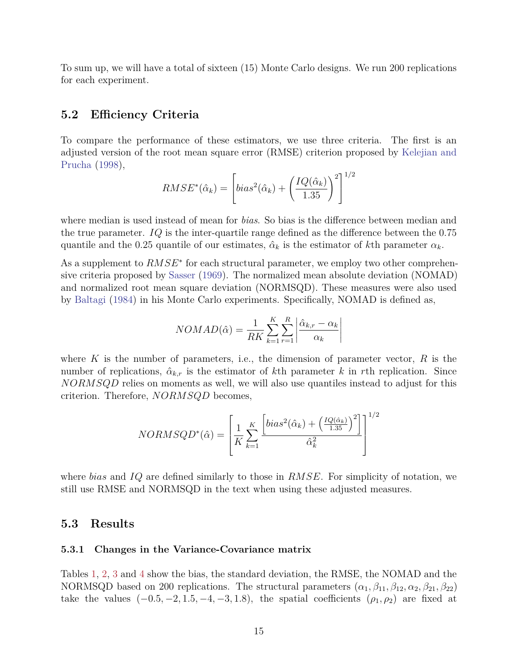To sum up, we will have a total of sixteen (15) Monte Carlo designs. We run 200 replications for each experiment.

#### **5.2 Efficiency Criteria**

To compare the performance of these estimators, we use three criteria. The first is an adjusted version of the root mean square error (RMSE) criterion proposed by Kelejian and Prucha (1998),

$$
RMSE^*(\hat{\alpha}_k) = \left[ bias^2(\hat{\alpha}_k) + \left(\frac{IQ(\hat{\alpha}_k)}{1.35}\right)^2 \right]^{1/2}
$$

where median is used instead of mean for *bias*. So bias is the difference between median and the true parameter. *IQ* is the inter-quartile range defined as the difference between the 0*.*75 quantile and the 0.25 quantile of our estimates,  $\hat{\alpha}_k$  is the estimator of kth parameter  $\alpha_k$ .

As a supplement to  $RMSE^*$  for each structural parameter, we employ two other comprehensive criteria proposed by Sasser (1969). The normalized mean absolute deviation (NOMAD) and normalized root mean square deviation (NORMSQD). These measures were also used by Baltagi (1984) in his Monte Carlo experiments. Specifically, NOMAD is defined as,

$$
NOMAD(\hat{\alpha}) = \frac{1}{RK} \sum_{k=1}^{K} \sum_{r=1}^{R} \left| \frac{\hat{\alpha}_{k,r} - \alpha_k}{\alpha_k} \right|
$$

where *K* is the number of parameters, i.e., the dimension of parameter vector, *R* is the number of replications,  $\hat{\alpha}_{k,r}$  is the estimator of kth parameter k in rth replication. Since *NORMSQD* relies on moments as well, we will also use quantiles instead to adjust for this criterion. Therefore, *NORMSQD* becomes,

$$
NORMSQD^*(\hat{\alpha}) = \left[\frac{1}{K} \sum_{k=1}^K \frac{\left[ bias^2(\hat{\alpha}_k) + \left(\frac{IQ(\hat{\alpha}_k)}{1.35}\right)^2\right]}{\hat{\alpha}_k^2}\right]^{1/2}
$$

where *bias* and *IQ* are defined similarly to those in *RMSE*. For simplicity of notation, we still use RMSE and NORMSQD in the text when using these adjusted measures.

#### **5.3 Results**

#### **5.3.1 Changes in the Variance-Covariance matrix**

Tables 1, 2, 3 and 4 show the bias, the standard deviation, the RMSE, the NOMAD and the NORMSQD based on 200 replications. The structural parameters  $(\alpha_1, \beta_{11}, \beta_{12}, \alpha_2, \beta_{21}, \beta_{22})$ take the values  $(-0.5, -2, 1.5, -4, -3, 1.8)$ , the spatial coefficients  $(\rho_1, \rho_2)$  are fixed at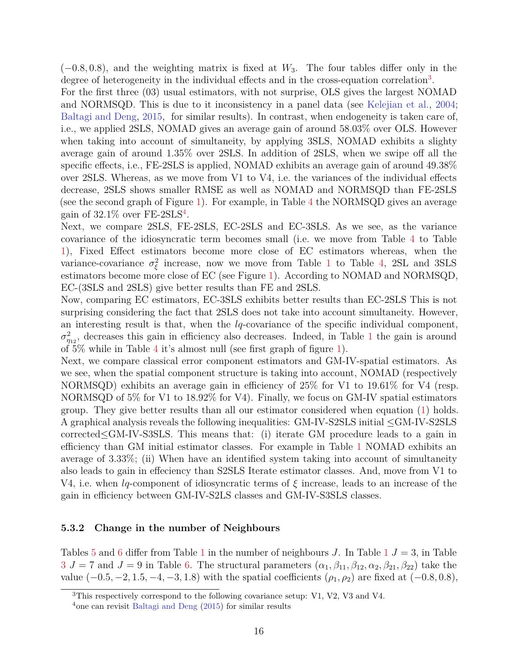(−0*.*8*,* 0*.*8), and the weighting matrix is fixed at *W*3. The four tables differ only in the degree of heterogeneity in the individual effects and in the cross-equation correlation<sup>3</sup>.

For the first three (03) usual estimators, with not surprise, OLS gives the largest NOMAD and NORMSQD. This is due to it inconsistency in a panel data (see Kelejian et al., 2004; Baltagi and Deng, 2015, for similar results). In contrast, when endogeneity is taken care of, i.e., we applied 2SLS, NOMAD gives an average gain of around 58.03% over OLS. However when taking into account of simultaneity, by applying 3SLS, NOMAD exhibits a slighty average gain of around 1.35% over 2SLS. In addition of 2SLS, when we swipe off all the specific effects, i.e., FE-2SLS is applied, NOMAD exhibits an average gain of around 49.38% over 2SLS. Whereas, as we move from V1 to V4, i.e. the variances of the individual effects decrease, 2SLS shows smaller RMSE as well as NOMAD and NORMSQD than FE-2SLS (see the second graph of Figure 1). For example, in Table 4 the NORMSQD gives an average gain of  $32.1\%$  over FE-2SLS<sup>4</sup>.

Next, we compare 2SLS, FE-2SLS, EC-2SLS and EC-3SLS. As we see, as the variance covariance of the idiosyncratic term becomes small (i.e. we move from Table 4 to Table 1), Fixed Effect estimators become more close of EC estimators whereas, when the variance-covariance  $\sigma_{\xi}^2$  increase, now we move from Table 1 to Table 4, 2SL and 3SLS estimators become more close of EC (see Figure 1). According to NOMAD and NORMSQD, EC-(3SLS and 2SLS) give better results than FE and 2SLS.

Now, comparing EC estimators, EC-3SLS exhibits better results than EC-2SLS This is not surprising considering the fact that 2SLS does not take into account simultaneity. However, an interesting result is that, when the *lq*-covariance of the specific individual component,  $\sigma_{\eta_{12}}^2$ , decreases this gain in efficiency also decreases. Indeed, in Table 1 the gain is around of 5% while in Table 4 it's almost null (see first graph of figure 1).

Next, we compare classical error component estimators and GM-IV-spatial estimators. As we see, when the spatial component structure is taking into account, NOMAD (respectively NORMSQD) exhibits an average gain in efficiency of 25% for V1 to 19.61% for V4 (resp. NORMSQD of 5% for V1 to 18.92% for V4). Finally, we focus on GM-IV spatial estimators group. They give better results than all our estimator considered when equation (1) holds. A graphical analysis reveals the following inequalities: GM-IV-S2SLS initial ≤GM-IV-S2SLS corrected≤GM-IV-S3SLS. This means that: (i) iterate GM procedure leads to a gain in efficiency than GM initial estimator classes. For example in Table 1 NOMAD exhibits an average of 3.33%; (ii) When have an identified system taking into account of simultaneity also leads to gain in effeciency than S2SLS Iterate estimator classes. And, move from V1 to V4, i.e. when *lq*-component of idiosyncratic terms of *ξ* increase, leads to an increase of the gain in efficiency between GM-IV-S2LS classes and GM-IV-S3SLS classes.

#### **5.3.2 Change in the number of Neighbours**

Tables 5 and 6 differ from Table 1 in the number of neighbours *J*. In Table 1 *J* = 3, in Table  $3 J = 7$  and  $J = 9$  in Table 6. The structural parameters  $(\alpha_1, \beta_{11}, \beta_{12}, \alpha_2, \beta_{21}, \beta_{22})$  take the value  $(-0.5, -2, 1.5, -4, -3, 1.8)$  with the spatial coefficients  $(\rho_1, \rho_2)$  are fixed at  $(-0.8, 0.8)$ ,

<sup>3</sup>This respectively correspond to the following covariance setup: V1, V2, V3 and V4.

<sup>4</sup>one can revisit Baltagi and Deng (2015) for similar results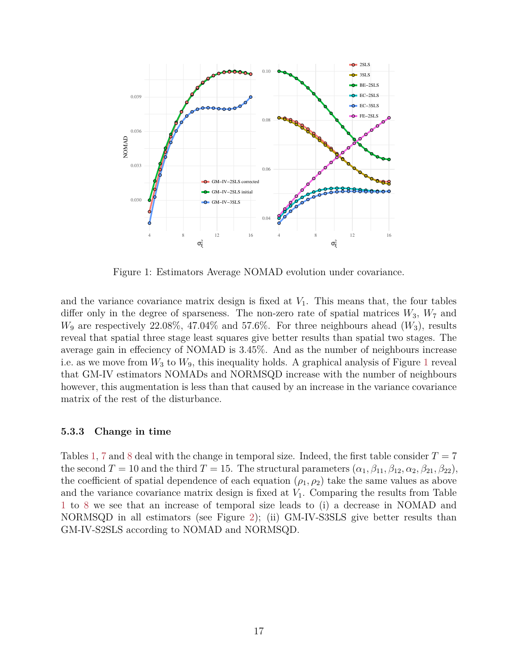

Figure 1: Estimators Average NOMAD evolution under covariance.

and the variance covariance matrix design is fixed at  $V_1$ . This means that, the four tables differ only in the degree of sparseness. The non-zero rate of spatial matrices  $W_3$ ,  $W_7$  and *W*<sup>9</sup> are respectively 22.08%, 47.04% and 57.6%. For three neighbours ahead (*W*3), results reveal that spatial three stage least squares give better results than spatial two stages. The average gain in effeciency of NOMAD is 3.45%. And as the number of neighbours increase i.e. as we move from  $W_3$  to  $W_9$ , this inequality holds. A graphical analysis of Figure 1 reveal that GM-IV estimators NOMADs and NORMSQD increase with the number of neighbours however, this augmentation is less than that caused by an increase in the variance covariance matrix of the rest of the disturbance.

#### **5.3.3 Change in time**

Tables 1, 7 and 8 deal with the change in temporal size. Indeed, the first table consider  $T = 7$ the second  $T = 10$  and the third  $T = 15$ . The structural parameters  $(\alpha_1, \beta_{11}, \beta_{12}, \alpha_2, \beta_{21}, \beta_{22})$ , the coefficient of spatial dependence of each equation  $(\rho_1, \rho_2)$  take the same values as above and the variance covariance matrix design is fixed at  $V_1$ . Comparing the results from Table 1 to 8 we see that an increase of temporal size leads to (i) a decrease in NOMAD and NORMSQD in all estimators (see Figure 2); (ii) GM-IV-S3SLS give better results than GM-IV-S2SLS according to NOMAD and NORMSQD.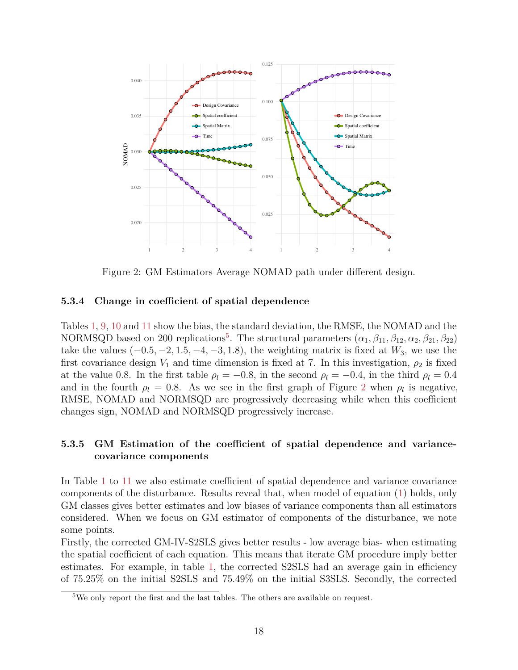

Figure 2: GM Estimators Average NOMAD path under different design.

#### **5.3.4 Change in coefficient of spatial dependence**

Tables 1, 9, 10 and 11 show the bias, the standard deviation, the RMSE, the NOMAD and the NORMSQD based on 200 replications<sup>5</sup>. The structural parameters  $(\alpha_1, \beta_{11}, \beta_{12}, \alpha_2, \beta_{21}, \beta_{22})$ take the values  $(-0.5, -2, 1.5, -4, -3, 1.8)$ , the weighting matrix is fixed at  $W_3$ , we use the first covariance design  $V_1$  and time dimension is fixed at 7. In this investigation,  $\rho_2$  is fixed at the value 0.8. In the first table  $\rho_l = -0.8$ , in the second  $\rho_l = -0.4$ , in the third  $\rho_l = 0.4$ and in the fourth  $\rho_l = 0.8$ . As we see in the first graph of Figure 2 when  $\rho_l$  is negative, RMSE, NOMAD and NORMSQD are progressively decreasing while when this coefficient changes sign, NOMAD and NORMSQD progressively increase.

### **5.3.5 GM Estimation of the coefficient of spatial dependence and variancecovariance components**

In Table 1 to 11 we also estimate coefficient of spatial dependence and variance covariance components of the disturbance. Results reveal that, when model of equation (1) holds, only GM classes gives better estimates and low biases of variance components than all estimators considered. When we focus on GM estimator of components of the disturbance, we note some points.

Firstly, the corrected GM-IV-S2SLS gives better results - low average bias- when estimating the spatial coefficient of each equation. This means that iterate GM procedure imply better estimates. For example, in table 1, the corrected S2SLS had an average gain in efficiency of 75.25% on the initial S2SLS and 75.49% on the initial S3SLS. Secondly, the corrected

<sup>&</sup>lt;sup>5</sup>We only report the first and the last tables. The others are available on request.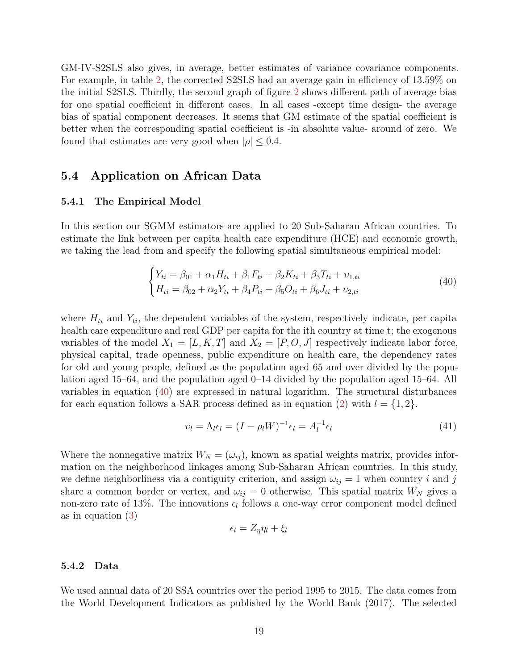GM-IV-S2SLS also gives, in average, better estimates of variance covariance components. For example, in table 2, the corrected S2SLS had an average gain in efficiency of 13.59% on the initial S2SLS. Thirdly, the second graph of figure 2 shows different path of average bias for one spatial coefficient in different cases. In all cases -except time design- the average bias of spatial component decreases. It seems that GM estimate of the spatial coefficient is better when the corresponding spatial coefficient is -in absolute value- around of zero. We found that estimates are very good when  $|\rho| \leq 0.4$ .

### **5.4 Application on African Data**

#### **5.4.1 The Empirical Model**

In this section our SGMM estimators are applied to 20 Sub-Saharan African countries. To estimate the link between per capita health care expenditure (HCE) and economic growth, we taking the lead from and specify the following spatial simultaneous empirical model:

$$
\begin{cases}\nY_{ti} = \beta_{01} + \alpha_1 H_{ti} + \beta_1 F_{ti} + \beta_2 K_{ti} + \beta_3 T_{ti} + \nu_{1,ti} \\
H_{ti} = \beta_{02} + \alpha_2 Y_{ti} + \beta_4 P_{ti} + \beta_5 O_{ti} + \beta_6 J_{ti} + \nu_{2,ti}\n\end{cases} (40)
$$

where  $H_{ti}$  and  $Y_{ti}$ , the dependent variables of the system, respectively indicate, per capita health care expenditure and real GDP per capita for the ith country at time t; the exogenous variables of the model  $X_1 = [L, K, T]$  and  $X_2 = [P, O, J]$  respectively indicate labor force, physical capital, trade openness, public expenditure on health care, the dependency rates for old and young people, defined as the population aged 65 and over divided by the population aged 15–64, and the population aged 0–14 divided by the population aged 15–64. All variables in equation (40) are expressed in natural logarithm. The structural disturbances for each equation follows a SAR process defined as in equation (2) with  $l = \{1, 2\}$ .

$$
v_l = \Lambda_l \epsilon_l = (I - \rho_l W)^{-1} \epsilon_l = A_l^{-1} \epsilon_l \tag{41}
$$

Where the nonnegative matrix  $W_N = (\omega_{ij})$ , known as spatial weights matrix, provides information on the neighborhood linkages among Sub-Saharan African countries. In this study, we define neighborliness via a contiguity criterion, and assign  $\omega_{ij} = 1$  when country *i* and *j* share a common border or vertex, and  $\omega_{ij} = 0$  otherwise. This spatial matrix  $W_N$  gives a non-zero rate of 13%. The innovations  $\epsilon_l$  follows a one-way error component model defined as in equation (3)

$$
\epsilon_l = Z_{\eta} \eta_l + \xi_l
$$

#### **5.4.2 Data**

We used annual data of 20 SSA countries over the period 1995 to 2015. The data comes from the World Development Indicators as published by the World Bank (2017). The selected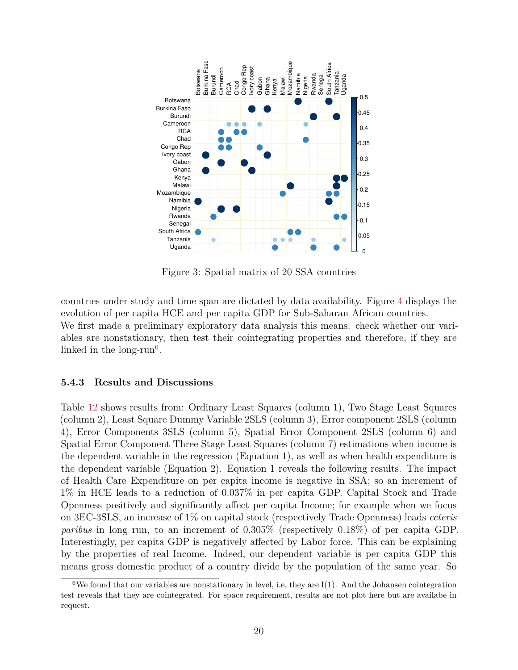

Figure 3: Spatial matrix of 20 SSA countries

countries under study and time span are dictated by data availability. Figure 4 displays the evolution of per capita HCE and per capita GDP for Sub-Saharan African countries. We first made a preliminary exploratory data analysis this means: check whether our variables are nonstationary, then test their cointegrating properties and therefore, if they are linked in the long- $run<sup>6</sup>$ .

#### **5.4.3 Results and Discussions**

Table 12 shows results from: Ordinary Least Squares (column 1), Two Stage Least Squares (column 2), Least Square Dummy Variable 2SLS (column 3), Error component 2SLS (column 4), Error Components 3SLS (column 5), Spatial Error Component 2SLS (column 6) and Spatial Error Component Three Stage Least Squares (column 7) estimations when income is the dependent variable in the regression (Equation 1), as well as when health expenditure is the dependent variable (Equation 2). Equation 1 reveals the following results. The impact of Health Care Expenditure on per capita income is negative in SSA; so an increment of 1% in HCE leads to a reduction of 0.037% in per capita GDP. Capital Stock and Trade Openness positively and significantly affect per capita Income; for example when we focus on 3EC-3SLS, an increase of 1% on capital stock (respectively Trade Openness) leads *ceteris paribus* in long run, to an increment of 0.305% (respectively 0.18%) of per capita GDP. Interestingly, per capita GDP is negatively affected by Labor force. This can be explaining by the properties of real Income. Indeed, our dependent variable is per capita GDP this means gross domestic product of a country divide by the population of the same year. So

<sup>&</sup>lt;sup>6</sup>We found that our variables are nonstationary in level, i.e, they are  $I(1)$ . And the Johansen cointegration test reveals that they are cointegrated. For space requirement, results are not plot here but are availabe in request.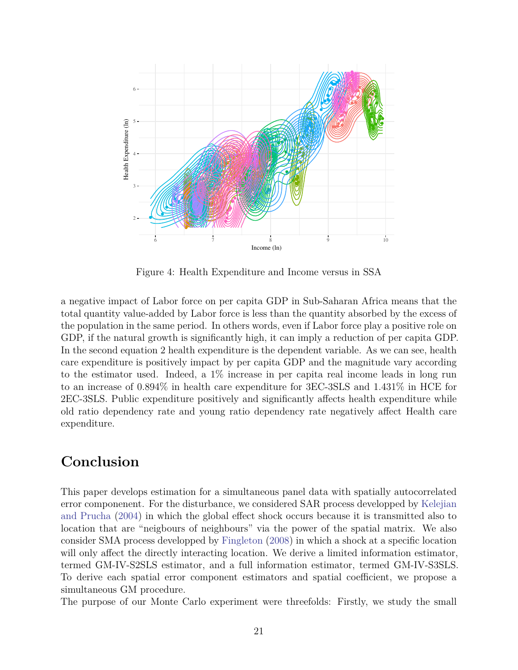

Figure 4: Health Expenditure and Income versus in SSA

a negative impact of Labor force on per capita GDP in Sub-Saharan Africa means that the total quantity value-added by Labor force is less than the quantity absorbed by the excess of the population in the same period. In others words, even if Labor force play a positive role on GDP, if the natural growth is significantly high, it can imply a reduction of per capita GDP. In the second equation 2 health expenditure is the dependent variable. As we can see, health care expenditure is positively impact by per capita GDP and the magnitude vary according to the estimator used. Indeed, a 1% increase in per capita real income leads in long run to an increase of 0.894% in health care expenditure for 3EC-3SLS and 1.431% in HCE for 2EC-3SLS. Public expenditure positively and significantly affects health expenditure while old ratio dependency rate and young ratio dependency rate negatively affect Health care expenditure.

# **Conclusion**

This paper develops estimation for a simultaneous panel data with spatially autocorrelated error componenent. For the disturbance, we considered SAR process developped by Kelejian and Prucha (2004) in which the global effect shock occurs because it is transmitted also to location that are "neigbours of neighbours" via the power of the spatial matrix. We also consider SMA process developped by Fingleton (2008) in which a shock at a specific location will only affect the directly interacting location. We derive a limited information estimator, termed GM-IV-S2SLS estimator, and a full information estimator, termed GM-IV-S3SLS. To derive each spatial error component estimators and spatial coefficient, we propose a simultaneous GM procedure.

The purpose of our Monte Carlo experiment were threefolds: Firstly, we study the small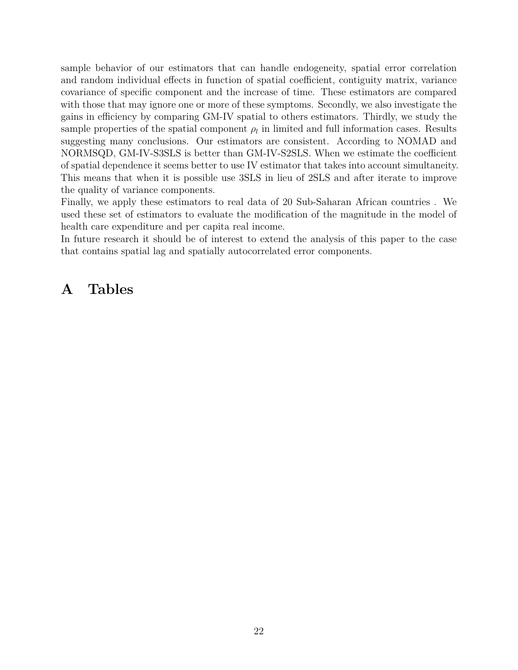sample behavior of our estimators that can handle endogeneity, spatial error correlation and random individual effects in function of spatial coefficient, contiguity matrix, variance covariance of specific component and the increase of time. These estimators are compared with those that may ignore one or more of these symptoms. Secondly, we also investigate the gains in efficiency by comparing GM-IV spatial to others estimators. Thirdly, we study the sample properties of the spatial component  $\rho_l$  in limited and full information cases. Results suggesting many conclusions. Our estimators are consistent. According to NOMAD and NORMSQD, GM-IV-S3SLS is better than GM-IV-S2SLS. When we estimate the coefficient of spatial dependence it seems better to use IV estimator that takes into account simultaneity. This means that when it is possible use 3SLS in lieu of 2SLS and after iterate to improve the quality of variance components.

Finally, we apply these estimators to real data of 20 Sub-Saharan African countries . We used these set of estimators to evaluate the modification of the magnitude in the model of health care expenditure and per capita real income.

In future research it should be of interest to extend the analysis of this paper to the case that contains spatial lag and spatially autocorrelated error components.

# **A Tables**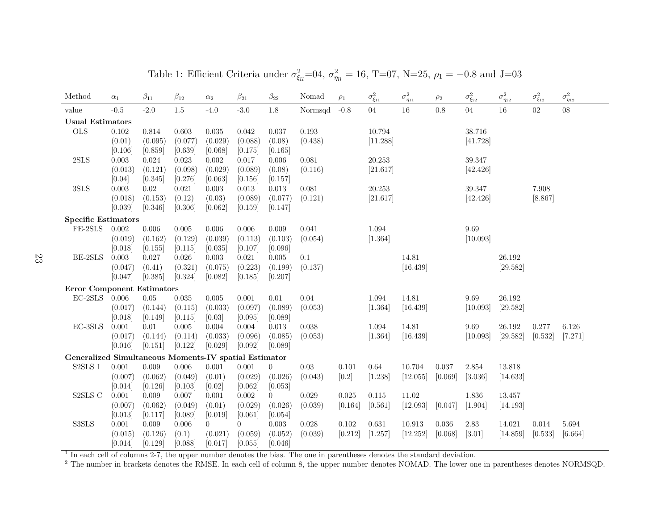| Method                                                | $\alpha_1$  | $\beta_{11}$ | $\beta_{12}$ | $\alpha_2$     | $\beta_{21}$   | $\beta_{22}$   | Nomad     | $\rho_1$    | $\sigma^2_{\xi_{11}}$ | $\sigma^2_{\eta_{11}}$ | $\rho_2$ | $\sigma^2_{\xi_{22}}$ | $\sigma^2_{\eta_{22}}$ | $\sigma^2_{\xi_{12}}$ | $\sigma^2_{\eta_{12}}$ |
|-------------------------------------------------------|-------------|--------------|--------------|----------------|----------------|----------------|-----------|-------------|-----------------------|------------------------|----------|-----------------------|------------------------|-----------------------|------------------------|
| value                                                 | $-0.5$      | $-2.0$       | $1.5\,$      | $-4.0$         | $-3.0$         | 1.8            | Normsqd   | $-0.8$      | $04\,$                | $16\,$                 | 0.8      | $04\,$                | $16\,$                 | $02\,$                | 08                     |
| <b>Usual Estimators</b>                               |             |              |              |                |                |                |           |             |                       |                        |          |                       |                        |                       |                        |
| <b>OLS</b>                                            | $0.102\,$   | 0.814        | 0.603        | 0.035          | 0.042          | 0.037          | 0.193     |             | 10.794                |                        |          | 38.716                |                        |                       |                        |
|                                                       | (0.01)      | (0.095)      | (0.077)      | (0.029)        | (0.088)        | (0.08)         | (0.438)   |             | [11.288]              |                        |          | [41.728]              |                        |                       |                        |
|                                                       | [0.106]     | [0.859]      | [0.639]      | [0.068]        | [0.175]        | [0.165]        |           |             |                       |                        |          |                       |                        |                       |                        |
| 2SLS                                                  | $\,0.003\,$ | $0.024\,$    | 0.023        | $0.002\,$      | $0.017\,$      | $0.006\,$      | 0.081     |             | 20.253                |                        |          | 39.347                |                        |                       |                        |
|                                                       | (0.013)     | (0.121)      | (0.098)      | (0.029)        | (0.089)        | (0.08)         | (0.116)   |             | [21.617]              |                        |          | [42.426]              |                        |                       |                        |
|                                                       | [0.04]      | [0.345]      | [0.276]      | [0.063]        | [0.156]        | [0.157]        |           |             |                       |                        |          |                       |                        |                       |                        |
| 3SLS                                                  | 0.003       | 0.02         | $\,0.021\,$  | $0.003\,$      | $0.013\,$      | $\,0.013\,$    | 0.081     |             | 20.253                |                        |          | 39.347                |                        | 7.908                 |                        |
|                                                       | (0.018)     | (0.153)      | (0.12)       | (0.03)         | (0.089)        | (0.077)        | (0.121)   |             | [21.617]              |                        |          | [42.426]              |                        | [8.867]               |                        |
|                                                       | [0.039]     | [0.346]      | [0.306]      | [0.062]        | [0.159]        | [0.147]        |           |             |                       |                        |          |                       |                        |                       |                        |
| <b>Specific Estimators</b>                            |             |              |              |                |                |                |           |             |                       |                        |          |                       |                        |                       |                        |
| $FE-2SLS$                                             | 0.002       | $0.006\,$    | $0.005\,$    | $0.006\,$      | 0.006          | 0.009          | 0.041     |             | 1.094                 |                        |          | 9.69                  |                        |                       |                        |
|                                                       | (0.019)     | (0.162)      | (0.129)      | (0.039)        | (0.113)        | (0.103)        | (0.054)   |             | [1.364]               |                        |          | [10.093]              |                        |                       |                        |
|                                                       | [0.018]     | [0.155]      | [0.115]      | [0.035]        | [0.107]        | [0.096]        |           |             |                       |                        |          |                       |                        |                       |                        |
| BE-2SLS                                               | 0.003       | 0.027        | 0.026        | 0.003          | 0.021          | 0.005          | 0.1       |             |                       | 14.81                  |          |                       | 26.192                 |                       |                        |
|                                                       | (0.047)     | (0.41)       | (0.321)      | (0.075)        | (0.223)        | (0.199)        | (0.137)   |             |                       | [16.439]               |          |                       | [29.582]               |                       |                        |
|                                                       | [0.047]     | [0.385]      | [0.324]      | [0.082]        | [0.185]        | [0.207]        |           |             |                       |                        |          |                       |                        |                       |                        |
| <b>Error Component Estimators</b>                     |             |              |              |                |                |                |           |             |                       |                        |          |                       |                        |                       |                        |
| $\operatorname{EC-2SLS}$                              | 0.006       | 0.05         | 0.035        | $0.005\,$      | 0.001          | 0.01           | 0.04      |             | 1.094                 | 14.81                  |          | 9.69                  | 26.192                 |                       |                        |
|                                                       | (0.017)     | (0.144)      | (0.115)      | (0.033)        | (0.097)        | (0.089)        | (0.053)   |             | [1.364]               | [16.439]               |          | [10.093]              | [29.582]               |                       |                        |
|                                                       | [0.018]     | [0.149]      | [0.115]      | [0.03]         | [0.095]        | [0.089]        |           |             |                       |                        |          |                       |                        |                       |                        |
| $EC-3SLS$                                             | 0.001       | 0.01         | 0.005        | 0.004          | 0.004          | 0.013          | 0.038     |             | 1.094                 | 14.81                  |          | 9.69                  | 26.192                 | 0.277                 | 6.126                  |
|                                                       | (0.017)     | (0.144)      | (0.114)      | (0.033)        | (0.096)        | (0.085)        | (0.053)   |             | [1.364]               | [16.439]               |          | [10.093]              | [29.582]               | [0.532]               | [7.271]                |
|                                                       | [0.016]     | [0.151]      | [0.122]      | [0.029]        | [0.092]        | [0.089]        |           |             |                       |                        |          |                       |                        |                       |                        |
| Generalized Simultaneous Moments-IV spatial Estimator |             |              |              |                |                |                |           |             |                       |                        |          |                       |                        |                       |                        |
| S2SLS I                                               | 0.001       | $0.009\,$    | 0.006        | 0.001          | 0.001          | $\overline{0}$ | $0.03\,$  | 0.101       | 0.64                  | 10.704                 | 0.037    | $2.854\,$             | 13.818                 |                       |                        |
|                                                       | (0.007)     | (0.062)      | (0.049)      | (0.01)         | (0.029)        | (0.026)        | (0.043)   | [0.2]       | [1.238]               | [12.055]               | [0.069]  | [3.036]               | [14.633]               |                       |                        |
|                                                       | [0.014]     | [0.126]      | [0.103]      | [0.02]         | [0.062]        | [0.053]        |           |             |                       |                        |          |                       |                        |                       |                        |
| S2SLS C                                               | $0.001\,$   | $0.009\,$    | 0.007        | 0.001          | $0.002\,$      | $\overline{0}$ | $0.029\,$ | $\,0.025\,$ | $0.115\,$             | 11.02                  |          | $1.836\,$             | 13.457                 |                       |                        |
|                                                       | (0.007)     | (0.062)      | (0.049)      | (0.01)         | (0.029)        | (0.026)        | (0.039)   | [0.164]     | [0.561]               | [12.093]               | [0.047]  | [1.904]               | [14.193]               |                       |                        |
|                                                       | [0.013]     | [0.117]      | [0.089]      | [0.019]        | [0.061]        | [0.054]        |           |             |                       |                        |          |                       |                        |                       |                        |
| S3SLS                                                 | $0.001\,$   | $0.009\,$    | 0.006        | $\overline{0}$ | $\overline{0}$ | $\,0.003\,$    | $0.028\,$ | $0.102\,$   | 0.631                 | 10.913                 | 0.036    | $2.83\,$              | 14.021                 | 0.014                 | 5.694                  |
|                                                       | (0.015)     | (0.126)      | (0.1)        | (0.021)        | (0.059)        | (0.052)        | (0.039)   | [0.212]     | [1.257]               | [12.252]               | [0.068]  | $[3.01]$              | [14.859]               | [0.533]               | [6.664]                |
|                                                       | [0.014]     | [0.129]      | [0.088]      | [0.017]        | [0.055]        | [0.046]        |           |             |                       |                        |          |                       |                        |                       |                        |

Table 1: Efficient Criteria under  $\sigma_{\xi_l}^2 = 0.4$ ,  $\sigma_{\eta_l}^2 = 16$ , T=07, N=25,  $\rho_1 = -0.8$  and J=03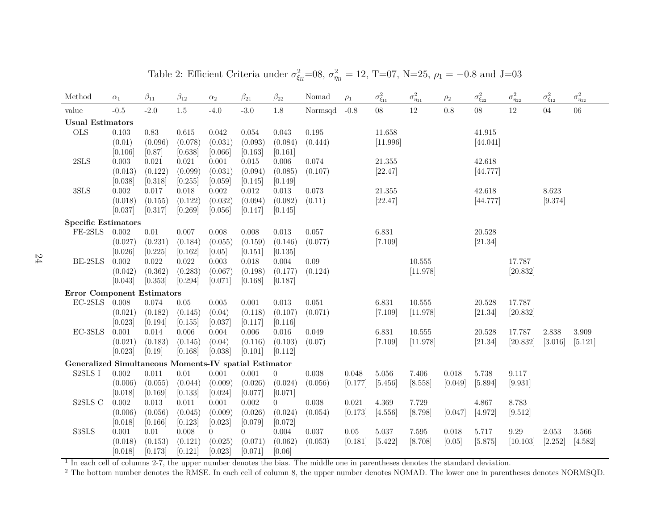| Method                                                | $\alpha_1$         | $\beta_{11}$       | $\beta_{12}$       | $\alpha_2$        | $\beta_{21}$       | $\beta_{22}$       | Nomad           | $\rho_1$ | $\sigma^2_{\xi_{11}}$ | $\sigma^2_{\eta_{11}}$ | $\rho_2$ | $\sigma^2_{\xi_{22}}$ | $\sigma^2_{\eta_{22}}$ | $\sigma^2_{\xi_{12}}$ | $\sigma^2_{\eta_{12}}$ |
|-------------------------------------------------------|--------------------|--------------------|--------------------|-------------------|--------------------|--------------------|-----------------|----------|-----------------------|------------------------|----------|-----------------------|------------------------|-----------------------|------------------------|
| value                                                 | $-0.5$             | $-2.0$             | 1.5                | $-4.0$            | $-3.0$             | 1.8                | Normsqd         | $-0.8$   | $08\,$                | $12\,$                 | 0.8      | $08\,$                | $12\,$                 | 04                    | 06                     |
| <b>Usual Estimators</b>                               |                    |                    |                    |                   |                    |                    |                 |          |                       |                        |          |                       |                        |                       |                        |
| <b>OLS</b>                                            | 0.103              | 0.83               | 0.615              | 0.042             | 0.054              | 0.043              | 0.195           |          | 11.658                |                        |          | 41.915                |                        |                       |                        |
|                                                       | (0.01)             | (0.096)            | (0.078)            | (0.031)           | (0.093)            | (0.084)            | (0.444)         |          | [11.996]              |                        |          | [44.041]              |                        |                       |                        |
|                                                       | [0.106]            | [0.87]             | [0.638]            | [0.066]           | [0.163]            | [0.161]            |                 |          |                       |                        |          |                       |                        |                       |                        |
| $2{\rm SLS}$                                          | 0.003              | 0.021              | 0.021              | 0.001             | 0.015              | 0.006              | 0.074           |          | 21.355                |                        |          | 42.618                |                        |                       |                        |
|                                                       | (0.013)            | (0.122)            | (0.099)            | (0.031)           | (0.094)            | (0.085)            | (0.107)         |          | [22.47]               |                        |          | [44.777]              |                        |                       |                        |
|                                                       | [0.038]            | [0.318]            | [0.255]            | [0.059]           | [0.145]            | [0.149]            |                 |          |                       |                        |          |                       |                        |                       |                        |
| $3{\rm SLS}$                                          | $0.002\,$          | 0.017              | 0.018              | $0.002\,$         | $0.012\,$          | $0.013\,$          | 0.073           |          | 21.355                |                        |          | 42.618                |                        | 8.623                 |                        |
|                                                       | (0.018)            | (0.155)            | (0.122)            | (0.032)           | (0.094)            | (0.082)            | (0.11)          |          | [22.47]               |                        |          | [44.777]              |                        | [9.374]               |                        |
|                                                       | [0.037]            | [0.317]            | [0.269]            | [0.056]           | [0.147]            | [0.145]            |                 |          |                       |                        |          |                       |                        |                       |                        |
| <b>Specific Estimators</b>                            |                    |                    |                    |                   |                    |                    |                 |          |                       |                        |          |                       |                        |                       |                        |
| FE-2SLS                                               | 0.002              | $0.01\,$           | $0.007\,$          | 0.008             | $0.008\,$          | 0.013              | 0.057           |          | 6.831                 |                        |          | 20.528                |                        |                       |                        |
|                                                       | (0.027)            | (0.231)            | (0.184)            | (0.055)           | (0.159)            | (0.146)            | (0.077)         |          | [7.109]               |                        |          | [21.34]               |                        |                       |                        |
|                                                       | [0.026]            | [0.225]            | [0.162]            | [0.05]            | [0.151]            | [0.135]            |                 |          |                       |                        |          |                       |                        |                       |                        |
| BE-2SLS                                               | 0.002<br>(0.042)   | 0.022<br>(0.362)   | 0.022<br>(0.283)   | 0.003<br>(0.067)  | 0.018<br>(0.198)   | 0.004<br>(0.177)   | 0.09<br>(0.124) |          |                       | 10.555<br>[11.978]     |          |                       | 17.787                 |                       |                        |
|                                                       | [0.043]            | [0.353]            | [0.294]            | [0.071]           | [0.168]            | [0.187]            |                 |          |                       |                        |          |                       | [20.832]               |                       |                        |
|                                                       |                    |                    |                    |                   |                    |                    |                 |          |                       |                        |          |                       |                        |                       |                        |
| <b>Error Component Estimators</b>                     |                    |                    |                    |                   |                    |                    |                 |          |                       |                        |          |                       |                        |                       |                        |
| $EC-2SLS$                                             | 0.008              | 0.074              | 0.05               | 0.005             | 0.001              | 0.013              | 0.051           |          | 6.831                 | 10.555                 |          | 20.528                | 17.787                 |                       |                        |
|                                                       | (0.021)<br>[0.023] | (0.182)<br>[0.194] | (0.145)<br>[0.155] | (0.04)<br>[0.037] | (0.118)<br>[0.117] | (0.107)<br>[0.116] | (0.071)         |          | [7.109]               | [11.978]               |          | [21.34]               | [20.832]               |                       |                        |
| EC-3SLS                                               | 0.001              | 0.014              | 0.006              | 0.004             | 0.006              | 0.016              | 0.049           |          | 6.831                 | 10.555                 |          | 20.528                | 17.787                 | 2.838                 | 3.909                  |
|                                                       | (0.021)            | (0.183)            | (0.145)            | (0.04)            | (0.116)            | (0.103)            | (0.07)          |          | [7.109]               | [11.978]               |          | [21.34]               | [20.832]               | [3.016]               | [5.121]                |
|                                                       | [0.023]            | [0.19]             | [0.168]            | [0.038]           | [0.101]            | [0.112]            |                 |          |                       |                        |          |                       |                        |                       |                        |
| Generalized Simultaneous Moments-IV spatial Estimator |                    |                    |                    |                   |                    |                    |                 |          |                       |                        |          |                       |                        |                       |                        |
| S2SLS I                                               | $0.002\,$          | 0.011              | $0.01\,$           | 0.001             | 0.001              | $\overline{0}$     | 0.038           | 0.048    | $5.056\,$             | 7.406                  | 0.018    | 5.738                 | 9.117                  |                       |                        |
|                                                       | (0.006)            | (0.055)            | (0.044)            | (0.009)           | (0.026)            | (0.024)            | (0.056)         | [0.177]  | [5.456]               | [8.558]                | [0.049]  | [5.894]               | [9.931]                |                       |                        |
|                                                       | [0.018]            | [0.169]            | [0.133]            | [0.024]           | [0.077]            | [0.071]            |                 |          |                       |                        |          |                       |                        |                       |                        |
| $\textsc{S2SLS}$ C                                    | 0.002              | 0.013              | $0.011\,$          | 0.001             | 0.002              | $\overline{0}$     | 0.038           | 0.021    | 4.369                 | 7.729                  |          | 4.867                 | 8.783                  |                       |                        |
|                                                       | (0.006)            | (0.056)            | (0.045)            | (0.009)           | (0.026)            | (0.024)            | (0.054)         | [0.173]  | [4.556]               | [8.798]                | [0.047]  | [4.972]               | [9.512]                |                       |                        |
|                                                       | [0.018]            | [0.166]            | [0.123]            | [0.023]           | [0.079]            | [0.072]            |                 |          |                       |                        |          |                       |                        |                       |                        |
| S3SLS                                                 | 0.001              | 0.01               | 0.008              | $\overline{0}$    | $\overline{0}$     | $0.004\,$          | $0.037\,$       | $0.05\,$ | $5.037\,$             | $7.595\,$              | 0.018    | 5.717                 | $9.29\,$               | 2.053                 | 3.566                  |
|                                                       | (0.018)            | (0.153)            | (0.121)            | (0.025)           | (0.071)            | (0.062)            | (0.053)         | [0.181]  | [5.422]               | [8.708]                | [0.05]   | [5.875]               | [10.103]               | [2.252]               | [4.582]                |
|                                                       | [0.018]            | [0.173]            | [0.121]            | [0.023]           | [0.071]            | [0.06]             |                 |          |                       |                        |          |                       |                        |                       |                        |

Table 2: Efficient Criteria under  $\sigma_{\xi_l}^2 = 0.8$ ,  $\sigma_{\eta_l}^2 = 1.2$ , T=07, N=25,  $\rho_1 = -0.8$  and J=03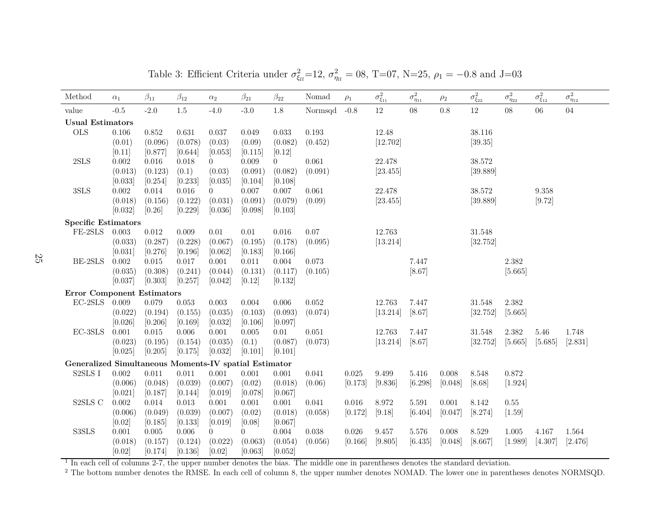| Method                                                | $\alpha_1$       | $\beta_{11}$     | $\beta_{12}$     | $\alpha_2$          | $\beta_{21}$        | $\beta_{22}$     | Nomad           | $\rho_1$  | $\sigma^2_{\xi_{11}}$ | $\sigma^2_{\eta_{11}}$ | $\rho_2$ | $\sigma^2_{\xi_{22}}$ | $\sigma^2_{\eta_{22}}$ | $\sigma^2_{\xi_{12}}$ | $\sigma^2_{\eta_{12}}$ |
|-------------------------------------------------------|------------------|------------------|------------------|---------------------|---------------------|------------------|-----------------|-----------|-----------------------|------------------------|----------|-----------------------|------------------------|-----------------------|------------------------|
| value                                                 | $-0.5$           | $-2.0$           | 1.5              | $-4.0$              | $-3.0$              | 1.8              | Normsqd         | $-0.8$    | $12\,$                | 08                     | 0.8      | 12                    | 08                     | 06                    | $04\,$                 |
| <b>Usual Estimators</b>                               |                  |                  |                  |                     |                     |                  |                 |           |                       |                        |          |                       |                        |                       |                        |
| <b>OLS</b>                                            | 0.106            | 0.852            | 0.631            | 0.037               | 0.049               | 0.033            | $\rm 0.193$     |           | 12.48                 |                        |          | 38.116                |                        |                       |                        |
|                                                       | (0.01)           | (0.096)          | (0.078)          | (0.03)              | (0.09)              | (0.082)          | (0.452)         |           | [12.702]              |                        |          | [39.35]               |                        |                       |                        |
|                                                       | [0.11]           | [0.877]          | [0.644]          | [0.053]             | [0.115]             | [0.12]           |                 |           |                       |                        |          |                       |                        |                       |                        |
| $2{\rm SLS}$                                          | $0.002\,$        | 0.016            | 0.018            | $\theta$            | 0.009               | $\overline{0}$   | 0.061           |           | 22.478                |                        |          | 38.572                |                        |                       |                        |
|                                                       | (0.013)          | (0.123)          | (0.1)            | (0.03)              | (0.091)             | (0.082)          | (0.091)         |           | [23.455]              |                        |          | [39.889]              |                        |                       |                        |
|                                                       | [0.033]          | [0.254]          | [0.233]          | [0.035]             | [0.104]             | [0.108]          |                 |           |                       |                        |          |                       |                        |                       |                        |
| $3{\rm SLS}$                                          | $0.002\,$        | 0.014            | $0.016\,$        | $\theta$            | 0.007               | $0.007\,$        | 0.061           |           | 22.478                |                        |          | 38.572                |                        | 9.358                 |                        |
|                                                       | (0.018)          | (0.156)          | (0.122)          | (0.031)             | (0.091)             | (0.079)          | (0.09)          |           | [23.455]              |                        |          | [39.889]              |                        | [9.72]                |                        |
|                                                       | [0.032]          | [0.26]           | [0.229]          | [0.036]             | [0.098]             | [0.103]          |                 |           |                       |                        |          |                       |                        |                       |                        |
| <b>Specific Estimators</b>                            |                  |                  |                  |                     |                     |                  |                 |           |                       |                        |          |                       |                        |                       |                        |
| $\rm FE\text{-}2SLS$                                  | 0.003<br>(0.033) | 0.012<br>(0.287) | 0.009<br>(0.228) | $0.01\,$<br>(0.067) | $0.01\,$<br>(0.195) | 0.016<br>(0.178) | 0.07<br>(0.095) |           | 12.763<br>[13.214]    |                        |          | 31.548<br>[32.752]    |                        |                       |                        |
|                                                       | [0.031]          | [0.276]          | [0.196]          | [0.062]             | [0.183]             | [0.166]          |                 |           |                       |                        |          |                       |                        |                       |                        |
| BE-2SLS                                               | 0.002            | 0.015            | 0.017            | 0.001               | 0.011               | 0.004            | 0.073           |           |                       | 7.447                  |          |                       | 2.382                  |                       |                        |
|                                                       | (0.035)          | (0.308)          | (0.241)          | (0.044)             | (0.131)             | (0.117)          | (0.105)         |           |                       | [8.67]                 |          |                       | [5.665]                |                       |                        |
|                                                       | [0.037]          | [0.303]          | [0.257]          | [0.042]             | [0.12]              | [0.132]          |                 |           |                       |                        |          |                       |                        |                       |                        |
| <b>Error Component Estimators</b>                     |                  |                  |                  |                     |                     |                  |                 |           |                       |                        |          |                       |                        |                       |                        |
| $EC-2SLS$                                             | 0.009            | 0.079            | $\,0.053\,$      | 0.003               | 0.004               | 0.006            | 0.052           |           | 12.763                | 7.447                  |          | 31.548                | 2.382                  |                       |                        |
|                                                       | (0.022)          | (0.194)          | (0.155)          | (0.035)             | (0.103)             | (0.093)          | (0.074)         |           | [13.214]              | [8.67]                 |          | [32.752]              | [5.665]                |                       |                        |
|                                                       | [0.026]          | [0.206]          | [0.169]          | [0.032]             | [0.106]             | [0.097]          |                 |           |                       |                        |          |                       |                        |                       |                        |
| $EC-3SLS$                                             | 0.001            | 0.015            | $0.006\,$        | 0.001               | $0.005\,$           | $0.01\,$         | $0.051\,$       |           | 12.763                | 7.447                  |          | 31.548                | 2.382                  | 5.46                  | 1.748                  |
|                                                       | (0.023)          | (0.195)          | (0.154)          | (0.035)             | (0.1)               | (0.087)          | (0.073)         |           | [13.214]              | [8.67]                 |          | [32.752]              | [5.665]                | [5.685]               | [2.831]                |
|                                                       | [0.025]          | [0.205]          | [0.175]          | [0.032]             | [0.101]             | [0.101]          |                 |           |                       |                        |          |                       |                        |                       |                        |
| Generalized Simultaneous Moments-IV spatial Estimator |                  |                  |                  |                     |                     |                  |                 |           |                       |                        |          |                       |                        |                       |                        |
| S2SLS I                                               | 0.002            | 0.011            | 0.011            | 0.001               | 0.001               | 0.001            | 0.041           | 0.025     | 9.499                 | 5.416                  | 0.008    | 8.548                 | 0.872                  |                       |                        |
|                                                       | (0.006)          | (0.048)          | (0.039)          | (0.007)             | (0.02)              | (0.018)          | (0.06)          | [0.173]   | [9.836]               | [6.298]                | [0.048]  | [8.68]                | [1.924]                |                       |                        |
|                                                       | [0.021]          | [0.187]          | [0.144]          | [0.019]             | [0.078]             | [0.067]          |                 |           |                       |                        |          |                       |                        |                       |                        |
| $\textsc{S2SLS}$ C                                    | $0.002\,$        | 0.014            | $\,0.013\,$      | 0.001               | 0.001               | 0.001            | 0.041           | 0.016     | $8.972\,$             | 5.591                  | 0.001    | 8.142                 | $0.55\,$               |                       |                        |
|                                                       | (0.006)          | (0.049)          | (0.039)          | (0.007)             | (0.02)              | (0.018)          | (0.058)         | [0.172]   | [9.18]                | [6.404]                | [0.047]  | [8.274]               | $[1.59]$               |                       |                        |
|                                                       | [0.02]           | [0.185]          | [0.133]          | [0.019]             | [0.08]              | [0.067]          |                 |           |                       |                        |          |                       |                        |                       |                        |
| S3SLS                                                 | 0.001            | 0.005            | $0.006\,$        | $\overline{0}$      | $\overline{0}$      | $0.004\,$        | 0.038           | $0.026\,$ | $9.457\,$             | $5.576\,$              | 0.008    | 8.529                 | 1.005                  | 4.167                 | 1.564                  |
|                                                       | (0.018)          | (0.157)          | (0.124)          | (0.022)             | (0.063)             | (0.054)          | (0.056)         | [0.166]   | [9.805]               | [6.435]                | [0.048]  | [8.667]               | [1.989]                | [4.307]               | [2.476]                |
|                                                       | [0.02]           | [0.174]          | [0.136]          | [0.02]              | [0.063]             | [0.052]          |                 |           |                       |                        |          |                       |                        |                       |                        |

Table 3: Efficient Criteria under  $\sigma_{\xi_l}^2 = 12$ ,  $\sigma_{\eta_l}^2 = 08$ , T=07, N=25,  $\rho_1 = -0.8$  and J=03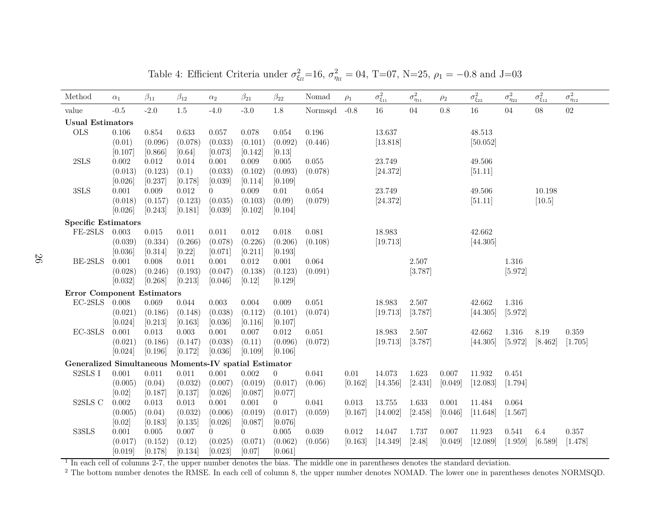| Method                                                | $\alpha_1$       | $\beta_{11}$     | $\beta_{12}$        | $\alpha_2$                | $\beta_{21}$              | $\beta_{22}$     | Nomad       | $\rho_1$         | $\sigma^2_{\xi_{11}}$ | $\sigma^2_{\eta_{11}}$ | $\rho_2$  | $\sigma^2_{\xi_{22}}$ | $\sigma^2_{\eta_{22}}$ | $\sigma^2_{\xi_{12}}$ | $\sigma^2_{\eta_{12}}$ |
|-------------------------------------------------------|------------------|------------------|---------------------|---------------------------|---------------------------|------------------|-------------|------------------|-----------------------|------------------------|-----------|-----------------------|------------------------|-----------------------|------------------------|
| value                                                 | $-0.5$           | $-2.0$           | $1.5\,$             | $-4.0$                    | $-3.0$                    | 1.8              | Normsqd     | $-0.8$           | $16\,$                | 04                     | $0.8\,$   | $16\,$                | 04                     | 08                    | $02\,$                 |
| <b>Usual Estimators</b>                               |                  |                  |                     |                           |                           |                  |             |                  |                       |                        |           |                       |                        |                       |                        |
| <b>OLS</b>                                            | 0.106            | 0.854            | 0.633               | 0.057                     | 0.078                     | 0.054            | 0.196       |                  | 13.637                |                        |           | 48.513                |                        |                       |                        |
|                                                       | (0.01)           | (0.096)          | (0.078)             | (0.033)                   | (0.101)                   | (0.092)          | (0.446)     |                  | [13.818]              |                        |           | [50.052]              |                        |                       |                        |
|                                                       | [0.107]          | [0.866]          | [0.64]              | [0.073]                   | [0.142]                   | [0.13]           |             |                  |                       |                        |           |                       |                        |                       |                        |
| $2{\rm SLS}$                                          | 0.002            | 0.012            | 0.014               | 0.001                     | 0.009                     | 0.005            | 0.055       |                  | 23.749                |                        |           | 49.506                |                        |                       |                        |
|                                                       | (0.013)          | (0.123)          | (0.1)               | (0.033)                   | (0.102)                   | (0.093)          | (0.078)     |                  | [24.372]              |                        |           | [51.11]               |                        |                       |                        |
|                                                       | [0.026]          | [0.237]          | [0.178]             | [0.039]                   | [0.114]                   | [0.109]          |             |                  |                       |                        |           |                       |                        |                       |                        |
| $3{\rm SLS}$                                          | 0.001            | 0.009            | $0.012\,$           | $\overline{0}$            | 0.009                     | 0.01             | 0.054       |                  | 23.749                |                        |           | 49.506                |                        | 10.198                |                        |
|                                                       | (0.018)          | (0.157)          | (0.123)             | (0.035)                   | (0.103)                   | (0.09)           | (0.079)     |                  | [24.372]              |                        |           | [51.11]               |                        | [10.5]                |                        |
|                                                       | [0.026]          | [0.243]          | [0.181]             | [0.039]                   | [0.102]                   | [0.104]          |             |                  |                       |                        |           |                       |                        |                       |                        |
| <b>Specific Estimators</b>                            |                  |                  |                     |                           |                           |                  |             |                  |                       |                        |           |                       |                        |                       |                        |
| $\rm FE\text{-}2SLS$                                  | 0.003            | 0.015            | 0.011               | 0.011                     | $0.012\,$                 | 0.018            | 0.081       |                  | 18.983                |                        |           | 42.662                |                        |                       |                        |
|                                                       | (0.039)          | (0.334)          | (0.266)             | (0.078)                   | (0.226)                   | (0.206)          | (0.108)     |                  | [19.713]              |                        |           | [44.305]              |                        |                       |                        |
|                                                       | [0.036]          | [0.314]          | [0.22]              | [0.071]                   | [0.211]                   | [0.193]          |             |                  |                       |                        |           |                       |                        |                       |                        |
| BE-2SLS                                               | 0.001            | 0.008            | 0.011               | 0.001                     | 0.012                     | 0.001            | $\,0.064\,$ |                  |                       | 2.507                  |           |                       | 1.316                  |                       |                        |
|                                                       | (0.028)          | (0.246)          | (0.193)             | (0.047)                   | (0.138)                   | (0.123)          | (0.091)     |                  |                       | [3.787]                |           |                       | [5.972]                |                       |                        |
|                                                       | [0.032]          | [0.268]          | [0.213]             | [0.046]                   | [0.12]                    | [0.129]          |             |                  |                       |                        |           |                       |                        |                       |                        |
| <b>Error Component Estimators</b>                     |                  |                  |                     |                           |                           |                  |             |                  |                       |                        |           |                       |                        |                       |                        |
| $EC-2SLS$                                             | 0.008            | 0.069            | 0.044               | 0.003                     | 0.004                     | 0.009            | 0.051       |                  | 18.983                | 2.507                  |           | 42.662                | 1.316                  |                       |                        |
|                                                       | (0.021)          | (0.186)          | (0.148)             | (0.038)                   | (0.112)                   | (0.101)          | (0.074)     |                  | [19.713]              | [3.787]                |           | [44.305]              | [5.972]                |                       |                        |
|                                                       | [0.024]          | [0.213]          | [0.163]             | [0.036]                   | [0.116]                   | [0.107]          |             |                  |                       |                        |           |                       |                        |                       |                        |
| EC-3SLS                                               | 0.001            | 0.013            | 0.003               | 0.001                     | 0.007                     | 0.012            | 0.051       |                  | 18.983                | 2.507                  |           | 42.662                | 1.316                  | 8.19                  | 0.359                  |
|                                                       | (0.021)          | (0.186)          | (0.147)             | (0.038)                   | (0.11)                    | (0.096)          | (0.072)     |                  | [19.713]              | [3.787]                |           | [44.305]              | [5.972]                | [8.462]               | [1.705]                |
|                                                       | [0.024]          | [0.196]          | [0.172]             | [0.036]                   | [0.109]                   | [0.106]          |             |                  |                       |                        |           |                       |                        |                       |                        |
| Generalized Simultaneous Moments-IV spatial Estimator |                  |                  |                     |                           |                           |                  |             |                  |                       |                        |           |                       |                        |                       |                        |
| S2SLS I                                               | 0.001            | 0.011            | 0.011               | $0.001\,$                 | 0.002                     | $\boldsymbol{0}$ | 0.041       | 0.01             | 14.073                | 1.623                  | $0.007\,$ | 11.932                | 0.451                  |                       |                        |
|                                                       | (0.005)          | (0.04)           | (0.032)             | (0.007)                   | (0.019)                   | (0.017)          | (0.06)      | [0.162]          | [14.356]              | [2.431]                | [0.049]   | [12.083]              | [1.794]                |                       |                        |
|                                                       | [0.02]           | [0.187]          | [0.137]             | [0.026]                   | [0.087]                   | [0.077]          |             |                  |                       |                        |           |                       |                        |                       |                        |
| ${\tt S2SLS}$ ${\cal C}$                              | 0.002            | 0.013            | $0.013\,$           | $0.001\,$                 | 0.001                     | $\overline{0}$   | 0.041       | 0.013            | 13.755                | 1.633                  | 0.001     | 11.484                | 0.064                  |                       |                        |
|                                                       | (0.005)          | (0.04)           | (0.032)             | (0.006)                   | (0.019)                   | (0.017)          | (0.059)     | [0.167]          | [14.002]              | [2.458]                | [0.046]   | [11.648]              | [1.567]                |                       |                        |
| S3SLS                                                 | [0.02]           | [0.183]          | [0.135]             | [0.026]                   | [0.087]                   | [0.076]          | 0.039       |                  | 14.047                |                        | 0.007     | 11.923                |                        |                       | 0.357                  |
|                                                       | 0.001<br>(0.017) | 0.005<br>(0.152) | $0.007\,$<br>(0.12) | $\overline{0}$<br>(0.025) | $\overline{0}$<br>(0.071) | 0.005<br>(0.062) | (0.056)     | 0.012<br>[0.163] | [14.349]              | 1.737<br>$[2.48]$      | [0.049]   | [12.089]              | 0.541<br>[1.959]       | 6.4<br>[6.589]        | [1.478]                |
|                                                       | [0.019]          | [0.178]          | [0.134]             | [0.023]                   | [0.07]                    | [0.061]          |             |                  |                       |                        |           |                       |                        |                       |                        |
|                                                       |                  |                  |                     |                           |                           |                  |             |                  |                       |                        |           |                       |                        |                       |                        |

Table 4: Efficient Criteria under  $\sigma_{\xi_l}^2 = 16$ ,  $\sigma_{\eta_l}^2 = 04$ , T=07, N=25,  $\rho_1 = -0.8$  and J=03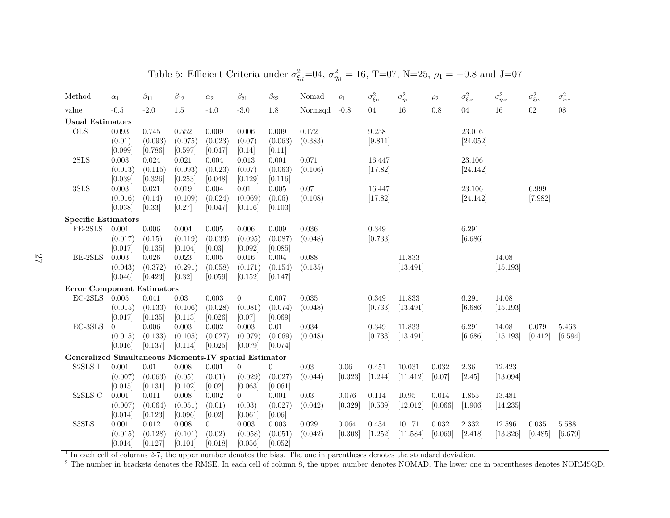| Method                                                    | $\alpha_1$       | $\beta_{11}$         | $\beta_{12}$     | $\alpha_2$       | $\beta_{21}$         | $\beta_{22}$     | Nomad    | $\rho_1$ | $\sigma^2_{\xi_{11}}$ | $\sigma^2_{\eta_{11}}$ | $\rho_2$ | $\sigma^2_{\xi_{22}}$ | $\sigma^2_{\eta_{22}}$ | $\sigma^2_{\xi_{12}}$ | $\sigma^2_{\eta_{12}}$ |
|-----------------------------------------------------------|------------------|----------------------|------------------|------------------|----------------------|------------------|----------|----------|-----------------------|------------------------|----------|-----------------------|------------------------|-----------------------|------------------------|
| value                                                     | $-0.5$           | $-2.0$               | $1.5\,$          | $-4.0$           | $-3.0$               | $1.8\,$          | Normsqd  | $-0.8$   | 04                    | 16                     | 0.8      | 04                    | $16\,$                 | 02                    | $08\,$                 |
| <b>Usual Estimators</b>                                   |                  |                      |                  |                  |                      |                  |          |          |                       |                        |          |                       |                        |                       |                        |
| <b>OLS</b>                                                | 0.093            | 0.745                | 0.552            | 0.009            | 0.006                | 0.009            | 0.172    |          | 9.258                 |                        |          | $23.016\,$            |                        |                       |                        |
|                                                           | (0.01)           | (0.093)              | (0.075)          | (0.023)          | (0.07)               | (0.063)          | (0.383)  |          | [9.811]               |                        |          | [24.052]              |                        |                       |                        |
|                                                           | [0.099]          | [0.786]              | [0.597]          | [0.047]          | [0.14]               | [0.11]           |          |          |                       |                        |          |                       |                        |                       |                        |
| 2SLS                                                      | 0.003            | 0.024                | 0.021            | 0.004            | 0.013                | 0.001            | 0.071    |          | 16.447                |                        |          | 23.106                |                        |                       |                        |
|                                                           | (0.013)          | (0.115)              | (0.093)          | (0.023)          | (0.07)               | (0.063)          | (0.106)  |          | [17.82]               |                        |          | [24.142]              |                        |                       |                        |
|                                                           | [0.039]          | [0.326]              | [0.253]          | [0.048]          | [0.129]              | [0.116]          |          |          |                       |                        |          |                       |                        |                       |                        |
| 3SLS                                                      | $\,0.003\,$      | 0.021                | 0.019            | 0.004            | 0.01                 | 0.005            | 0.07     |          | 16.447                |                        |          | 23.106                |                        | 6.999                 |                        |
|                                                           | (0.016)          | (0.14)               | (0.109)          | (0.024)          | (0.069)              | (0.06)           | (0.108)  |          | [17.82]               |                        |          | [24.142]              |                        | [7.982]               |                        |
|                                                           | [0.038]          | [0.33]               | [0.27]           | [0.047]          | [0.116]              | [0.103]          |          |          |                       |                        |          |                       |                        |                       |                        |
| <b>Specific Estimators</b>                                |                  |                      |                  |                  |                      |                  |          |          |                       |                        |          |                       |                        |                       |                        |
| FE-2SLS                                                   | 0.001            | $0.006\,$            | 0.004            | 0.005            | $0.006\,$            | 0.009            | 0.036    |          | 0.349                 |                        |          | 6.291                 |                        |                       |                        |
|                                                           | (0.017)          | (0.15)               | (0.119)          | (0.033)          | (0.095)              | (0.087)          | (0.048)  |          | [0.733]               |                        |          | [6.686]               |                        |                       |                        |
| BE-2SLS                                                   | [0.017]<br>0.003 | [0.135]<br>$0.026\,$ | [0.104]          | [0.03]           | [0.092]<br>$0.016\,$ | [0.085]<br>0.004 | 0.088    |          |                       | 11.833                 |          |                       | 14.08                  |                       |                        |
|                                                           | (0.043)          | (0.372)              | 0.023<br>(0.291) | 0.005<br>(0.058) | (0.171)              | (0.154)          | (0.135)  |          |                       | [13.491]               |          |                       | [15.193]               |                       |                        |
|                                                           | [0.046]          | [0.423]              | $[0.32]$         | [0.059]          | [0.152]              | [0.147]          |          |          |                       |                        |          |                       |                        |                       |                        |
|                                                           |                  |                      |                  |                  |                      |                  |          |          |                       |                        |          |                       |                        |                       |                        |
| <b>Error Component Estimators</b><br>$\rm EC\text{-}2SLS$ | 0.005            | 0.041                | $0.03\,$         | $\,0.003\,$      | $\overline{0}$       | 0.007            | 0.035    |          | 0.349                 | 11.833                 |          | 6.291                 | 14.08                  |                       |                        |
|                                                           | (0.015)          | (0.133)              | (0.106)          | (0.028)          | (0.081)              | (0.074)          | (0.048)  |          | [0.733]               | [13.491]               |          | [6.686]               | [15.193]               |                       |                        |
|                                                           | [0.017]          | [0.135]              | [0.113]          | [0.026]          | [0.07]               | [0.069]          |          |          |                       |                        |          |                       |                        |                       |                        |
| EC-3SLS                                                   | $\Omega$         | 0.006                | 0.003            | 0.002            | 0.003                | 0.01             | 0.034    |          | 0.349                 | 11.833                 |          | 6.291                 | 14.08                  | 0.079                 | 5.463                  |
|                                                           | (0.015)          | (0.133)              | (0.105)          | (0.027)          | (0.079)              | (0.069)          | (0.048)  |          | [0.733]               | [13.491]               |          | [6.686]               | [15.193]               | [0.412]               | [6.594]                |
|                                                           | [0.016]          | [0.137]              | [0.114]          | [0.025]          | [0.079]              | [0.074]          |          |          |                       |                        |          |                       |                        |                       |                        |
| Generalized Simultaneous Moments-IV spatial Estimator     |                  |                      |                  |                  |                      |                  |          |          |                       |                        |          |                       |                        |                       |                        |
| ${\rm S2SLS}$ I                                           | $0.001\,$        | $0.01\,$             | 0.008            | 0.001            | $\overline{0}$       | $\overline{0}$   | $0.03\,$ | 0.06     | 0.451                 | 10.031                 | 0.032    | $2.36\,$              | 12.423                 |                       |                        |
|                                                           | (0.007)          | (0.063)              | (0.05)           | (0.01)           | (0.029)              | (0.027)          | (0.044)  | [0.323]  | [1.244]               | [11.412]               | [0.07]   | [2.45]                | [13.094]               |                       |                        |
|                                                           | [0.015]          | [0.131]              | [0.102]          | [0.02]           | [0.063]              | [0.061]          |          |          |                       |                        |          |                       |                        |                       |                        |
| S2SLS C                                                   | $0.001\,$        | 0.011                | 0.008            | 0.002            | $\overline{0}$       | 0.001            | 0.03     | 0.076    | 0.114                 | 10.95                  | 0.014    | 1.855                 | 13.481                 |                       |                        |
|                                                           | (0.007)          | (0.064)              | (0.051)          | (0.01)           | (0.03)               | (0.027)          | (0.042)  | [0.329]  | [0.539]               | [12.012]               | [0.066]  | [1.906]               | [14.235]               |                       |                        |
|                                                           | [0.014]          | [0.123]              | [0.096]          | [0.02]           | [0.061]              | [0.06]           |          |          |                       |                        |          |                       |                        |                       |                        |
| S3SLS                                                     | $0.001\,$        | 0.012                | 0.008            | $\overline{0}$   | 0.003                | 0.003            | 0.029    | 0.064    | 0.434                 | 10.171                 | 0.032    | 2.332                 | 12.596                 | 0.035                 | 5.588                  |
|                                                           | (0.015)          | (0.128)              | (0.101)          | (0.02)           | (0.058)              | (0.051)          | (0.042)  | [0.308]  | [1.252]               | [11.584]               | [0.069]  | [2.418]               | [13.326]               | [0.485]               | [6.679]                |
|                                                           | [0.014]          | [0.127]              | [0.101]          | [0.018]          | [0.056]              | [0.052]          |          |          |                       |                        |          |                       |                        |                       |                        |

Table 5: Efficient Criteria under  $\sigma_{\xi_l}^2 = 0.4$ ,  $\sigma_{\eta_l}^2 = 16$ , T=07, N=25,  $\rho_1 = -0.8$  and J=07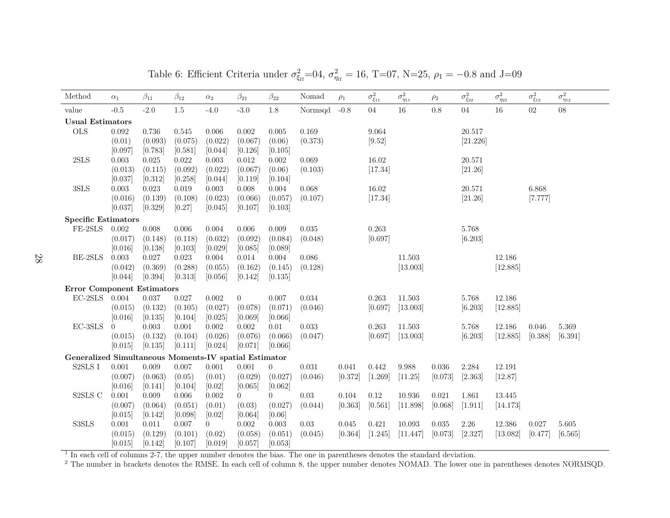| Method                                                                   | $\alpha_1$          | $\beta_{11}$     | $\beta_{12}$       | $\alpha_2$       | $\beta_{21}$       | $\beta_{22}$       | Nomad     | $\rho_1$ | $\sigma^2_{\xi_{11}}$ | $\sigma^2_{\eta_{11}}$ | $\rho_2$ | $\sigma^2_{\xi_{22}}$ | $\sigma^2_{\eta_{22}}$ | $\sigma^2_{\xi_{12}}$ | $\sigma^2_{\eta_{12}}$ |
|--------------------------------------------------------------------------|---------------------|------------------|--------------------|------------------|--------------------|--------------------|-----------|----------|-----------------------|------------------------|----------|-----------------------|------------------------|-----------------------|------------------------|
| value                                                                    | $-0.5$              | $-2.0$           | $1.5\,$            | $-4.0$           | $-3.0$             | $1.8\,$            | Normsqd   | $-0.8$   | 04                    | 16                     | 0.8      | 04                    | 16                     | 02                    | $08\,$                 |
| <b>Usual Estimators</b>                                                  |                     |                  |                    |                  |                    |                    |           |          |                       |                        |          |                       |                        |                       |                        |
| <b>OLS</b>                                                               | $\,0.092\,$         | 0.736            | 0.545              | 0.006            | 0.002              | 0.005              | 0.169     |          | 9.064                 |                        |          | 20.517                |                        |                       |                        |
|                                                                          | (0.01)              | (0.093)          | (0.075)            | (0.022)          | (0.067)            | (0.06)             | (0.373)   |          | [9.52]                |                        |          | [21.226]              |                        |                       |                        |
|                                                                          | [0.097]             | [0.783]          | [0.581]            | [0.044]          | [0.126]            | [0.105]            |           |          |                       |                        |          |                       |                        |                       |                        |
| 2SLS                                                                     | 0.003               | 0.025            | 0.022              | 0.003            | $0.012\,$          | 0.002              | 0.069     |          | 16.02                 |                        |          | 20.571                |                        |                       |                        |
|                                                                          | (0.013)             | (0.115)          | (0.092)            | (0.022)          | (0.067)            | (0.06)             | (0.103)   |          | [17.34]               |                        |          | [21.26]               |                        |                       |                        |
|                                                                          | [0.037]             | [0.312]          | [0.258]            | [0.044]          | [0.119]            | [0.104]            |           |          |                       |                        |          |                       |                        |                       |                        |
| 3SLS                                                                     | $\,0.003\,$         | 0.023            | 0.019              | 0.003            | $0.008\,$          | 0.004              | $0.068\,$ |          | 16.02                 |                        |          | 20.571                |                        | 6.868                 |                        |
|                                                                          | (0.016)             | (0.139)          | (0.108)            | (0.023)          | (0.066)            | (0.057)            | (0.107)   |          | [17.34]               |                        |          | [21.26]               |                        | [7.777]               |                        |
|                                                                          | [0.037]             | [0.329]          | [0.27]             | [0.045]          | [0.107]            | [0.103]            |           |          |                       |                        |          |                       |                        |                       |                        |
| <b>Specific Estimators</b>                                               |                     |                  |                    |                  |                    |                    |           |          |                       |                        |          |                       |                        |                       |                        |
| FE-2SLS                                                                  | 0.002               | $0.008\,$        | 0.006              | 0.004            | $0.006\,$          | 0.009              | 0.035     |          | 0.263                 |                        |          | 5.768                 |                        |                       |                        |
|                                                                          | (0.017)             | (0.148)          | (0.118)            | (0.032)          | (0.092)            | (0.084)            | (0.048)   |          | [0.697]               |                        |          | [6.203]               |                        |                       |                        |
|                                                                          | [0.016]             | [0.138]          | [0.103]            | [0.029]          | [0.085]            | [0.089]            |           |          |                       |                        |          |                       |                        |                       |                        |
| BE-2SLS                                                                  | 0.003               | 0.027            | 0.023              | 0.004            | 0.014              | 0.004              | 0.086     |          |                       | 11.503                 |          |                       | 12.186                 |                       |                        |
|                                                                          | (0.042)<br>[0.044]  | (0.369)          | (0.288)<br>[0.313] | (0.055)          | (0.162)<br>[0.142] | (0.145)<br>[0.135] | (0.128)   |          |                       | [13.003]               |          |                       | [12.885]               |                       |                        |
|                                                                          |                     | [0.394]          |                    | [0.056]          |                    |                    |           |          |                       |                        |          |                       |                        |                       |                        |
| <b>Error Component Estimators</b>                                        |                     |                  |                    |                  |                    |                    |           |          |                       |                        |          |                       |                        |                       |                        |
| $\rm EC\text{-}2SLS$                                                     | 0.004               | $0.037\,$        | 0.027              | $0.002\,$        | $\overline{0}$     | 0.007              | 0.034     |          | 0.263                 | 11.503                 |          | 5.768                 | 12.186                 |                       |                        |
|                                                                          | (0.015)             | (0.132)          | (0.105)            | (0.027)          | (0.078)            | (0.071)            | (0.046)   |          | [0.697]               | [13.003]               |          | [6.203]               | [12.885]               |                       |                        |
| EC-3SLS                                                                  | [0.016]<br>$\Omega$ | [0.135]<br>0.003 | [0.104]<br>0.001   | [0.025]<br>0.002 | [0.069]<br>0.002   | [0.066]<br>0.01    | 0.033     |          | 0.263                 | 11.503                 |          | 5.768                 | 12.186                 | 0.046                 | 5.369                  |
|                                                                          | (0.015)             | (0.132)          | (0.104)            | (0.026)          | (0.076)            | (0.066)            | (0.047)   |          | [0.697]               | [13.003]               |          | [6.203]               | [12.885]               | [0.388]               | [6.391]                |
|                                                                          | [0.015]             | [0.135]          | [0.111]            | [0.024]          | [0.071]            | [0.066]            |           |          |                       |                        |          |                       |                        |                       |                        |
|                                                                          |                     |                  |                    |                  |                    |                    |           |          |                       |                        |          |                       |                        |                       |                        |
| Generalized Simultaneous Moments-IV spatial Estimator<br>${\rm S2SLS}$ I | $0.001\,$           | $0.009\,$        | 0.007              | 0.001            | 0.001              | $\overline{0}$     | 0.031     | 0.041    | 0.442                 | $9.988\,$              | 0.036    | 2.284                 | 12.191                 |                       |                        |
|                                                                          | (0.007)             | (0.063)          | (0.05)             | (0.01)           | (0.029)            | (0.027)            | (0.046)   | [0.372]  | [1.269]               | [11.25]                | [0.073]  | [2.363]               | [12.87]                |                       |                        |
|                                                                          | [0.016]             | [0.141]          | [0.104]            | [0.02]           | [0.065]            | [0.062]            |           |          |                       |                        |          |                       |                        |                       |                        |
| S2SLS C                                                                  | 0.001               | 0.009            | 0.006              | 0.002            | $\overline{0}$     | $\overline{0}$     | $0.03\,$  | 0.104    | $0.12\,$              | 10.936                 | 0.021    | 1.861                 | 13.445                 |                       |                        |
|                                                                          | (0.007)             | (0.064)          | (0.051)            | (0.01)           | (0.03)             | (0.027)            | (0.044)   | [0.363]  | [0.561]               | [11.898]               | [0.068]  | [1.911]               | [14.173]               |                       |                        |
|                                                                          | [0.015]             | [0.142]          | [0.098]            | [0.02]           | [0.064]            | [0.06]             |           |          |                       |                        |          |                       |                        |                       |                        |
| S3SLS                                                                    | $0.001\,$           | 0.011            | 0.007              | $\overline{0}$   | $0.002\,$          | 0.003              | 0.03      | 0.045    | 0.421                 | 10.093                 | 0.035    | 2.26                  | 12.386                 | 0.027                 | 5.605                  |
|                                                                          | (0.015)             | (0.129)          | (0.101)            | (0.02)           | (0.058)            | (0.051)            | (0.045)   | [0.364]  | [1.245]               | [11.447]               | [0.073]  | [2.327]               | [13.082]               | [0.477]               | [6.565]                |
|                                                                          | [0.015]             | [0.142]          | [0.107]            | [0.019]          | [0.057]            | [0.053]            |           |          |                       |                        |          |                       |                        |                       |                        |

Table 6: Efficient Criteria under  $\sigma_{\xi_l}^2=04$ ,  $\sigma_{\eta_l}^2=16$ , T=07, N=25,  $\rho_1=-0.8$  and J=09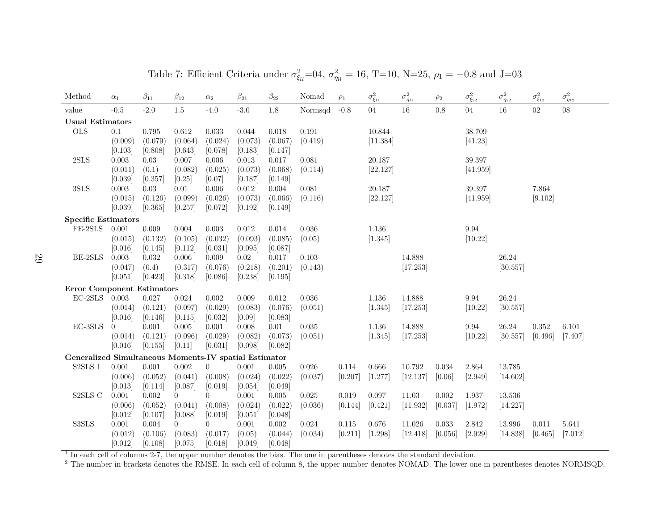| Method                                                    | $\alpha_1$         | $\beta_{11}$       | $\beta_{12}$       | $\alpha_2$       | $\beta_{21}$        | $\beta_{22}$     | Nomad     | $\rho_1$  | $\sigma^2_{\xi_{11}}$ | $\sigma^2_{\eta_{11}}$ | $\rho_2$  | $\sigma^2_{\xi_{22}}$ | $\sigma^2_{\eta_{22}}$ | $\sigma^2_{\xi_{12}}$ | $\sigma^2_{\eta_{12}}$ |
|-----------------------------------------------------------|--------------------|--------------------|--------------------|------------------|---------------------|------------------|-----------|-----------|-----------------------|------------------------|-----------|-----------------------|------------------------|-----------------------|------------------------|
| value                                                     | $-0.5$             | $-2.0$             | $1.5\,$            | $-4.0$           | $-3.0$              | $1.8\,$          | Normsqd   | $-0.8$    | 04                    | 16                     | 0.8       | $04\,$                | 16                     | 02                    | $08\,$                 |
| <b>Usual Estimators</b>                                   |                    |                    |                    |                  |                     |                  |           |           |                       |                        |           |                       |                        |                       |                        |
| <b>OLS</b>                                                | 0.1                | 0.795              | 0.612              | 0.033            | 0.044               | 0.018            | 0.191     |           | 10.844                |                        |           | 38.709                |                        |                       |                        |
|                                                           | (0.009)            | (0.079)            | (0.064)            | (0.024)          | (0.073)             | (0.067)          | (0.419)   |           | [11.384]              |                        |           | [41.23]               |                        |                       |                        |
|                                                           | [0.103]            | [0.808]            | [0.643]            | [0.078]          | [0.183]             | [0.147]          |           |           |                       |                        |           |                       |                        |                       |                        |
| 2SLS                                                      | $\,0.003\,$        | 0.03               | 0.007              | 0.006            | 0.013               | $0.017\,$        | 0.081     |           | 20.187                |                        |           | 39.397                |                        |                       |                        |
|                                                           | (0.011)            | (0.1)              | (0.082)            | (0.025)          | (0.073)             | (0.068)          | (0.114)   |           | [22.127]              |                        |           | [41.959]              |                        |                       |                        |
|                                                           | [0.039]            | [0.357]            | [0.25]             | [0.07]           | [0.187]             | [0.149]          |           |           |                       |                        |           |                       |                        |                       |                        |
| 3SLS                                                      | $0.003\,$          | 0.03               | 0.01               | 0.006            | $0.012\,$           | 0.004            | 0.081     |           | 20.187                |                        |           | 39.397                |                        | 7.864                 |                        |
|                                                           | (0.015)            | (0.126)            | (0.099)            | (0.026)          | (0.073)             | (0.066)          | (0.116)   |           | [22.127]              |                        |           | [41.959]              |                        | [9.102]               |                        |
|                                                           | [0.039]            | [0.365]            | [0.257]            | [0.072]          | [0.192]             | [0.149]          |           |           |                       |                        |           |                       |                        |                       |                        |
| <b>Specific Estimators</b>                                |                    |                    |                    |                  |                     |                  |           |           |                       |                        |           |                       |                        |                       |                        |
| FE-2SLS                                                   | 0.001              | 0.009              | 0.004              | 0.003            | 0.012               | 0.014            | 0.036     |           | 1.136                 |                        |           | 9.94                  |                        |                       |                        |
|                                                           | (0.015)            | (0.132)            | (0.105)            | (0.032)          | (0.093)             | (0.085)          | (0.05)    |           | [1.345]               |                        |           | [10.22]               |                        |                       |                        |
| BE-2SLS                                                   | [0.016]<br>0.003   | [0.145]            | [0.112]            | [0.031]          | [0.095]<br>$0.02\,$ | [0.087]          |           |           |                       |                        |           |                       |                        |                       |                        |
|                                                           |                    | 0.032              | 0.006              | 0.009<br>(0.076) | (0.218)             | 0.017<br>(0.201) | 0.103     |           |                       | 14.888<br>[17.253]     |           |                       | 26.24<br>[30.557]      |                       |                        |
|                                                           | (0.047)<br>[0.051] | (0.4)<br>[0.423]   | (0.317)<br>[0.318] | [0.086]          | [0.238]             | [0.195]          | (0.143)   |           |                       |                        |           |                       |                        |                       |                        |
|                                                           |                    |                    |                    |                  |                     |                  |           |           |                       |                        |           |                       |                        |                       |                        |
| <b>Error Component Estimators</b><br>$\rm EC\text{-}2SLS$ | 0.003              | $0.027\,$          | 0.024              | $0.002\,$        | $0.009\,$           | 0.012            | 0.036     |           |                       | 14.888                 |           |                       | 26.24                  |                       |                        |
|                                                           |                    |                    |                    | (0.029)          | (0.083)             | (0.076)          |           |           | 1.136                 | [17.253]               |           | 9.94<br>[10.22]       |                        |                       |                        |
|                                                           | (0.014)<br>[0.016] | (0.121)<br>[0.146] | (0.097)<br>[0.115] | [0.032]          | [0.09]              | [0.083]          | (0.051)   |           | [1.345]               |                        |           |                       | [30.557]               |                       |                        |
| EC-3SLS                                                   | $\theta$           | 0.001              | 0.005              | 0.001            | 0.008               | 0.01             | 0.035     |           | 1.136                 | 14.888                 |           | 9.94                  | 26.24                  | 0.352                 | 6.101                  |
|                                                           | (0.014)            | (0.121)            | (0.096)            | (0.029)          | (0.082)             | (0.073)          | (0.051)   |           | [1.345]               | [17.253]               |           | [10.22]               | [30.557]               | [0.496]               | [7.407]                |
|                                                           | [0.016]            | [0.155]            | $[0.11]$           | [0.031]          | [0.098]             | [0.082]          |           |           |                       |                        |           |                       |                        |                       |                        |
| Generalized Simultaneous Moments-IV spatial Estimator     |                    |                    |                    |                  |                     |                  |           |           |                       |                        |           |                       |                        |                       |                        |
| ${\tt S2SLS}$ I                                           | 0.001              | 0.001              | 0.002              | $\overline{0}$   | 0.001               | 0.005            | 0.026     | 0.114     | 0.666                 | 10.792                 | 0.034     | 2.864                 | 13.785                 |                       |                        |
|                                                           | (0.006)            | (0.052)            | (0.041)            | (0.008)          | (0.024)             | (0.022)          | (0.037)   | [0.207]   | [1.277]               | [12.137]               | [0.06]    | [2.949]               | [14.602]               |                       |                        |
|                                                           | [0.013]            | [0.114]            | [0.087]            | [0.019]          | [0.054]             | [0.049]          |           |           |                       |                        |           |                       |                        |                       |                        |
| ${\rm S2SLS}$ C                                           | $0.001\,$          | $0.002\,$          | $\overline{0}$     | $\overline{0}$   | $0.001\,$           | $0.005\,$        | $0.025\,$ | $0.019\,$ | $0.097\,$             | 11.03                  | $0.002\,$ | 1.937                 | 13.536                 |                       |                        |
|                                                           | (0.006)            | (0.052)            | (0.041)            | (0.008)          | (0.024)             | (0.022)          | (0.036)   | [0.144]   | [0.421]               | [11.932]               | [0.037]   | [1.972]               | [14.227]               |                       |                        |
|                                                           | [0.012]            | [0.107]            | [0.088]            | [0.019]          | [0.051]             | [0.048]          |           |           |                       |                        |           |                       |                        |                       |                        |
| S3SLS                                                     | $0.001\,$          | 0.004              | $\overline{0}$     | $\overline{0}$   | 0.001               | 0.002            | 0.024     | 0.115     | 0.676                 | 11.026                 | $0.033\,$ | 2.842                 | 13.996                 | 0.011                 | 5.641                  |
|                                                           | (0.012)            | (0.106)            | (0.083)            | (0.017)          | (0.05)              | (0.044)          | (0.034)   | [0.211]   | [1.298]               | [12.418]               | [0.056]   | [2.929]               | [14.838]               | [0.465]               | [7.012]                |
|                                                           | [0.012]            | [0.108]            | [0.075]            | [0.018]          | [0.049]             | [0.048]          |           |           |                       |                        |           |                       |                        |                       |                        |

Table 7: Efficient Criteria under  $\sigma_{\xi_l}^2 = 0.4$ ,  $\sigma_{\eta_l}^2 = 16$ , T=10, N=25,  $\rho_1 = -0.8$  and J=03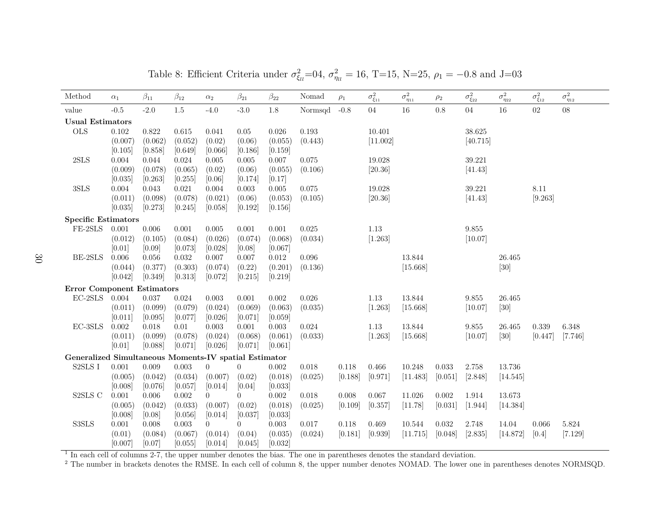| Method                                                | $\alpha_1$ | $\beta_{11}$ | $\beta_{12}$ | $\alpha_2$     | $\beta_{21}$   | $\beta_{22}$ | Nomad       | $\rho_1$  | $\sigma^2_{\xi_{11}}$ | $\sigma^2_{\eta_{11}}$ | $\rho_2$  | $\sigma^2_{\xi_{22}}$ | $\sigma^2_{\eta_{22}}$ | $\sigma^2_{\xi_{12}}$ | $\sigma^2_{\eta_{12}}$ |
|-------------------------------------------------------|------------|--------------|--------------|----------------|----------------|--------------|-------------|-----------|-----------------------|------------------------|-----------|-----------------------|------------------------|-----------------------|------------------------|
| value                                                 | $-0.5$     | $-2.0$       | $1.5\,$      | $-4.0$         | $-3.0$         | 1.8          | Normsqd     | $-0.8$    | $04\,$                | 16                     | 0.8       | $04\,$                | 16                     | 02                    | $08\,$                 |
| <b>Usual Estimators</b>                               |            |              |              |                |                |              |             |           |                       |                        |           |                       |                        |                       |                        |
| <b>OLS</b>                                            | $0.102\,$  | 0.822        | 0.615        | 0.041          | $0.05\,$       | 0.026        | 0.193       |           | 10.401                |                        |           | 38.625                |                        |                       |                        |
|                                                       | (0.007)    | (0.062)      | (0.052)      | (0.02)         | (0.06)         | (0.055)      | (0.443)     |           | [11.002]              |                        |           | [40.715]              |                        |                       |                        |
|                                                       | [0.105]    | [0.858]      | [0.649]      | [0.066]        | [0.186]        | [0.159]      |             |           |                       |                        |           |                       |                        |                       |                        |
| $2{\rm SLS}$                                          | 0.004      | 0.044        | 0.024        | 0.005          | 0.005          | $0.007\,$    | 0.075       |           | 19.028                |                        |           | 39.221                |                        |                       |                        |
|                                                       | (0.009)    | (0.078)      | (0.065)      | (0.02)         | (0.06)         | (0.055)      | (0.106)     |           | [20.36]               |                        |           | [41.43]               |                        |                       |                        |
|                                                       | [0.035]    | [0.263]      | [0.255]      | [0.06]         | [0.174]        | [0.17]       |             |           |                       |                        |           |                       |                        |                       |                        |
| 3SLS                                                  | 0.004      | 0.043        | 0.021        | 0.004          | $\,0.003\,$    | 0.005        | 0.075       |           | 19.028                |                        |           | 39.221                |                        | 8.11                  |                        |
|                                                       | (0.011)    | (0.098)      | (0.078)      | (0.021)        | (0.06)         | (0.053)      | (0.105)     |           | [20.36]               |                        |           | [41.43]               |                        | [9.263]               |                        |
|                                                       | [0.035]    | [0.273]      | [0.245]      | [0.058]        | [0.192]        | [0.156]      |             |           |                       |                        |           |                       |                        |                       |                        |
| <b>Specific Estimators</b>                            |            |              |              |                |                |              |             |           |                       |                        |           |                       |                        |                       |                        |
| FE-2SLS                                               | 0.001      | $0.006\,$    | 0.001        | 0.005          | 0.001          | 0.001        | 0.025       |           | 1.13                  |                        |           | 9.855                 |                        |                       |                        |
|                                                       | (0.012)    | (0.105)      | (0.084)      | (0.026)        | (0.074)        | (0.068)      | (0.034)     |           | [1.263]               |                        |           | [10.07]               |                        |                       |                        |
|                                                       | [0.01]     | [0.09]       | [0.073]      | [0.028]        | [0.08]         | [0.067]      |             |           |                       |                        |           |                       |                        |                       |                        |
| BE-2SLS                                               | 0.006      | 0.056        | 0.032        | 0.007          | 0.007          | $0.012\,$    | 0.096       |           |                       | 13.844                 |           |                       | 26.465                 |                       |                        |
|                                                       | (0.044)    | (0.377)      | (0.303)      | (0.074)        | (0.22)         | (0.201)      | (0.136)     |           |                       | [15.668]               |           |                       | $[30]$                 |                       |                        |
|                                                       | [0.042]    | [0.349]      | [0.313]      | [0.072]        | [0.215]        | [0.219]      |             |           |                       |                        |           |                       |                        |                       |                        |
| <b>Error Component Estimators</b>                     |            |              |              |                |                |              |             |           |                       |                        |           |                       |                        |                       |                        |
| $\rm EC\text{-}2SLS$                                  | 0.004      | 0.037        | 0.024        | 0.003          | 0.001          | $0.002\,$    | $0.026\,$   |           | $1.13\,$              | 13.844                 |           | $\boldsymbol{9.855}$  | 26.465                 |                       |                        |
|                                                       | (0.011)    | (0.099)      | (0.079)      | (0.024)        | (0.069)        | (0.063)      | (0.035)     |           | [1.263]               | [15.668]               |           | [10.07]               | $[30]$                 |                       |                        |
|                                                       | [0.011]    | [0.095]      | [0.077]      | [0.026]        | [0.071]        | [0.059]      |             |           |                       |                        |           |                       |                        |                       |                        |
| $\operatorname{EC-3SLS}$                              | $0.002\,$  | 0.018        | 0.01         | 0.003          | 0.001          | 0.003        | $\,0.024\,$ |           | 1.13                  | 13.844                 |           | 9.855                 | 26.465                 | 0.339                 | 6.348                  |
|                                                       | (0.011)    | (0.099)      | (0.078)      | (0.024)        | (0.068)        | (0.061)      | (0.033)     |           | [1.263]               | [15.668]               |           | [10.07]               | [30]                   | [0.447]               | [7.746]                |
|                                                       | [0.01]     | [0.088]      | [0.071]      | [0.026]        | [0.071]        | [0.061]      |             |           |                       |                        |           |                       |                        |                       |                        |
| Generalized Simultaneous Moments-IV spatial Estimator |            |              |              |                |                |              |             |           |                       |                        |           |                       |                        |                       |                        |
| ${\tt S2SLS}$ I                                       | 0.001      | 0.009        | 0.003        | $\theta$       | $\overline{0}$ | 0.002        | 0.018       | 0.118     | 0.466                 | 10.248                 | 0.033     | 2.758                 | 13.736                 |                       |                        |
|                                                       | (0.005)    | (0.042)      | (0.034)      | (0.007)        | (0.02)         | (0.018)      | (0.025)     | [0.188]   | [0.971]               | [11.483]               | [0.051]   | [2.848]               | [14.545]               |                       |                        |
|                                                       | [0.008]    | [0.076]      | [0.057]      | [0.014]        | [0.04]         | [0.033]      |             |           |                       |                        |           |                       |                        |                       |                        |
| S2SLS C                                               | 0.001      | 0.006        | 0.002        | $\overline{0}$ | $\overline{0}$ | 0.002        | 0.018       | $0.008\,$ | 0.067                 | 11.026                 | 0.002     | 1.914                 | 13.673                 |                       |                        |
|                                                       | (0.005)    | (0.042)      | (0.033)      | (0.007)        | (0.02)         | (0.018)      | (0.025)     | [0.109]   | [0.357]               | [11.78]                | [0.031]   | [1.944]               | [14.384]               |                       |                        |
|                                                       | [0.008]    | [0.08]       | [0.056]      | [0.014]        | [0.037]        | [0.033]      |             |           |                       |                        |           |                       |                        |                       |                        |
| S3SLS                                                 | $0.001\,$  | 0.008        | $0.003\,$    | $\overline{0}$ | $\overline{0}$ | $\,0.003\,$  | 0.017       | $0.118\,$ | 0.469                 | 10.544                 | $0.032\,$ | 2.748                 | 14.04                  | $0.066\,$             | $5.824\,$              |
|                                                       | (0.01)     | (0.084)      | (0.067)      | (0.014)        | (0.04)         | (0.035)      | (0.024)     | [0.181]   | [0.939]               | [11.715]               | [0.048]   | [2.835]               | [14.872]               | [0.4]                 | [7.129]                |
|                                                       | [0.007]    | [0.07]       | [0.055]      | [0.014]        | [0.045]        | [0.032]      |             |           |                       |                        |           |                       |                        |                       |                        |

Table 8: Efficient Criteria under  $\sigma_{\xi_l}^2 = 0.4$ ,  $\sigma_{\eta_l}^2 = 16$ , T=15, N=25,  $\rho_1 = -0.8$  and J=03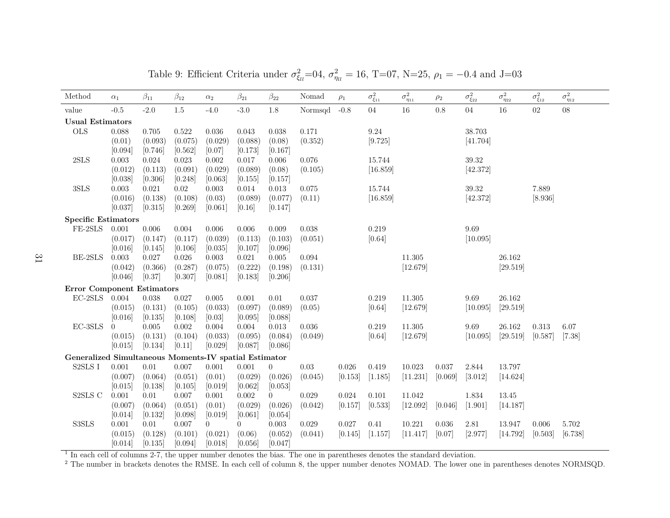| Method                                                | $\alpha_1$       | $\beta_{11}$        | $\beta_{12}$         | $\alpha_2$                | $\beta_{21}$              | $\beta_{22}$           | Nomad     | $\rho_1$  | $\sigma^2_{\xi_{11}}$ | $\sigma^2_{\eta_{11}}$ | $\rho_2$  | $\sigma^2_{\xi_{22}}$ | $\sigma^2_{\eta_{22}}$ | $\sigma^2_{\xi_{12}}$ | $\sigma^2_{\eta_{12}}$ |
|-------------------------------------------------------|------------------|---------------------|----------------------|---------------------------|---------------------------|------------------------|-----------|-----------|-----------------------|------------------------|-----------|-----------------------|------------------------|-----------------------|------------------------|
| value                                                 | $-0.5$           | $-2.0$              | $1.5\,$              | $-4.0$                    | $-3.0$                    | 1.8                    | Normsqd   | $-0.8$    | $04\,$                | $16\,$                 | 0.8       | 04                    | $16\,$                 | 02                    | $08\,$                 |
| <b>Usual Estimators</b>                               |                  |                     |                      |                           |                           |                        |           |           |                       |                        |           |                       |                        |                       |                        |
| <b>OLS</b>                                            | 0.088            | 0.705               | $0.522\,$            | 0.036                     | 0.043                     | 0.038                  | 0.171     |           | 9.24                  |                        |           | 38.703                |                        |                       |                        |
|                                                       | (0.01)           | (0.093)             | (0.075)              | (0.029)                   | (0.088)                   | (0.08)                 | (0.352)   |           | [9.725]               |                        |           | [41.704]              |                        |                       |                        |
|                                                       | [0.094]          | [0.746]             | [0.562]              | [0.07]                    | [0.173]                   | [0.167]                |           |           |                       |                        |           |                       |                        |                       |                        |
| 2SLS                                                  | 0.003            | 0.024               | $\,0.023\,$          | 0.002                     | 0.017                     | $0.006\,$              | 0.076     |           | 15.744                |                        |           | $39.32\,$             |                        |                       |                        |
|                                                       | (0.012)          | (0.113)             | (0.091)              | (0.029)                   | (0.089)                   | (0.08)                 | (0.105)   |           | [16.859]              |                        |           | [42.372]              |                        |                       |                        |
|                                                       | [0.038]          | [0.306]             | [0.248]              | [0.063]                   | [0.155]                   | [0.157]                |           |           |                       |                        |           |                       |                        |                       |                        |
| $3{\rm SLS}$                                          | 0.003            | $\,0.021\,$         | $0.02\,$             | 0.003                     | 0.014                     | $\,0.013\,$            | $0.075\,$ |           | 15.744                |                        |           | 39.32                 |                        | 7.889                 |                        |
|                                                       | (0.016)          | (0.138)             | (0.108)              | (0.03)                    | (0.089)                   | (0.077)                | (0.11)    |           | [16.859]              |                        |           | [42.372]              |                        | [8.936]               |                        |
|                                                       | [0.037]          | [0.315]             | [0.269]              | [0.061]                   | [0.16]                    | [0.147]                |           |           |                       |                        |           |                       |                        |                       |                        |
| <b>Specific Estimators</b>                            |                  |                     |                      |                           |                           |                        |           |           |                       |                        |           |                       |                        |                       |                        |
| FE-2SLS                                               | 0.001            | $0.006\,$           | $0.004\,$            | 0.006                     | 0.006                     | 0.009                  | 0.038     |           | 0.219                 |                        |           | 9.69                  |                        |                       |                        |
|                                                       | (0.017)          | (0.147)             | (0.117)              | (0.039)                   | (0.113)                   | (0.103)                | (0.051)   |           | [0.64]                |                        |           | [10.095]              |                        |                       |                        |
|                                                       | [0.016]          | [0.145]             | [0.106]              | [0.035]                   | [0.107]                   | [0.096]                |           |           |                       |                        |           |                       |                        |                       |                        |
| BE-2SLS                                               | 0.003            | 0.027               | 0.026                | 0.003                     | 0.021                     | 0.005                  | 0.094     |           |                       | 11.305                 |           |                       | 26.162                 |                       |                        |
|                                                       | (0.042)          | (0.366)             | (0.287)              | (0.075)                   | (0.222)                   | (0.198)                | (0.131)   |           |                       | [12.679]               |           |                       | [29.519]               |                       |                        |
|                                                       | [0.046]          | [0.37]              | [0.307]              | [0.081]                   | [0.183]                   | [0.206]                |           |           |                       |                        |           |                       |                        |                       |                        |
| <b>Error Component Estimators</b>                     |                  |                     |                      |                           |                           |                        |           |           |                       |                        |           |                       |                        |                       |                        |
| $EC-2SLS$                                             | 0.004            | 0.038               | 0.027                | 0.005                     | 0.001                     | 0.01                   | 0.037     |           | 0.219                 | 11.305                 |           | 9.69                  | 26.162                 |                       |                        |
|                                                       | (0.015)          | (0.131)             | (0.105)              | (0.033)                   | (0.097)                   | (0.089)                | (0.05)    |           | [0.64]                | [12.679]               |           | [10.095]              | [29.519]               |                       |                        |
|                                                       | [0.016]          | [0.135]             | [0.108]              | [0.03]                    | [0.095]                   | [0.088]                |           |           |                       |                        |           |                       |                        |                       |                        |
| EC-3SLS                                               | $\left( \right)$ | 0.005               | 0.002                | 0.004                     | 0.004                     | 0.013                  | 0.036     |           | 0.219                 | 11.305                 |           | 9.69                  | 26.162                 | 0.313                 | 6.07                   |
|                                                       | (0.015)          | (0.131)             | (0.104)              | (0.033)                   | (0.095)                   | (0.084)                | (0.049)   |           | [0.64]                | [12.679]               |           | [10.095]              | [29.519]               | [0.587]               | $[7.38]$               |
|                                                       | [0.015]          | [0.134]             | [0.11]               | [0.029]                   | [0.087]                   | [0.086]                |           |           |                       |                        |           |                       |                        |                       |                        |
| Generalized Simultaneous Moments-IV spatial Estimator |                  |                     |                      |                           |                           |                        |           |           |                       |                        |           |                       |                        |                       |                        |
| S2SLS I                                               | 0.001            | $0.01\,$            | 0.007                | 0.001                     | 0.001                     | $\overline{0}$         | $0.03\,$  | $0.026\,$ | 0.419                 | 10.023                 | 0.037     | 2.844                 | 13.797                 |                       |                        |
|                                                       | (0.007)          | (0.064)             | (0.051)              | (0.01)                    | (0.029)                   | (0.026)                | (0.045)   | [0.153]   | [1.185]               | [11.231]               | [0.069]   | [3.012]               | [14.624]               |                       |                        |
|                                                       | [0.015]          | [0.138]             | [0.105]              | [0.019]                   | [0.062]                   | [0.053]                |           |           |                       |                        |           |                       |                        |                       |                        |
| S2SLS C                                               | 0.001            | 0.01                | $0.007\,$            | $0.001\,$                 | 0.002                     | $\overline{0}$         | 0.029     | 0.024     | $0.101\,$             | 11.042                 |           | 1.834                 | 13.45                  |                       |                        |
|                                                       | (0.007)          | (0.064)             | (0.051)              | (0.01)                    | (0.029)                   | (0.026)                | (0.042)   | [0.157]   | [0.533]               | [12.092]               | [0.046]   | [1.901]               | [14.187]               |                       |                        |
| S3SLS                                                 | [0.014]<br>0.001 | [0.132]<br>$0.01\,$ | [0.098]<br>$0.007\,$ | [0.019]<br>$\overline{0}$ | [0.061]<br>$\overline{0}$ | [0.054]<br>$\,0.003\,$ | 0.029     | 0.027     | 0.41                  | 10.221                 | $0.036\,$ | $2.81\,$              | 13.947                 | 0.006                 | 5.702                  |
|                                                       | (0.015)          | (0.128)             | (0.101)              | (0.021)                   | (0.06)                    | (0.052)                | (0.041)   | [0.145]   | [1.157]               | [11.417]               | [0.07]    | [2.977]               | [14.792]               | [0.503]               | [6.738]                |
|                                                       | [0.014]          | [0.135]             | [0.094]              | [0.018]                   | [0.056]                   | [0.047]                |           |           |                       |                        |           |                       |                        |                       |                        |
|                                                       |                  |                     |                      |                           |                           |                        |           |           |                       |                        |           |                       |                        |                       |                        |

Table 9: Efficient Criteria under  $\sigma_{\xi_l}^2 = 0.4$ ,  $\sigma_{\eta_l}^2 = 16$ , T=07, N=25,  $\rho_1 = -0.4$  and J=03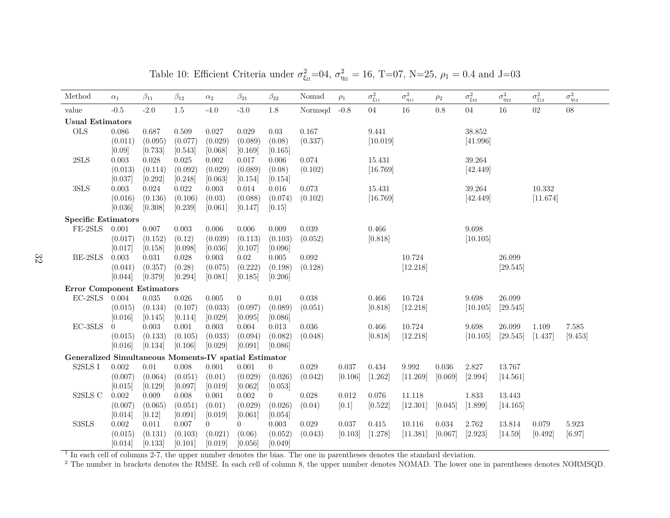| Method                                                | $\alpha_1$  | $\beta_{11}$ | $\beta_{12}$ | $\alpha_2$     | $\beta_{21}$   | $\beta_{22}$   | Nomad   | $\rho_1$  | $\sigma^2_{\xi_{11}}$ | $\sigma^2_{\eta_{11}}$ | $\rho_2$    | $\sigma^2_{\xi_{22}}$ | $\sigma^2_{\eta_{22}}$ | $\sigma^2_{\xi_{12}}$ | $\sigma^2_{\eta_{12}}$ |
|-------------------------------------------------------|-------------|--------------|--------------|----------------|----------------|----------------|---------|-----------|-----------------------|------------------------|-------------|-----------------------|------------------------|-----------------------|------------------------|
| value                                                 | $-0.5$      | $-2.0$       | $1.5\,$      | $-4.0$         | $-3.0$         | $1.8\,$        | Normsqd | $-0.8$    | $04\,$                | 16                     | 0.8         | $04\,$                | 16                     | 02                    | $08\,$                 |
| <b>Usual Estimators</b>                               |             |              |              |                |                |                |         |           |                       |                        |             |                       |                        |                       |                        |
| <b>OLS</b>                                            | 0.086       | 0.687        | 0.509        | 0.027          | 0.029          | $0.03\,$       | 0.167   |           | 9.441                 |                        |             | 38.852                |                        |                       |                        |
|                                                       | (0.011)     | (0.095)      | (0.077)      | (0.029)        | (0.089)        | (0.08)         | (0.337) |           | [10.019]              |                        |             | [41.996]              |                        |                       |                        |
|                                                       | [0.09]      | [0.733]      | [0.543]      | [0.068]        | [0.169]        | [0.165]        |         |           |                       |                        |             |                       |                        |                       |                        |
| $2{\rm SLS}$                                          | 0.003       | 0.028        | 0.025        | $0.002\,$      | 0.017          | 0.006          | 0.074   |           | 15.431                |                        |             | 39.264                |                        |                       |                        |
|                                                       | (0.013)     | (0.114)      | (0.092)      | (0.029)        | (0.089)        | (0.08)         | (0.102) |           | [16.769]              |                        |             | [42.449]              |                        |                       |                        |
|                                                       | [0.037]     | [0.292]      | [0.248]      | [0.063]        | [0.154]        | [0.154]        |         |           |                       |                        |             |                       |                        |                       |                        |
| 3SLS                                                  | $\,0.003\,$ | 0.024        | 0.022        | $\,0.003\,$    | $0.014\,$      | 0.016          | 0.073   |           | 15.431                |                        |             | 39.264                |                        | 10.332                |                        |
|                                                       | (0.016)     | (0.136)      | (0.106)      | (0.03)         | (0.088)        | (0.074)        | (0.102) |           | [16.769]              |                        |             | [42.449]              |                        | [11.674]              |                        |
|                                                       | [0.036]     | [0.308]      | [0.239]      | [0.061]        | [0.147]        | [0.15]         |         |           |                       |                        |             |                       |                        |                       |                        |
| <b>Specific Estimators</b>                            |             |              |              |                |                |                |         |           |                       |                        |             |                       |                        |                       |                        |
| FE-2SLS                                               | 0.001       | $0.007\,$    | 0.003        | 0.006          | 0.006          | 0.009          | 0.039   |           | 0.466                 |                        |             | 9.698                 |                        |                       |                        |
|                                                       | (0.017)     | (0.152)      | (0.12)       | (0.039)        | (0.113)        | (0.103)        | (0.052) |           | [0.818]               |                        |             | [10.105]              |                        |                       |                        |
|                                                       | [0.017]     | [0.158]      | [0.098]      | [0.036]        | [0.107]        | [0.096]        |         |           |                       |                        |             |                       |                        |                       |                        |
| BE-2SLS                                               | 0.003       | 0.031        | 0.028        | $\,0.003\,$    | 0.02           | 0.005          | 0.092   |           |                       | 10.724                 |             |                       | 26.099                 |                       |                        |
|                                                       | (0.041)     | (0.357)      | (0.28)       | (0.075)        | (0.222)        | (0.198)        | (0.128) |           |                       | [12.218]               |             |                       | [29.545]               |                       |                        |
|                                                       | [0.044]     | [0.379]      | [0.294]      | [0.081]        | [0.185]        | [0.206]        |         |           |                       |                        |             |                       |                        |                       |                        |
| <b>Error Component Estimators</b>                     |             |              |              |                |                |                |         |           |                       |                        |             |                       |                        |                       |                        |
| $\operatorname{EC-2SLS}$                              | 0.004       | $\,0.035\,$  | 0.026        | 0.005          | $\overline{0}$ | $0.01\,$       | 0.038   |           | 0.466                 | 10.724                 |             | 9.698                 | 26.099                 |                       |                        |
|                                                       | (0.015)     | (0.134)      | (0.107)      | (0.033)        | (0.097)        | (0.089)        | (0.051) |           | [0.818]               | [12.218]               |             | [10.105]              | [29.545]               |                       |                        |
|                                                       | [0.016]     | [0.145]      | [0.114]      | [0.029]        | [0.095]        | [0.086]        |         |           |                       |                        |             |                       |                        |                       |                        |
| $EC-3SLS$                                             | $\theta$    | $\,0.003\,$  | 0.001        | $0.003\,$      | 0.004          | 0.013          | 0.036   |           | 0.466                 | 10.724                 |             | 9.698                 | 26.099                 | 1.109                 | 7.585                  |
|                                                       | (0.015)     | (0.133)      | (0.105)      | (0.033)        | (0.094)        | (0.082)        | (0.048) |           | [0.818]               | [12.218]               |             | [10.105]              | [29.545]               | [1.437]               | [9.453]                |
|                                                       | [0.016]     | [0.134]      | [0.106]      | [0.029]        | [0.091]        | [0.086]        |         |           |                       |                        |             |                       |                        |                       |                        |
| Generalized Simultaneous Moments-IV spatial Estimator |             |              |              |                |                |                |         |           |                       |                        |             |                       |                        |                       |                        |
| ${\tt S2SLS}$ I                                       | 0.002       | $0.01\,$     | 0.008        | 0.001          | 0.001          | $\theta$       | 0.029   | 0.037     | 0.434                 | 9.992                  | 0.036       | 2.827                 | 13.767                 |                       |                        |
|                                                       | (0.007)     | (0.064)      | (0.051)      | (0.01)         | (0.029)        | (0.026)        | (0.042) | [0.106]   | [1.262]               | [11.269]               | [0.069]     | [2.994]               | [14.561]               |                       |                        |
|                                                       | [0.015]     | [0.129]      | [0.097]      | [0.019]        | [0.062]        | [0.053]        |         |           |                       |                        |             |                       |                        |                       |                        |
| S2SLS C                                               | 0.002       | 0.009        | 0.008        | 0.001          | 0.002          | $\overline{0}$ | 0.028   | $0.012\,$ | 0.076                 | 11.118                 |             | 1.833                 | 13.443                 |                       |                        |
|                                                       | (0.007)     | (0.065)      | (0.051)      | (0.01)         | (0.029)        | (0.026)        | (0.04)  | [0.1]     | [0.522]               | [12.301]               | [0.045]     | [1.899]               | [14.165]               |                       |                        |
|                                                       | [0.014]     | [0.12]       | [0.091]      | [0.019]        | [0.061]        | [0.054]        |         |           |                       |                        |             |                       |                        |                       |                        |
| S3SLS                                                 | $0.002\,$   | 0.011        | 0.007        | $\overline{0}$ | $\overline{0}$ | $0.003\,$      | 0.029   | $0.037\,$ | $0.415\,$             | 10.116                 | $\,0.034\,$ | 2.762                 | 13.814                 | 0.079                 | 5.923                  |
|                                                       | (0.015)     | (0.131)      | (0.103)      | (0.021)        | (0.06)         | (0.052)        | (0.043) | [0.103]   | [1.278]               | [11.381]               | [0.067]     | [2.923]               | [14.59]                | [0.492]               | [6.97]                 |
|                                                       | [0.014]     | [0.133]      | [0.101]      | [0.019]        | [0.056]        | [0.049]        |         |           |                       |                        |             |                       |                        |                       |                        |

Table 10: Efficient Criteria under  $\sigma_{\xi_l}^2=04$ ,  $\sigma_{\eta_l}^2=16$ , T=07, N=25,  $\rho_1=0.4$  and J=03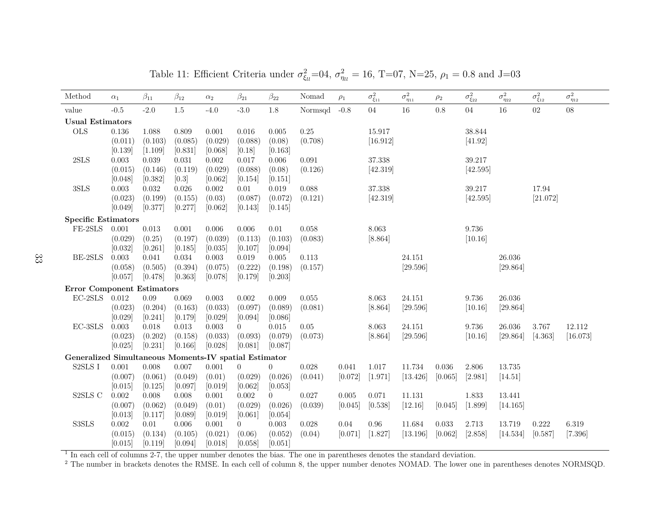| Method                                                | $\alpha_1$       | $\beta_{11}$     | $\beta_{12}$       | $\alpha_2$      | $\beta_{21}$     | $\beta_{22}$              | Nomad            | $\rho_1$             | $\sigma^2_{\xi_{11}}$ | $\sigma^2_{\eta_{11}}$ | $\rho_2$  | $\sigma^2_{\xi_{22}}$ | $\sigma^2_{\eta_{22}}$ | $\sigma^2_{\xi_{12}}$ | $\sigma^2_{\eta_{12}}$ |
|-------------------------------------------------------|------------------|------------------|--------------------|-----------------|------------------|---------------------------|------------------|----------------------|-----------------------|------------------------|-----------|-----------------------|------------------------|-----------------------|------------------------|
| value                                                 | $-0.5$           | $-2.0$           | $1.5\,$            | $-4.0$          | $-3.0$           | 1.8                       | Normsqd          | $-0.8$               | $04\,$                | 16                     | 0.8       | $04\,$                | 16                     | 02                    | $08\,$                 |
| <b>Usual Estimators</b>                               |                  |                  |                    |                 |                  |                           |                  |                      |                       |                        |           |                       |                        |                       |                        |
| <b>OLS</b>                                            | 0.136            | 1.088            | 0.809              | 0.001           | 0.016            | 0.005                     | 0.25             |                      | 15.917                |                        |           | 38.844                |                        |                       |                        |
|                                                       | (0.011)          | (0.103)          | (0.085)            | (0.029)         | (0.088)          | (0.08)                    | (0.708)          |                      | [16.912]              |                        |           | [41.92]               |                        |                       |                        |
|                                                       | [0.139]          | [1.109]          | [0.831]            | [0.068]         | [0.18]           | [0.163]                   |                  |                      |                       |                        |           |                       |                        |                       |                        |
| 2SLS                                                  | 0.003            | 0.039            | 0.031              | 0.002           | 0.017            | 0.006                     | 0.091            |                      | 37.338                |                        |           | 39.217                |                        |                       |                        |
|                                                       | (0.015)          | (0.146)          | (0.119)            | (0.029)         | (0.088)          | (0.08)                    | (0.126)          |                      | [42.319]              |                        |           | [42.595]              |                        |                       |                        |
|                                                       | [0.048]          | [0.382]          | [0.3]              | [0.062]         | [0.154]          | [0.151]                   |                  |                      |                       |                        |           |                       |                        |                       |                        |
| 3SLS                                                  | 0.003            | 0.032            | 0.026              | $0.002\,$       | 0.01             | 0.019                     | 0.088            |                      | 37.338                |                        |           | 39.217                |                        | 17.94                 |                        |
|                                                       | (0.023)          | (0.199)          | (0.155)            | (0.03)          | (0.087)          | (0.072)                   | (0.121)          |                      | [42.319]              |                        |           | [42.595]              |                        | [21.072]              |                        |
|                                                       | [0.049]          | [0.377]          | [0.277]            | [0.062]         | [0.143]          | [0.145]                   |                  |                      |                       |                        |           |                       |                        |                       |                        |
| <b>Specific Estimators</b>                            |                  |                  |                    |                 |                  |                           |                  |                      |                       |                        |           |                       |                        |                       |                        |
| FE-2SLS                                               | 0.001            | $\,0.013\,$      | $0.001\,$          | 0.006           | $0.006\,$        | $0.01\,$                  | 0.058            |                      | 8.063                 |                        |           | 9.736                 |                        |                       |                        |
|                                                       | (0.029)          | (0.25)           | (0.197)            | (0.039)         | (0.113)          | (0.103)                   | (0.083)          |                      | [8.864]               |                        |           | [10.16]               |                        |                       |                        |
|                                                       | [0.032]          | [0.261]          | [0.185]            | [0.035]         | [0.107]          | [0.094]                   |                  |                      |                       |                        |           |                       |                        |                       |                        |
| BE-2SLS                                               | 0.003            | 0.041            | 0.034              | 0.003           | 0.019            | 0.005                     | 0.113            |                      |                       | 24.151                 |           |                       | 26.036                 |                       |                        |
|                                                       | (0.058)          | (0.505)          | (0.394)            | (0.075)         | (0.222)          | (0.198)                   | (0.157)          |                      |                       | [29.596]               |           |                       | [29.864]               |                       |                        |
|                                                       | [0.057]          | [0.478]          | [0.363]            | [0.078]         | [0.179]          | [0.203]                   |                  |                      |                       |                        |           |                       |                        |                       |                        |
| <b>Error Component Estimators</b>                     |                  |                  |                    |                 |                  |                           |                  |                      |                       |                        |           |                       |                        |                       |                        |
| $\rm EC\text{-}2SLS$                                  | 0.012            | $0.09\,$         | 0.069              | 0.003           | 0.002            | 0.009                     | 0.055            |                      | 8.063                 | 24.151                 |           | 9.736                 | 26.036                 |                       |                        |
|                                                       | (0.023)          | (0.204)          | (0.163)            | (0.033)         | (0.097)          | (0.089)                   | (0.081)          |                      | [8.864]               | [29.596]               |           | [10.16]               | [29.864]               |                       |                        |
|                                                       | [0.029]          | [0.241]          | [0.179]            | [0.029]         | [0.094]          | [0.086]                   |                  |                      |                       |                        |           |                       |                        |                       |                        |
| $EC-3SLS$                                             | 0.003            | 0.018            | 0.013              | 0.003           | 0                | 0.015                     | 0.05             |                      | 8.063                 | 24.151                 |           | 9.736                 | 26.036                 | 3.767                 | 12.112                 |
|                                                       | (0.023)          | (0.202)          | (0.158)            | (0.033)         | (0.093)          | (0.079)                   | (0.073)          |                      | [8.864]               | [29.596]               |           | [10.16]               | [29.864]               | [4.363]               | [16.073]               |
|                                                       | [0.025]          | [0.231]          | [0.166]            | [0.028]         | [0.081]          | [0.087]                   |                  |                      |                       |                        |           |                       |                        |                       |                        |
| Generalized Simultaneous Moments-IV spatial Estimator |                  |                  |                    |                 |                  |                           |                  |                      |                       |                        |           |                       |                        |                       |                        |
| S2SLS I                                               | $0.001\,$        | 0.008            | 0.007              | 0.001           | $\overline{0}$   | $\overline{0}$            | 0.028            | 0.041                | 1.017                 | 11.734                 | $0.036\,$ | $2.806\,$             | 13.735                 |                       |                        |
|                                                       | (0.007)          | (0.061)          | (0.049)            | (0.01)          | (0.029)          | (0.026)                   | (0.041)          | [0.072]              | [1.971]               | [13.426]               | [0.065]   | [2.981]               | [14.51]                |                       |                        |
|                                                       | [0.015]          | [0.125]          | [0.097]            | [0.019]         | [0.062]          | [0.053]                   |                  |                      |                       |                        |           |                       |                        |                       |                        |
| $\textsc{S2SLS}$ C                                    | 0.002<br>(0.007) | 0.008<br>(0.062) | 0.008              | 0.001<br>(0.01) | 0.002<br>(0.029) | $\overline{0}$<br>(0.026) | 0.027<br>(0.039) | $0.005\,$<br>[0.045] | 0.071<br>[0.538]      | 11.131<br>[12.16]      | [0.045]   | 1.833                 | 13.441<br>[14.165]     |                       |                        |
|                                                       | [0.013]          | [0.117]          | (0.049)<br>[0.089] | [0.019]         | [0.061]          | [0.054]                   |                  |                      |                       |                        |           | [1.899]               |                        |                       |                        |
| S3SLS                                                 | $0.002\,$        | 0.01             | 0.006              | 0.001           | $\overline{0}$   | 0.003                     | 0.028            | 0.04                 | 0.96                  | 11.684                 | 0.033     | 2.713                 | 13.719                 | 0.222                 | 6.319                  |
|                                                       | (0.015)          | (0.134)          | (0.105)            | (0.021)         | (0.06)           | (0.052)                   | (0.04)           | [0.071]              | [1.827]               | [13.196]               | [0.062]   | [2.858]               | [14.534]               | [0.587]               | [7.396]                |
|                                                       | [0.015]          | [0.119]          | [0.094]            | [0.018]         | [0.058]          | [0.051]                   |                  |                      |                       |                        |           |                       |                        |                       |                        |
|                                                       |                  |                  |                    |                 |                  |                           |                  |                      |                       |                        |           |                       |                        |                       |                        |

Table 11: Efficient Criteria under  $\sigma_{\xi_l}^2=04$ ,  $\sigma_{\eta_l}^2=16$ , T=07, N=25,  $\rho_1=0.8$  and J=03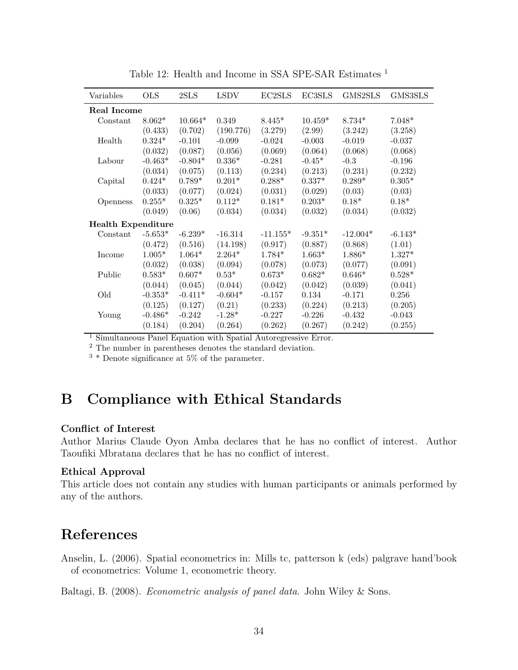| Variables                 | <b>OLS</b> | 2SLS      | <b>LSDV</b> | EC2SLS     | EC3SLS    | GMS2SLS    | GMS3SLS   |
|---------------------------|------------|-----------|-------------|------------|-----------|------------|-----------|
| Real Income               |            |           |             |            |           |            |           |
| Constant                  | $8.062*$   | $10.664*$ | 0.349       | $8.445*$   | $10.459*$ | $8.734*$   | $7.048*$  |
|                           | (0.433)    | (0.702)   | (190.776)   | (3.279)    | (2.99)    | (3.242)    | (3.258)   |
| Health                    | $0.324*$   | $-0.101$  | $-0.099$    | $-0.024$   | $-0.003$  | $-0.019$   | $-0.037$  |
|                           | (0.032)    | (0.087)   | (0.056)     | (0.069)    | (0.064)   | (0.068)    | (0.068)   |
| Labour                    | $-0.463*$  | $-0.804*$ | $0.336*$    | $-0.281$   | $-0.45*$  | $-0.3$     | $-0.196$  |
|                           | (0.034)    | (0.075)   | (0.113)     | (0.234)    | (0.213)   | (0.231)    | (0.232)   |
| Capital                   | $0.424*$   | $0.789*$  | $0.201*$    | $0.288*$   | $0.337*$  | $0.289*$   | $0.305*$  |
|                           | (0.033)    | (0.077)   | (0.024)     | (0.031)    | (0.029)   | (0.03)     | (0.03)    |
| Openness                  | $0.255*$   | $0.325*$  | $0.112*$    | $0.181*$   | $0.203*$  | $0.18*$    | $0.18*$   |
|                           | (0.049)    | (0.06)    | (0.034)     | (0.034)    | (0.032)   | (0.034)    | (0.032)   |
| <b>Health Expenditure</b> |            |           |             |            |           |            |           |
| Constant                  | $-5.653*$  | $-6.239*$ | $-16.314$   | $-11.155*$ | $-9.351*$ | $-12.004*$ | $-6.143*$ |
|                           | (0.472)    | (0.516)   | (14.198)    | (0.917)    | (0.887)   | (0.868)    | (1.01)    |
| Income                    | $1.005*$   | $1.064*$  | $2.264*$    | $1.784*$   | $1.663*$  | $1.886*$   | $1.327*$  |
|                           | (0.032)    | (0.038)   | (0.094)     | (0.078)    | (0.073)   | (0.077)    | (0.091)   |
| Public                    | $0.583*$   | $0.607*$  | $0.53*$     | $0.673*$   | $0.682*$  | $0.646*$   | $0.528*$  |
|                           | (0.044)    | (0.045)   | (0.044)     | (0.042)    | (0.042)   | (0.039)    | (0.041)   |
| Old                       | $-0.353*$  | $-0.411*$ | $-0.604*$   | $-0.157$   | 0.134     | $-0.171$   | $0.256\,$ |
|                           | (0.125)    | (0.127)   | (0.21)      | (0.233)    | (0.224)   | (0.213)    | (0.205)   |
| Young                     | $-0.486*$  | $-0.242$  | $-1.28*$    | $-0.227$   | $-0.226$  | $-0.432$   | $-0.043$  |
|                           | (0.184)    | (0.204)   | (0.264)     | (0.262)    | (0.267)   | (0.242)    | (0.255)   |

Table 12: Health and Income in SSA SPE-SAR Estimates <sup>1</sup>

<sup>1</sup> Simultaneous Panel Equation with Spatial Autoregressive Error.

<sup>2</sup> The number in parentheses denotes the standard deviation.

<sup>3</sup> \* Denote significance at 5% of the parameter.

# **B Compliance with Ethical Standards**

#### **Conflict of Interest**

Author Marius Claude Oyon Amba declares that he has no conflict of interest. Author Taoufiki Mbratana declares that he has no conflict of interest.

#### **Ethical Approval**

This article does not contain any studies with human participants or animals performed by any of the authors.

# **References**

Anselin, L. (2006). Spatial econometrics in: Mills tc, patterson k (eds) palgrave hand'book of econometrics: Volume 1, econometric theory.

Baltagi, B. (2008). *Econometric analysis of panel data*. John Wiley & Sons.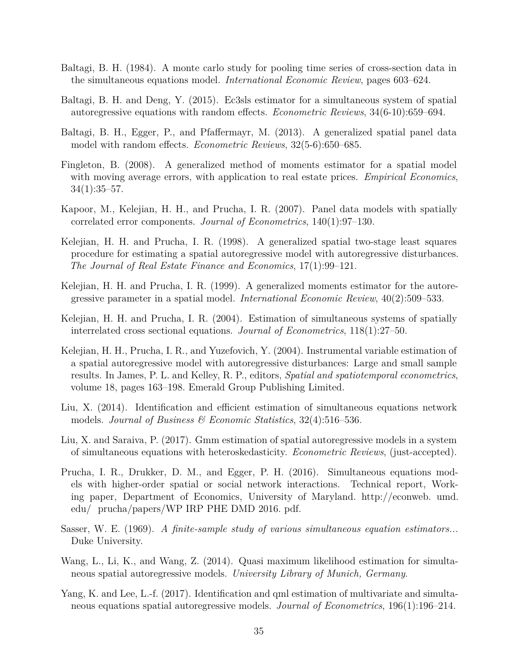- Baltagi, B. H. (1984). A monte carlo study for pooling time series of cross-section data in the simultaneous equations model. *International Economic Review*, pages 603–624.
- Baltagi, B. H. and Deng, Y. (2015). Ec3sls estimator for a simultaneous system of spatial autoregressive equations with random effects. *Econometric Reviews*, 34(6-10):659–694.
- Baltagi, B. H., Egger, P., and Pfaffermayr, M. (2013). A generalized spatial panel data model with random effects. *Econometric Reviews*, 32(5-6):650–685.
- Fingleton, B. (2008). A generalized method of moments estimator for a spatial model with moving average errors, with application to real estate prices. *Empirical Economics*, 34(1):35–57.
- Kapoor, M., Kelejian, H. H., and Prucha, I. R. (2007). Panel data models with spatially correlated error components. *Journal of Econometrics*, 140(1):97–130.
- Kelejian, H. H. and Prucha, I. R. (1998). A generalized spatial two-stage least squares procedure for estimating a spatial autoregressive model with autoregressive disturbances. *The Journal of Real Estate Finance and Economics*, 17(1):99–121.
- Kelejian, H. H. and Prucha, I. R. (1999). A generalized moments estimator for the autoregressive parameter in a spatial model. *International Economic Review*, 40(2):509–533.
- Kelejian, H. H. and Prucha, I. R. (2004). Estimation of simultaneous systems of spatially interrelated cross sectional equations. *Journal of Econometrics*, 118(1):27–50.
- Kelejian, H. H., Prucha, I. R., and Yuzefovich, Y. (2004). Instrumental variable estimation of a spatial autoregressive model with autoregressive disturbances: Large and small sample results. In James, P. L. and Kelley, R. P., editors, *Spatial and spatiotemporal econometrics*, volume 18, pages 163–198. Emerald Group Publishing Limited.
- Liu, X. (2014). Identification and efficient estimation of simultaneous equations network models. *Journal of Business & Economic Statistics*, 32(4):516–536.
- Liu, X. and Saraiva, P. (2017). Gmm estimation of spatial autoregressive models in a system of simultaneous equations with heteroskedasticity. *Econometric Reviews*, (just-accepted).
- Prucha, I. R., Drukker, D. M., and Egger, P. H. (2016). Simultaneous equations models with higher-order spatial or social network interactions. Technical report, Working paper, Department of Economics, University of Maryland. http://econweb. umd. edu/ prucha/papers/WP IRP PHE DMD 2016. pdf.
- Sasser, W. E. (1969). *A finite-sample study of various simultaneous equation estimators...* Duke University.
- Wang, L., Li, K., and Wang, Z. (2014). Quasi maximum likelihood estimation for simultaneous spatial autoregressive models. *University Library of Munich, Germany*.
- Yang, K. and Lee, L.-f. (2017). Identification and qml estimation of multivariate and simultaneous equations spatial autoregressive models. *Journal of Econometrics*, 196(1):196–214.